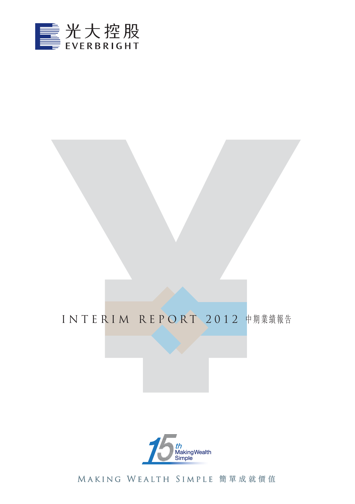

# INTERIM REPORT 2012 中期業績報告



Making Wealth Simple 簡單成就價值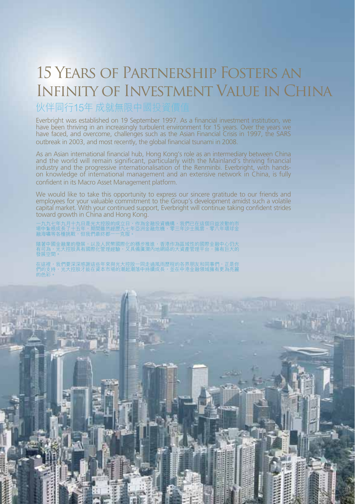# 15 Years of Partnership Fosters an Infinity of Investment Value in China

### 伙伴同行15年 成就無限中國投

Everbright was established on 19 September 1997. As a financial investment institution, we have been thriving in an increasingly turbulent environment for 15 years. Over the years we have faced, and overcome, challenges such as the Asian Financial Crisis in 1997, the SARS outbreak in 2003, and most recently, the global financial tsunami in 2008.

As an Asian international financial hub, Hong Kong's role as an intermediary between China and the world will remain significant, particularly with the Mainland's thriving financial industry and the progressive internationalisation of the Renminbi. Everbright, with handson knowledge of international management and an extensive network in China, is fully confident in its Macro Asset Management platform.

We would like to take this opportunity to express our sincere gratitude to our friends and employees for your valuable commitment to the Group's development amidst such a volatile capital market. With your continued support, Everbright will continue taking confident strides toward growth in China and Hong Kong.

一九九七年九月十九日是光大控股的成立日,作為金融投資機構,我們已在這個日益波動的市<br>場中紮根成長了十五年,期間雖然經歷九七年亞洲金融危機、零三年沙士風雲、零八年環球金<br>融海嘯等各種挑戰,但我們最終都一一克服。

隨者中國金融業的發展,以及人民幣國際化的穩步推進,香港作為區域性的國際金融中心仍大<br>有可為,光大控股具有國際化管理經驗,又具備廣濶內地網絡的大資產管理平台,擁有巨大的<br>發展空間。

在這裡,找們要深深感謝這些年來與光大控股一同走過風雨歴程的各界朋友和同事們,止是你<br>們的支持,光大控股才能在資本市場的潮起潮落中持續成長,並在中港金融領域擁有更為亮麗 的色彩。

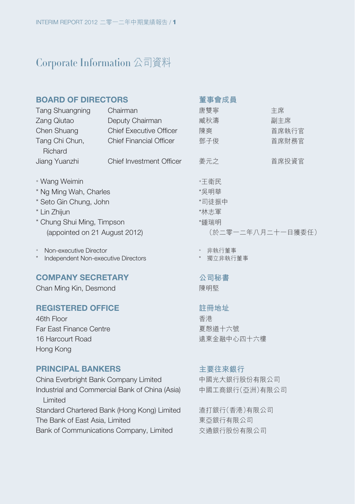### Corporate Information 公司資料

| <b>BOARD OF DIRECTORS</b>                                  |                                | 董事會成員             |       |  |  |
|------------------------------------------------------------|--------------------------------|-------------------|-------|--|--|
| <b>Tang Shuangning</b>                                     | Chairman                       | 唐雙寧               | 主席    |  |  |
| Zang Qiutao                                                | Deputy Chairman                | 臧秋濤               | 副主席   |  |  |
| Chen Shuang                                                | <b>Chief Executive Officer</b> | 陳爽                | 首席執行官 |  |  |
| Tang Chi Chun,<br>Richard                                  | <b>Chief Financial Officer</b> | 鄧子俊               | 首席財務官 |  |  |
| Jiang Yuanzhi                                              | Chief Investment Officer       | 姜元之               | 首席投資官 |  |  |
| + Wang Weimin                                              |                                | +王衛民              |       |  |  |
| * Ng Ming Wah, Charles                                     |                                | *吳明華              |       |  |  |
| * Seto Gin Chung, John                                     |                                | *司徒振中             |       |  |  |
| * Lin Zhijun                                               |                                | *林志軍              |       |  |  |
| * Chung Shui Ming, Timpson                                 |                                | *鍾瑞明              |       |  |  |
| (appointed on 21 August 2012)                              |                                | (於二零一二年八月二十一日獲委任) |       |  |  |
| Non-executive Director<br>$\begin{array}{c} + \end{array}$ |                                | 非執行董事             |       |  |  |

\* Independent Non-executive Directors

#### **COMPANY SECRETARY**

Chan Ming Kin, Desmond

#### **REGISTERED OFFICE**

46th Floor Far East Finance Centre 16 Harcourt Road Hong Kong

#### **PRINCIPAL BANKERS**

China Everbright Bank Company Limited Industrial and Commercial Bank of China (Asia) Limited Standard Chartered Bank (Hong Kong) Limited The Bank of East Asia, Limited Bank of Communications Company, Limited

# \* 獨立非執行董事

**公司秘書**

陳明堅

#### **註冊地址**

香港 夏愨道十六號 遠東金融中心四十六樓

#### **主要往來銀行**

中國光大銀行股份有限公司 中國工商銀行(亞洲)有限公司

渣打銀行(香港)有限公司 東亞銀行有限公司 交通銀行股份有限公司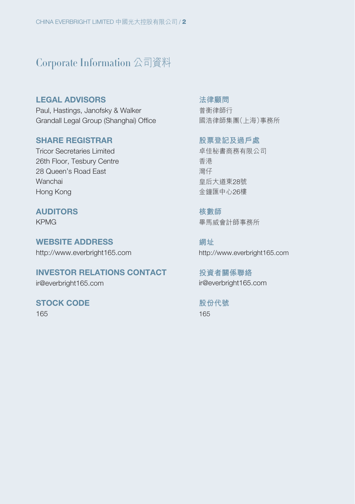### Corporate Information 公司資料

**LEGAL ADVISORS** Paul, Hastings, Janofsky & Walker Grandall Legal Group (Shanghai) Office

#### **SHARE REGISTRAR**

Tricor Secretaries Limited 26th Floor, Tesbury Centre 28 Queen's Road East Wanchai Hong Kong

#### **AUDITORS**

KPMG

**WEBSITE ADDRESS** http://www.everbright165.com

**INVESTOR RELATIONS CONTACT**

ir@everbright165.com

**STOCK CODE**

165

**法律顧問** 普衡律師行 國浩律師集團(上海)事務所

**股票登記及過戶處** 卓佳秘書商務有限公司 香港 灣仔 皇后大道東28號 金鐘匯中心26樓

**核數師** 畢馬威會計師事務所

**網址** http://www.everbright165.com

**投資者關係聯絡** ir@everbright165.com

**股份代號** 165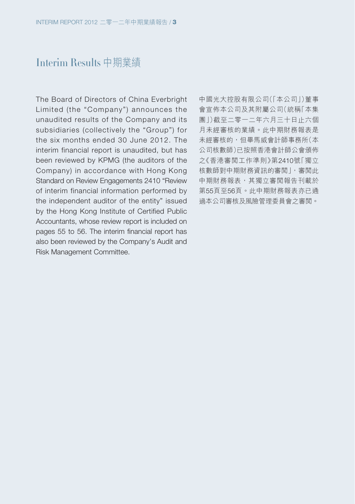### Interim Results 中期業績

The Board of Directors of China Everbright Limited (the "Company") announces the unaudited results of the Company and its subsidiaries (collectively the "Group") for the six months ended 30 June 2012. The interim financial report is unaudited, but has been reviewed by KPMG (the auditors of the Company) in accordance with Hong Kong Standard on Review Engagements 2410 "Review of interim financial information performed by the independent auditor of the entity" issued by the Hong Kong Institute of Certified Public Accountants, whose review report is included on pages 55 to 56. The interim financial report has also been reviewed by the Company's Audit and Risk Management Committee.

中國光大控股有限公司(「本公司」)董事 會宣佈本公司及其附屬公司(統稱「本集 團」)截至二零一二年六月三十日止六個 月未經審核的業績。此中期財務報表是 未經審核的,但畢馬威會計師事務所(本 公司核數師)已按照香港會計師公會頒佈 之《香港審閱工作準則》第2410號「獨立 核數師對中期財務資訊的審閱」,審閱此 中期財務報表,其獨立審閱報告刊載於 第55頁至56頁。此中期財務報表亦已通 過本公司審核及風險管理委員會之審閱。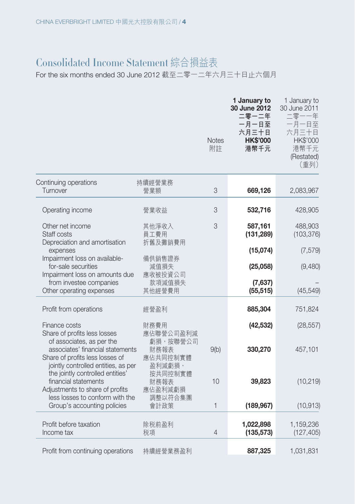### Consolidated Income Statement 綜合損益表

### For the six months ended 30 June 2012 截至二零一二年六月三十日止六個月

|                                                                                                                                         |                                        | <b>Notes</b><br>附註 | 1 January to<br>30 June 2012<br>二零一二年<br>一月一日至<br>六月三十日<br><b>HK\$'000</b><br>港幣千元 | 1 January to<br>30 June 2011<br>二零一一年<br>一月一日至<br>六月三十日<br>HK\$'000<br>港幣千元<br>(Restated)<br>(重列) |
|-----------------------------------------------------------------------------------------------------------------------------------------|----------------------------------------|--------------------|------------------------------------------------------------------------------------|---------------------------------------------------------------------------------------------------|
| Continuing operations<br>Turnover                                                                                                       | 持續經營業務<br>營業額                          | 3                  | 669,126                                                                            | 2,083,967                                                                                         |
| Operating income                                                                                                                        | 營業收益                                   | 3                  | 532,716                                                                            | 428,905                                                                                           |
| Other net income<br>Staff costs                                                                                                         | 其他淨收入<br>員工費用                          | 3                  | 587,161<br>(131, 289)                                                              | 488,903<br>(103, 376)                                                                             |
| Depreciation and amortisation<br>expenses                                                                                               | 折舊及攤銷費用                                |                    | (15,074)                                                                           | (7, 579)                                                                                          |
| Impairment loss on available-<br>for-sale securities<br>Impairment loss on amounts due                                                  | 備供銷售證券<br>減值損失<br>應收被投資公司              |                    | (25,058)                                                                           | (9,480)                                                                                           |
| from investee companies<br>Other operating expenses                                                                                     | 款項減值損失<br>其他經營費用                       |                    | (7,637)<br>(55, 515)                                                               | (45, 549)                                                                                         |
| Profit from operations                                                                                                                  | 經營盈利                                   |                    | 885,304                                                                            | 751,824                                                                                           |
| Finance costs<br>Share of profits less losses                                                                                           | 財務費用<br>應佔聯營公司盈利減                      |                    | (42, 532)                                                                          | (28, 557)                                                                                         |
| of associates, as per the<br>associates' financial statements<br>Share of profits less losses of<br>jointly controlled entities, as per | 虧損,按聯營公司<br>財務報表<br>應佔共同控制實體<br>盈利減虧損, | 9(b)               | 330,270                                                                            | 457,101                                                                                           |
| the jointly controlled entities'<br>financial statements<br>Adjustments to share of profits<br>less losses to conform with the          | 按共同控制實體<br>財務報表<br>應佔盈利減虧損<br>調整以符合集團  | 10                 | 39,823                                                                             | (10, 219)                                                                                         |
| Group's accounting policies                                                                                                             | 會計政策                                   | 1                  | (189, 967)                                                                         | (10, 913)                                                                                         |
| Profit before taxation<br>Income tax                                                                                                    | 除税前盈利<br>税項                            | $\overline{4}$     | 1,022,898<br>(135, 573)                                                            | 1,159,236<br>(127, 405)                                                                           |
| Profit from continuing operations                                                                                                       | 持續經營業務盈利                               |                    | 887,325                                                                            | 1,031,831                                                                                         |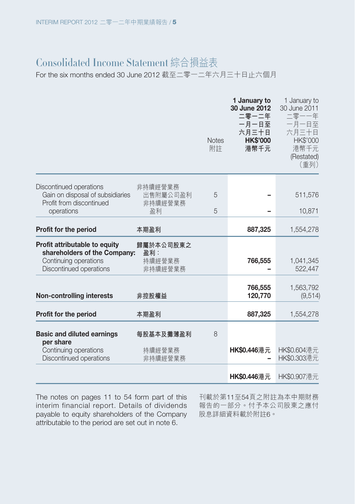### Consolidated Income Statement 綜合損益表

For the six months ended 30 June 2012 截至二零一二年六月三十日止六個月

|                                                                                                                   |                                       | <b>Notes</b><br>附註 | 1 January to<br>30 June 2012<br>二零一二年<br>一月一日至<br>六月三十日<br><b>HK\$'000</b><br>港幣千元 | 1 January to<br>30 June 2011<br>二零一一年<br>一月一日至<br>六月三十日<br><b>HK\$'000</b><br>港幣千元<br>(Restated)<br>(重列) |
|-------------------------------------------------------------------------------------------------------------------|---------------------------------------|--------------------|------------------------------------------------------------------------------------|----------------------------------------------------------------------------------------------------------|
| Discontinued operations                                                                                           | 非持續經營業務                               |                    |                                                                                    |                                                                                                          |
| Gain on disposal of subsidiaries<br>Profit from discontinued                                                      | 出售附屬公司盈利<br>非持續經營業務                   | 5                  |                                                                                    | 511,576                                                                                                  |
| operations                                                                                                        | 盈利                                    | 5                  |                                                                                    | 10,871                                                                                                   |
| Profit for the period                                                                                             | 本期盈利                                  |                    | 887,325                                                                            | 1,554,278                                                                                                |
| Profit attributable to equity<br>shareholders of the Company:<br>Continuing operations<br>Discontinued operations | 歸屬於本公司股東之<br>盈利:<br>持續經營業務<br>非持續經營業務 |                    | 766,555                                                                            | 1,041,345<br>522,447                                                                                     |
| <b>Non-controlling interests</b>                                                                                  | 非控股權益                                 |                    | 766,555<br>120,770                                                                 | 1,563,792<br>(9, 514)                                                                                    |
| Profit for the period                                                                                             | 本期盈利                                  |                    | 887,325                                                                            | 1,554,278                                                                                                |
| <b>Basic and diluted earnings</b><br>per share                                                                    | 每股基本及攤薄盈利                             | 8                  |                                                                                    |                                                                                                          |
| Continuing operations<br>Discontinued operations                                                                  | 持續經營業務<br>非持續經營業務                     |                    | HK\$0.446港元                                                                        | HK\$0.604港元<br>HK\$0.303港元                                                                               |
|                                                                                                                   |                                       |                    | <b>HK\$0.446</b> 港元                                                                | HK\$0.907港元                                                                                              |

The notes on pages 11 to 54 form part of this interim financial report. Details of dividends payable to equity shareholders of the Company attributable to the period are set out in note 6.

刊載於第11至54頁之附註為本中期財務 報告的一部分。付予本公司股東之應付 股息詳細資料載於附註6。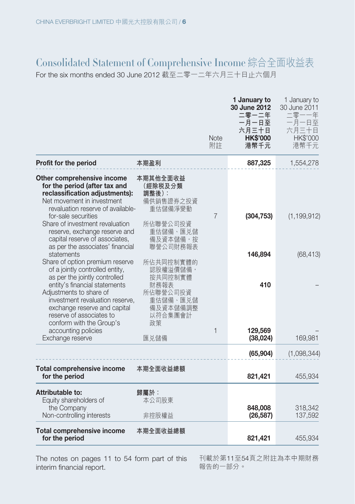## Consolidated Statement of Comprehensive Income 綜合全面收益表

For the six months ended 30 June 2012 截至二零一二年六月三十日止六個月

|                                                                                                                                                                                                    |                                                                  | <b>Note</b><br>附註 | 1 January to<br>30 June 2012<br>二零一二年<br>一月一日至<br>六月三十日<br><b>HK\$'000</b><br>港幣千元 | 1 January to<br>30 June 2011<br>二零一一年<br>一月一日至<br>六月三十日<br><b>HK\$'000</b><br>港幣千元 |
|----------------------------------------------------------------------------------------------------------------------------------------------------------------------------------------------------|------------------------------------------------------------------|-------------------|------------------------------------------------------------------------------------|------------------------------------------------------------------------------------|
| Profit for the period                                                                                                                                                                              | 本期盈利                                                             |                   | 887,325                                                                            | 1,554,278                                                                          |
| Other comprehensive income<br>for the period (after tax and<br>reclassification adjustments):<br>Net movement in investment<br>revaluation reserve of available-<br>for-sale securities            | 本期其他全面收益<br>(經除税及分類<br>調整後):<br>備供銷售證券之投資<br>重估儲備淨變動             | $\overline{7}$    | (304, 753)                                                                         | (1, 199, 912)                                                                      |
| Share of investment revaluation<br>reserve, exchange reserve and<br>capital reserve of associates,<br>as per the associates' financial<br>statements                                               | 所佔聯營公司投資<br>重估儲備、匯兑儲<br>備及資本儲備, 按<br>聯營公司財務報表                    |                   | 146,894                                                                            | (68, 413)                                                                          |
| Share of option premium reserve<br>of a jointly controlled entity,<br>as per the jointly controlled<br>entity's financial statements<br>Adjustments to share of<br>investment revaluation reserve, | 所佔共同控制實體的<br>認股權溢價儲備,<br>按共同控制實體<br>財務報表<br>所佔聯營公司投資<br>重估儲備、匯兑儲 |                   | 410                                                                                |                                                                                    |
| exchange reserve and capital<br>reserve of associates to<br>conform with the Group's<br>accounting policies<br>Exchange reserve                                                                    | 備及資本儲備調整<br>以符合集團會計<br>政策<br>匯兑儲備                                | 1                 | 129,569<br>(38, 024)                                                               | 169,981                                                                            |
|                                                                                                                                                                                                    |                                                                  |                   | (65, 904)                                                                          | (1,098,344)                                                                        |
| Total comprehensive income<br>for the period                                                                                                                                                       | 本期全面收益總額                                                         |                   | 821,421                                                                            | 455,934                                                                            |
| Attributable to:<br>Equity shareholders of<br>the Company<br>Non-controlling interests                                                                                                             | 歸屬於:<br>本公司股東<br>非控股權益                                           |                   | 848,008<br>(26, 587)                                                               | 318,342<br>137,592                                                                 |
| <b>Total comprehensive income</b><br>for the period                                                                                                                                                | 本期全面收益總額                                                         |                   | 821,421                                                                            | 455,934                                                                            |

The notes on pages 11 to 54 form part of this interim financial report.

刊載於第11至54頁之附註為本中期財務 報告的一部分。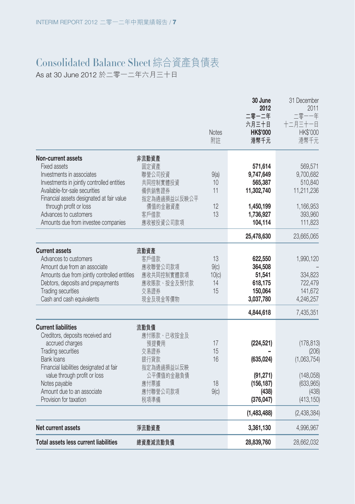# Consolidated Balance Sheet 綜合資產負債表

As at 30 June 2012 於二零一二年六月三十日

| Total assets less current liabilities                                                                                                                                                                                                                                                 | 總資產減流動負債                                                                                      |                                 | 28,839,760                                                                         | 28,662,032                                                                       |
|---------------------------------------------------------------------------------------------------------------------------------------------------------------------------------------------------------------------------------------------------------------------------------------|-----------------------------------------------------------------------------------------------|---------------------------------|------------------------------------------------------------------------------------|----------------------------------------------------------------------------------|
| Net current assets                                                                                                                                                                                                                                                                    | 淨流動資產                                                                                         |                                 | 3,361,130                                                                          | 4,996,967                                                                        |
|                                                                                                                                                                                                                                                                                       |                                                                                               |                                 | (1,483,488)                                                                        | (2,438,384)                                                                      |
| <b>Bank loans</b><br>Financial liabilities designated at fair<br>value through profit or loss<br>Notes payable<br>Amount due to an associate<br>Provision for taxation                                                                                                                | 銀行貸款<br>指定為通過損益以反映<br>公平價值的金融負債<br>應付票據<br>應付聯營公司款項<br>税項準備                                   | 16<br>18<br>9(c)                | (635, 024)<br>(91, 271)<br>(156, 187)<br>(438)<br>(376, 047)                       | (1,063,754)<br>(148,058)<br>(633, 965)<br>(438)<br>(413, 150)                    |
| <b>Current liabilities</b><br>Creditors, deposits received and<br>accrued charges<br>Trading securities                                                                                                                                                                               | 流動負債<br>應付賬款、已收按金及<br>預提費用<br>交易證券                                                            | 17<br>15                        | (224, 521)                                                                         | (178, 813)<br>(206)                                                              |
|                                                                                                                                                                                                                                                                                       |                                                                                               |                                 | 4,844,618                                                                          | 7,435,351                                                                        |
| <b>Current assets</b><br>Advances to customers<br>Amount due from an associate<br>Amounts due from jointly controlled entities<br>Debtors, deposits and prepayments<br><b>Trading securities</b><br>Cash and cash equivalents                                                         | 流動資產<br>客戶借款<br>應收聯營公司款項<br>應收共同控制實體款項<br>應收賬款、按金及預付款<br>交易證券<br>現金及現金等價物                     | 13<br>9(c)<br>10(c)<br>14<br>15 | 622,550<br>364,508<br>51,541<br>618,175<br>150,064<br>3,037,780                    | 1,990,120<br>334,823<br>722,479<br>141,672<br>4,246,257                          |
|                                                                                                                                                                                                                                                                                       |                                                                                               |                                 | 25,478,630                                                                         | 23,665,065                                                                       |
| Non-current assets<br>Fixed assets<br>Investments in associates<br>Investments in jointly controlled entities<br>Available-for-sale securities<br>Financial assets designated at fair value<br>through profit or loss<br>Advances to customers<br>Amounts due from investee companies | 非流動資產<br>固定資產<br>聯營公司投資<br>共同控制實體投資<br>備供銷售證券<br>指定為通過損益以反映公平<br>價值的金融資產<br>客戶借款<br>應收被投資公司款項 | 9(a)<br>10<br>11<br>12<br>13    | 571,614<br>9,747,649<br>565,387<br>11,302,740<br>1,450,199<br>1,736,927<br>104,114 | 569,571<br>9,700,682<br>510,840<br>11,211,236<br>1,166,953<br>393,960<br>111,823 |
|                                                                                                                                                                                                                                                                                       |                                                                                               | <b>Notes</b><br>附註              | 30 June<br>2012<br>二零一二年<br>六月三十日<br><b>HK\$'000</b><br>港幣千元                       | 31 December<br>2011<br>二零一一年<br>十二月三十一日<br><b>HK\$'000</b><br>港幣千元               |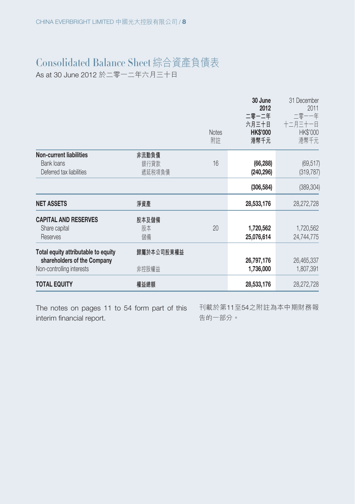# Consolidated Balance Sheet 綜合資產負債表

As at 30 June 2012 於二零一二年六月三十日

|                                        |            | <b>Notes</b><br>附註 | 30 June<br>2012<br>二零一二年<br>六月三十日<br><b>HK\$'000</b><br>港幣千元 | 31 December<br>2011<br>二零一一年<br>十二月三十一日<br><b>HK\$'000</b><br>港幣千元 |
|----------------------------------------|------------|--------------------|--------------------------------------------------------------|--------------------------------------------------------------------|
| <b>Non-current liabilities</b>         | 非流動負債      |                    |                                                              |                                                                    |
| Bank loans<br>Deferred tax liabilities | 銀行貸款       | 16                 | (66, 288)                                                    | (69, 517)                                                          |
|                                        | 遞延税項負債     |                    | (240, 296)                                                   | (319, 787)                                                         |
|                                        |            |                    | (306, 584)                                                   | (389, 304)                                                         |
| <b>NET ASSETS</b>                      | 淨資產        |                    | 28,533,176                                                   | 28,272,728                                                         |
| <b>CAPITAL AND RESERVES</b>            | 股本及儲備      |                    |                                                              |                                                                    |
| Share capital                          | 股本         | 20                 | 1,720,562                                                    | 1,720,562                                                          |
| Reserves                               | 儲備         |                    | 25,076,614                                                   | 24,744,775                                                         |
| Total equity attributable to equity    | 歸屬於本公司股東權益 |                    |                                                              |                                                                    |
| shareholders of the Company            |            |                    | 26,797,176                                                   | 26,465,337                                                         |
| Non-controlling interests              | 非控股權益      |                    | 1,736,000                                                    | 1,807,391                                                          |
| <b>TOTAL EQUITY</b>                    | 權益總額       |                    | 28,533,176                                                   | 28,272,728                                                         |

The notes on pages 11 to 54 form part of this interim financial report.

刊載於第11至54之附註為本中期財務報 告的一部分。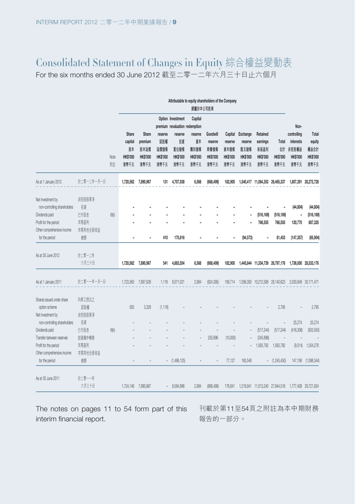# Consolidated Statement of Changes in Equity 綜合權益變動表

For the six months ended 30 June 2012 截至二零一二年六月三十日止六個月

|                                                   |               |      |                                  |                                    |                                | Attributable to equity shareholders of the Company             | 歸屬於本公司股東                      |                             |                                    |                                    |                                     |                               |                                       |                                   |
|---------------------------------------------------|---------------|------|----------------------------------|------------------------------------|--------------------------------|----------------------------------------------------------------|-------------------------------|-----------------------------|------------------------------------|------------------------------------|-------------------------------------|-------------------------------|---------------------------------------|-----------------------------------|
|                                                   |               |      | Share                            | Share                              | reserve                        | Option Investment<br>premium revaluation redemption<br>reserve | Capital<br>reserve            | Goodwill                    | Capital                            | Exchange                           | Retained                            |                               | Non-<br>controlling                   | Total                             |
|                                                   |               | Note | capital<br>股本<br><b>HK\$'000</b> | premium<br>股本溢價<br><b>HK\$'000</b> | 認股權<br>溢價儲備<br><b>HK\$'000</b> | 投資<br>重估儲備<br>HK\$'000                                         | 資本<br>腈回儲備<br><b>HK\$'000</b> | reserve<br>商譽儲備<br>HK\$'000 | reserve<br>資本儲備<br><b>HK\$'000</b> | reserve<br>匯兑儲備<br><b>HK\$'000</b> | earnings<br>保留盈利<br><b>HK\$'000</b> | Total<br>솲<br><b>HK\$'000</b> | interests<br>非控股權益<br><b>HK\$'000</b> | equity<br>權益合計<br><b>HK\$'000</b> |
|                                                   |               | 附計   | 港幣千元                             | 港幣千元                               | 港幣千元                           | 港幣千元                                                           | 港幣千元                          | 港幣千元                        | 港幣千元                               | 港幣千元                               | 港幣千元                                | 港幣千元                          | 港幣千元                                  | 港幣千元                              |
| As at 1 January 2012                              | 於二零一二年一月一日    |      | 1,720,562                        | 7,890,967                          | 131                            | 4,707,938                                                      | 6,568                         | (668, 499)                  | 182,900                            |                                    | 1,540,417 11,084,353 26,465,337     |                               |                                       | 1,807,391 28,272,728              |
| Net investment by<br>non-controlling shareholders | 非控股股東淨<br>投資  |      |                                  |                                    |                                |                                                                |                               |                             |                                    |                                    |                                     |                               | (44, 804)                             | (44, 804)                         |
| Dividends paid                                    | 已付股息          | 6(b) |                                  |                                    |                                |                                                                |                               |                             |                                    | ٠                                  | (516, 169)                          | (516, 169)                    |                                       | (516, 169)                        |
| Profit for the period                             | 本期盈利          |      |                                  |                                    |                                |                                                                |                               |                             |                                    | ٠                                  | 766,555                             | 766,555                       | 120,770                               | 887,325                           |
| Other comprehensive income                        | 本期其他全面收益      |      |                                  |                                    |                                |                                                                |                               |                             |                                    |                                    |                                     |                               |                                       |                                   |
| for the period                                    | 總額            |      |                                  |                                    | 410                            | 175,616                                                        |                               |                             |                                    | (94, 573)                          | ٠                                   | 81,453                        | (147, 357)                            | (65, 904)                         |
| As at 30 June 2012                                | 於二零一二年        |      |                                  |                                    |                                |                                                                |                               |                             |                                    |                                    |                                     |                               |                                       |                                   |
|                                                   | 六月三十日         |      |                                  | 1,720,562 7,890,967                | 541                            | 4,883,554                                                      | 6,568                         | (668, 499)                  | 182,900                            |                                    | 1,445,844 11,334,739 26,797,176     |                               |                                       | 1,736,000 28,533,176              |
| As at 1 January 2011                              | 於二零一一年一月一日    |      | 1,723,563                        | 7,887,639                          | 1,116                          | 8,071,021                                                      | 2.984                         | (924, 395)                  | 109,714                            |                                    | 1,056,393 10,212,588 28,140,623     |                               |                                       | 2,030,848 30,171,471              |
| Shares issued under share<br>option scheme        | 向員工授出之<br>認股權 |      | 583                              | 3,328                              | (1, 116)                       |                                                                |                               |                             |                                    |                                    |                                     | 2,795                         |                                       | 2,795                             |
| Net investment by<br>non-controlling shareholders | 非控股股東淨<br>投資  |      |                                  |                                    |                                |                                                                |                               |                             |                                    |                                    |                                     |                               | 25,274                                | 25,274                            |
| Dividends paid                                    | 已付股息          | 6(b) |                                  |                                    |                                |                                                                |                               |                             |                                    |                                    | (517, 244)                          | (517, 244)                    | (416, 306)                            | (933, 550)                        |
| Transfer between reserves                         | 從儲備中轉換        |      |                                  |                                    |                                |                                                                |                               | 255,896                     | (10,000)                           |                                    | (245, 896)                          |                               |                                       |                                   |
| Profit for the period                             | 本期盈利          |      |                                  |                                    |                                |                                                                |                               |                             |                                    |                                    | 1,563,792                           | 1,563,792                     | (9,514)                               | 1,554,278                         |
| Other comprehensive income                        | 本期其他全面收益      |      |                                  |                                    |                                |                                                                |                               |                             |                                    |                                    |                                     |                               |                                       |                                   |
| for the period                                    | 總額            |      |                                  |                                    |                                | $-$ (1,486,125)                                                |                               |                             | 77.127                             | 163,548                            |                                     | $-$ (1,245,450)               | 147,106                               | (1,098,344)                       |
| As at 30 June 2011                                | 於二零一一年        |      |                                  |                                    |                                |                                                                |                               |                             |                                    |                                    |                                     |                               |                                       |                                   |
|                                                   | 六月三十日         |      |                                  | 1,724,146 7,890,967                |                                | 6,584,896                                                      | 2,984                         | (668, 499)                  | 176,841                            |                                    | 1,219,941 11,013,240 27,944,516     |                               | 1,777,408 29,721,924                  |                                   |

The notes on pages 11 to 54 form part of this 刊載於第11至54頁之附註為本中期財務 interim financial report.

報告的一部分。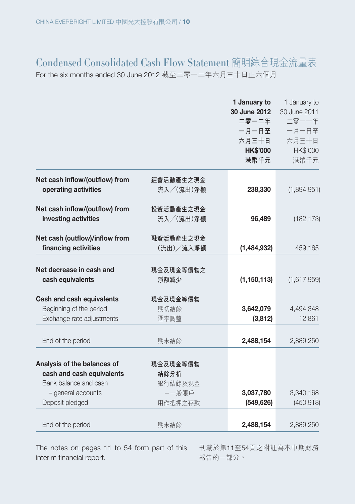### Condensed Consolidated Cash Flow Statement 簡明綜合現金流量表 For the six months ended 30 June 2012 截至二零一二年六月三十日止六個月

|                                                                                   |                          | 1 January to<br>30 June 2012<br>二零一二年<br>一月一日至<br>六月三十日<br><b>HK\$'000</b><br>港幣千元 | 1 January to<br>30 June 2011<br>二零一一年<br>一月一日至<br>六月三十日<br>HK\$'000<br>港幣千元 |
|-----------------------------------------------------------------------------------|--------------------------|------------------------------------------------------------------------------------|-----------------------------------------------------------------------------|
| Net cash inflow/(outflow) from                                                    | 經營活動產生之現金                |                                                                                    |                                                                             |
| operating activities                                                              | 流入/(流出)淨額                | 238,330                                                                            | (1,894,951)                                                                 |
| Net cash inflow/(outflow) from                                                    | 投資活動產生之現金                |                                                                                    |                                                                             |
| investing activities                                                              | 流入/(流出)淨額                | 96,489                                                                             | (182, 173)                                                                  |
| Net cash (outflow)/inflow from                                                    | 融資活動產生之現金                |                                                                                    |                                                                             |
| financing activities                                                              | (流出)/流入淨額                | (1,484,932)                                                                        | 459,165                                                                     |
| Net decrease in cash and<br>cash equivalents                                      | 現金及現金等價物之<br>淨額減少        | (1, 150, 113)                                                                      | (1,617,959)                                                                 |
| Cash and cash equivalents<br>Beginning of the period<br>Exchange rate adjustments | 現金及現金等價物<br>期初結餘<br>匯率調整 | 3,642,079<br>(3, 812)                                                              | 4,494,348<br>12,861                                                         |
| End of the period                                                                 | 期末結餘                     | 2,488,154                                                                          | 2,889,250                                                                   |
| Analysis of the balances of<br>cash and cash equivalents                          | 現金及現金等價物<br>結餘分析         |                                                                                    |                                                                             |
| Bank balance and cash                                                             | 銀行結餘及現金<br>--般賬戶         | 3,037,780                                                                          | 3,340,168                                                                   |
| - general accounts<br>Deposit pledged                                             | 用作抵押之存款                  | (549, 626)                                                                         | (450, 918)                                                                  |
| End of the period                                                                 | 期末結餘                     | 2,488,154                                                                          | 2,889,250                                                                   |

The notes on pages 11 to 54 form part of this 刊載於第11至54頁之附註為本中期財務 interim financial report.

報告的一部分。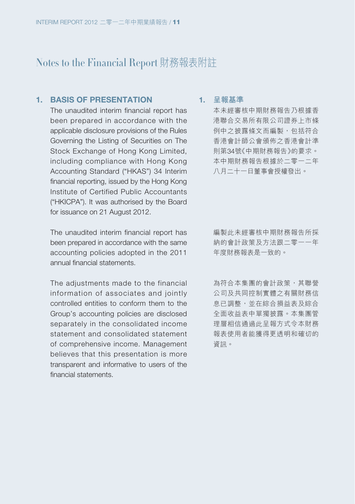#### **1. BASIS OF PRESENTATION**

The unaudited interim financial report has been prepared in accordance with the applicable disclosure provisions of the Rules Governing the Listing of Securities on The Stock Exchange of Hong Kong Limited, including compliance with Hong Kong Accounting Standard ("HKAS") 34 Interim financial reporting, issued by the Hong Kong Institute of Certified Public Accountants ("HKICPA"). It was authorised by the Board for issuance on 21 August 2012.

The unaudited interim financial report has been prepared in accordance with the same accounting policies adopted in the 2011 annual financial statements.

The adjustments made to the financial information of associates and jointly controlled entities to conform them to the Group's accounting policies are disclosed separately in the consolidated income statement and consolidated statement of comprehensive income. Management believes that this presentation is more transparent and informative to users of the financial statements.

#### **1. 呈報基準**

本未經審核中期財務報告乃根據香 港聯合交易所有限公司證券上市條 例中之披露條文而編製,包括符合 香港會計師公會頒佈之香港會計準 則第34號《中期財務報告》的要求。 本中期財務報告根據於二零一二年 八月二十一日董事會授權發出。

編製此未經審核中期財務報告所採 納的會計政策及方法跟二零一一年 年度財務報表是一致的。

為符合本集團的會計政策,其聯營 公司及共同控制實體之有關財務信 息已調整,並在綜合損益表及綜合 全面收益表中單獨披露。本集團管 理層相信通過此呈報方式令本財務 報表使用者能獲得更透明和確切的 資訊。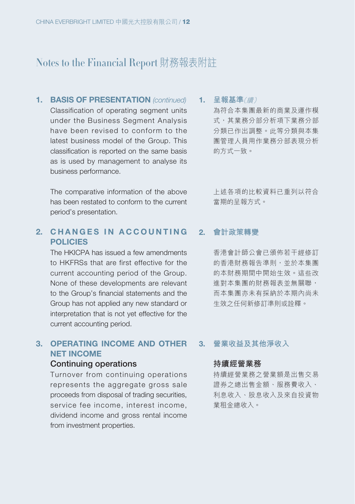**1. BASIS OF PRESENTATION** (continued) Classification of operating segment units under the Business Segment Analysis have been revised to conform to the latest business model of the Group. This classification is reported on the same basis as is used by management to analyse its business performance.

The comparative information of the above has been restated to conform to the current period's presentation.

#### **2. CHANGES IN ACCOUNTING POLICIES**

The HKICPA has issued a few amendments to HKFRSs that are first effective for the current accounting period of the Group. None of these developments are relevant to the Group's financial statements and the Group has not applied any new standard or interpretation that is not yet effective for the current accounting period.

### **3. OPERATING INCOME AND OTHER NET INCOME**

#### **Continuing operations**

Turnover from continuing operations represents the aggregate gross sale proceeds from disposal of trading securities, service fee income, interest income, dividend income and gross rental income from investment properties.

**1. 呈報基準**(續) 為符合本集團最新的商業及運作模 式,其業務分部分部分 分類已作出調整。此等分類與本集 團管理人員用作業務分部表現分析 的方式一致。

> 上述各項的比較資料已重列以符合 當期的呈報方式。

#### **2. 會計政策轉變**

香港會計師公會已頒佈若干經修訂 的香港財務報告準則,並於本集團 的本財務期間中開始生效。這些改 進對本集團的財務報表並無關聯, 而本集團亦未有採納於本期內尚未 生效之任何新修訂準則或詮釋。

#### **3. 營業收益及其他淨收入**

#### **持續經營業務**

持續經營業務之營業額是出售交易 證券之總出售金額、服務費收入、 利息收入、股息收入及來自投資物 業租金總收入。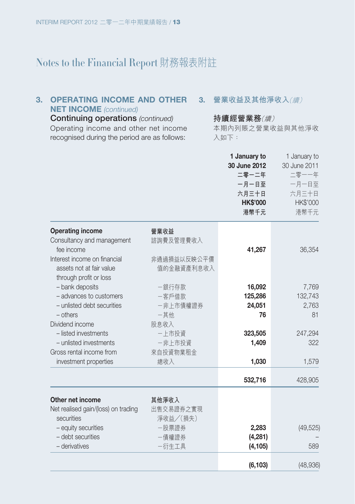#### 3. OPERATING INCOME AND OTHER 3. 營業收益及其他淨收入*(續)* **NET INCOME** (continued)

**Continuing operations** (continued) Operating income and other net income recognised during the period are as follows:

#### **持續經營業務**(續)

本期內列賬之營業收益與其他淨收 入如下:

|                                                                                    |                           | 1 January to<br>30 June 2012<br>二零一二年<br>一月一日至<br>六月三十日<br><b>HK\$'000</b><br>港幣千元 | 1 January to<br>30 June 2011<br>二零一一年<br>一月一日至<br>六月三十日<br>HK\$'000<br>港幣千元 |
|------------------------------------------------------------------------------------|---------------------------|------------------------------------------------------------------------------------|-----------------------------------------------------------------------------|
| <b>Operating income</b><br>Consultancy and management<br>fee income                | 營業收益<br>諮詢費及管理費收入         | 41,267                                                                             | 36,354                                                                      |
| Interest income on financial<br>assets not at fair value<br>through profit or loss | 非通過損益以反映公平價<br>值的金融資產利息收入 |                                                                                    |                                                                             |
| - bank deposits                                                                    | 一銀行存款                     | 16,092                                                                             | 7,769                                                                       |
| - advances to customers                                                            | 一客戶借款                     | 125,286                                                                            | 132,743                                                                     |
| - unlisted debt securities<br>$-$ others                                           | 一非上市債權證券<br>一其他           | 24,051<br>76                                                                       | 2,763<br>81                                                                 |
| Dividend income                                                                    | 股息收入                      |                                                                                    |                                                                             |
| - listed investments                                                               | - 上市投資                    | 323,505                                                                            | 247,294                                                                     |
| - unlisted investments                                                             | 一非上市投資                    | 1,409                                                                              | 322                                                                         |
| Gross rental income from                                                           | 來自投資物業租金                  |                                                                                    |                                                                             |
| investment properties                                                              | 總收入                       | 1,030                                                                              | 1,579                                                                       |
|                                                                                    |                           | 532,716                                                                            | 428,905                                                                     |
| Other net income                                                                   | 其他淨收入                     |                                                                                    |                                                                             |
| Net realised gain/(loss) on trading                                                | 出售交易證券之實現                 |                                                                                    |                                                                             |
| securities                                                                         | 淨收益/(損失)                  |                                                                                    |                                                                             |
| - equity securities                                                                | -股票證券                     | 2,283                                                                              | (49, 525)                                                                   |
| - debt securities                                                                  | -債權證券                     | (4,281)                                                                            |                                                                             |
| - derivatives                                                                      | 一衍生工具                     | (4, 105)                                                                           | 589                                                                         |
|                                                                                    |                           | (6, 103)                                                                           | (48, 936)                                                                   |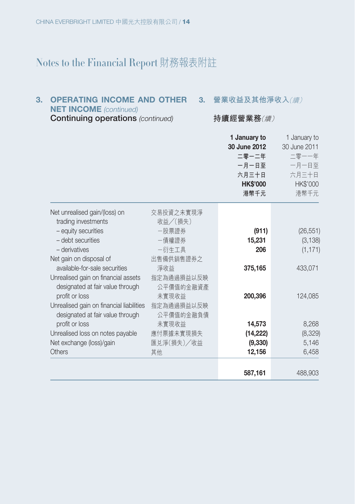#### 3. OPERATING INCOME AND OTHER 3. 營業收益及其他淨收入*(續)*

**NET INCOME** (continued)

**Continuing operations** (continued)

#### **持續經營業務**(續)

|                                                      |                      | 1 January to<br>30 June 2012<br>二零一二年<br>一月一日至<br>六月三十日<br><b>HK\$'000</b><br>港幣千元 | 1 January to<br>30 June 2011<br>二零一一年<br>一月一日至<br>六月三十日<br>HK\$'000<br>港幣千元 |
|------------------------------------------------------|----------------------|------------------------------------------------------------------------------------|-----------------------------------------------------------------------------|
| Net unrealised gain/(loss) on<br>trading investments | 交易投資之未實現淨<br>收益/(損失) |                                                                                    |                                                                             |
| - equity securities                                  | -股票證券                | (911)                                                                              | (26, 551)                                                                   |
| - debt securities                                    | -倩權誇券                | 15,231                                                                             | (3, 138)                                                                    |
| - derivatives                                        | 一衍生工具                | 206                                                                                | (1, 171)                                                                    |
| Net gain on disposal of                              | 出售備供銷售證券之            |                                                                                    |                                                                             |
| available-for-sale securities                        | 淨收益                  | 375,165                                                                            | 433,071                                                                     |
| Unrealised gain on financial assets                  | 指定為通過損益以反映           |                                                                                    |                                                                             |
| designated at fair value through                     | 公平價值的金融資產            |                                                                                    |                                                                             |
| profit or loss                                       | 未實現收益                | 200,396                                                                            | 124,085                                                                     |
| Unrealised gain on financial liabilities             | 指定為通過損益以反映           |                                                                                    |                                                                             |
| designated at fair value through                     | 公平價值的金融負債            |                                                                                    |                                                                             |
| profit or loss                                       | 未實現收益                | 14,573                                                                             | 8,268                                                                       |
| Unrealised loss on notes payable                     | 應付票據未實現損失            | (14, 222)                                                                          | (8,329)                                                                     |
| Net exchange (loss)/gain                             | 匯兑淨(損失)/收益           | (9, 330)                                                                           | 5,146                                                                       |
| Others                                               | 其他                   | 12,156                                                                             | 6,458                                                                       |
|                                                      |                      |                                                                                    |                                                                             |
|                                                      |                      | 587,161                                                                            | 488,903                                                                     |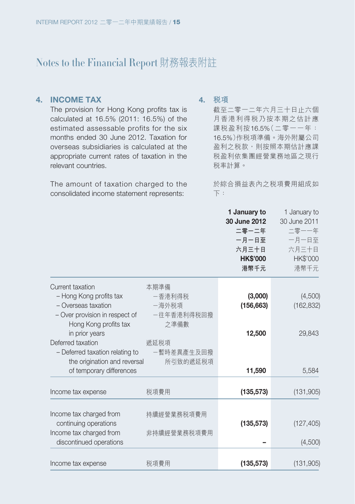#### **4. INCOME TAX**

The provision for Hong Kong profits tax is calculated at 16.5% (2011: 16.5%) of the estimated assessable profits for the six months ended 30 June 2012. Taxation for overseas subsidiaries is calculated at the appropriate current rates of taxation in the relevant countries.

The amount of taxation charged to the consolidated income statement represents:

#### **4. 稅項**

截至二零一二年六月三十日止六個 月香港利得稅乃按本期之估計應 課稅盈利按16.5%(二零一一年: 16.5%)作稅項準備。海外附屬公司 盈利之稅款,則按照本期估計應課 稅盈利依集團經營業務地區之現行 稅率計算。

於綜合損益表內之稅項費用組成如 下:

|                                                                                |                             | 1 January to<br>30 June 2012<br>二零一二年<br>一月一日至<br>六月三十日<br><b>HK\$'000</b><br>港幣千元 | 1 January to<br>30 June 2011<br>二零一一年<br>一月一日至<br>六月三十日<br>HK\$'000<br>港幣千元 |
|--------------------------------------------------------------------------------|-----------------------------|------------------------------------------------------------------------------------|-----------------------------------------------------------------------------|
| Current taxation<br>- Hong Kong profits tax                                    | 本期準備<br>-香港利得税              | (3,000)                                                                            | (4,500)                                                                     |
| - Overseas taxation<br>- Over provision in respect of<br>Hong Kong profits tax | 一海外税項<br>一往年香港利得税回撥<br>之準備數 | (156, 663)                                                                         | (162, 832)                                                                  |
| in prior years<br>Deferred taxation                                            | 遞延税項                        | 12,500                                                                             | 29,843                                                                      |
| - Deferred taxation relating to                                                | 一暫時差異產生及回撥                  |                                                                                    |                                                                             |
| the origination and reversal<br>of temporary differences                       | 所引致的遞延税項                    | 11,590                                                                             | 5,584                                                                       |
| Income tax expense                                                             | 税項費用                        | (135, 573)                                                                         | (131, 905)                                                                  |
| Income tax charged from                                                        | 持續經營業務税項費用                  |                                                                                    |                                                                             |
| continuing operations<br>Income tax charged from                               | 非持續經營業務税項費用                 | (135, 573)                                                                         | (127, 405)                                                                  |
| discontinued operations                                                        |                             |                                                                                    | (4,500)                                                                     |
| Income tax expense                                                             | 税項費用                        | (135, 573)                                                                         | (131,905)                                                                   |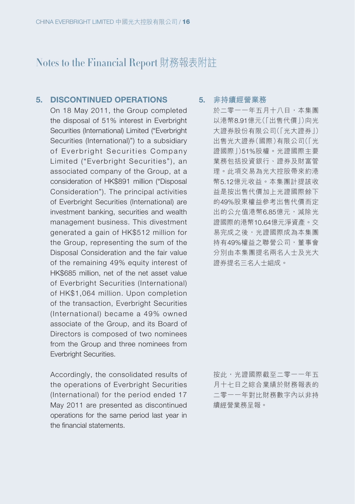#### **5. DISCONTINUED OPERATIONS**

On 18 May 2011, the Group completed the disposal of 51% interest in Everbright Securities (International) Limited ("Everbright Securities (International)") to a subsidiary of Everbright Securities Company Limited ("Everbright Securities"), an associated company of the Group, at a consideration of HK\$891 million ("Disposal Consideration"). The principal activities of Everbright Securities (International) are investment banking, securities and wealth management business. This divestment generated a gain of HK\$512 million for the Group, representing the sum of the Disposal Consideration and the fair value of the remaining 49% equity interest of HK\$685 million, net of the net asset value of Everbright Securities (International) of HK\$1,064 million. Upon completion of the transaction, Everbright Securities (International) became a 49% owned associate of the Group, and its Board of Directors is composed of two nominees from the Group and three nominees from Everbright Securities.

Accordingly, the consolidated results of the operations of Everbright Securities (International) for the period ended 17 May 2011 are presented as discontinued operations for the same period last year in the financial statements.

**5. 非持續經營業務**

於二零一一年五月十八日,本集團 以港幣8.91億元(「出售代價」)向光 大證券股份有限公司(「光大證券」) 出售光大證券(國際)有限公司(「光 證國際」)51%股權。光證國際主要 業務包括投資銀行、證券及財富管 理。此項交易為光大控股帶來約港 幣5.12億元收益。本集團計提該收 益是按出售代價加上光證國際餘下 的49%股東權益參考出售代價而定 出的公允值港幣6.85億元,減除光 證國際的港幣10.64億元淨資產。交 易完成之後,光證國際成為本集團 持有49%權益之聯營公司,董事會 分別由本集團提名兩名人士及光大 證券提名三名人士組成。

按此,光證國際截至二零一一年五 月十七日之綜合業績於財務報表的 二零一一年對比財務數字內以非持 續經營業務呈報。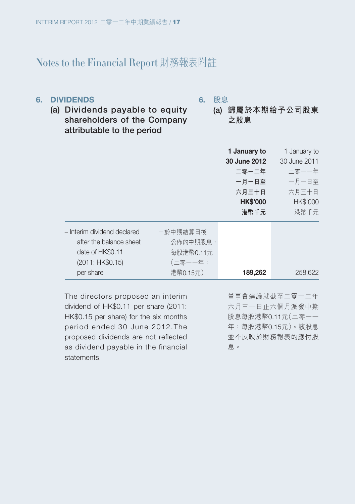#### **6. DIVIDENDS**

**6. 股息**

- **(a) Dividends payable to equity shareholders of the Company attributable to the period**
- **(a) 歸屬於本期給予公司股東 之股息**

|                                                                                                             |                                                          | 1 January to<br>30 June 2012<br>二零一二年<br>一月一日至<br>六月三十日<br><b>HK\$'000</b><br>港幣千元 | 1 January to<br>30 June 2011<br>二零一一年<br>一月一日至<br>六月三十日<br><b>HK\$'000</b><br>港幣千元 |
|-------------------------------------------------------------------------------------------------------------|----------------------------------------------------------|------------------------------------------------------------------------------------|------------------------------------------------------------------------------------|
| - Interim dividend declared<br>after the balance sheet<br>date of HK\$0.11<br>(2011: HK\$0.15)<br>per share | 一於中期結算日後<br>公佈的中期股息,<br>每股港幣0.11元<br>(二零一一年:<br>港幣0.15元) | 189,262                                                                            | 258,622                                                                            |

The directors proposed an interim dividend of HK\$0.11 per share (2011: HK\$0.15 per share) for the six months period ended 30 June 2012.The proposed dividends are not reflected as dividend payable in the financial statements.

董事會建議就截至二零一二年 六月三十日止六個月派發中期 股息每股港幣0.11元(二零一一 年:每股港幣0.15元)。該股息 並不反映於財務報表的應付股 息。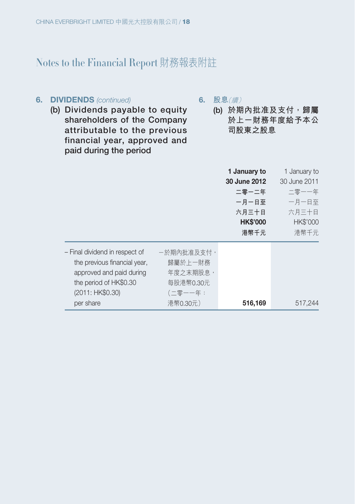#### **6. DIVIDENDS** (continued)

**6. 股息**(續)

- **(b) Dividends payable to equity shareholders of the Company attributable to the previous financial year, approved and paid during the period**
- **(b) 於期內批准及支付,歸屬 於上一財務年度給予本公 司股東之股息**

|                                |            | 1 January to    | 1 January to    |
|--------------------------------|------------|-----------------|-----------------|
|                                |            | 30 June 2012    | 30 June 2011    |
|                                |            | 二零一二年           | 二零一一年           |
|                                |            | 一月一日至           | 一月一日至           |
|                                |            | 六月三十日           | 六月三十日           |
|                                |            | <b>HK\$'000</b> | <b>HK\$'000</b> |
|                                |            | 港幣千元            | 港幣千元            |
| - Final dividend in respect of | 一於期內批准及支付, |                 |                 |
| the previous financial year,   | 歸屬於上一財務    |                 |                 |
| approved and paid during       | 年度之末期股息,   |                 |                 |
| the period of HK\$0.30         | 每股港幣0.30元  |                 |                 |
| (2011: HK\$0.30)               | (二零一一年:    |                 |                 |
| per share                      | 港幣0.30元)   | 516,169         | 517,244         |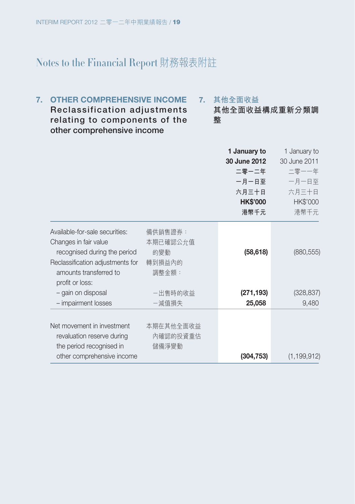**7. 其他全面收益 其他全面收益構成重新分類調 整 7. OTHER COMPREHENSIVE INCOME Reclassification adjustments relating to components of the other comprehensive income**

|                                                                                                                                                                          |                                               | 1 January to<br>30 June 2012<br>二零一二年<br>一月一日至<br>六月三十日<br><b>HK\$'000</b><br>港幣千元 | 1 January to<br>30 June 2011<br>二零一一年<br>一月一日至<br>六月三十日<br>HK\$'000<br>港幣千元 |
|--------------------------------------------------------------------------------------------------------------------------------------------------------------------------|-----------------------------------------------|------------------------------------------------------------------------------------|-----------------------------------------------------------------------------|
| Available-for-sale securities:<br>Changes in fair value<br>recognised during the period<br>Reclassification adjustments for<br>amounts transferred to<br>profit or loss: | 備供銷售證券:<br>本期已確認公允值<br>的變動<br>轉到損益內的<br>調整金額: | (58, 618)                                                                          | (880, 555)                                                                  |
| - gain on disposal                                                                                                                                                       | 一出售時的收益                                       | (271, 193)                                                                         | (328, 837)                                                                  |
| - impairment losses                                                                                                                                                      | -減值損失                                         | 25,058                                                                             | 9,480                                                                       |
| Net movement in investment<br>revaluation reserve during<br>the period recognised in<br>other comprehensive income                                                       | 本期在其他全面收益<br>內確認的投資重估<br>儲備淨變動                | (304, 753)                                                                         | (1, 199, 912)                                                               |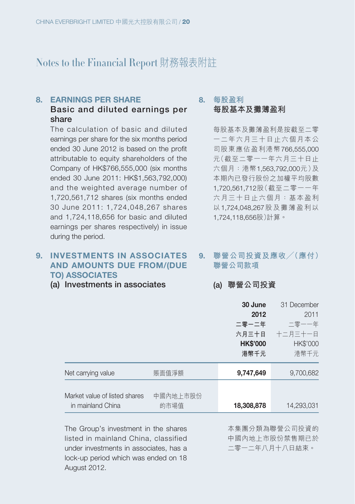#### **8. EARNINGS PER SHARE**

#### **Basic and diluted earnings per share**

The calculation of basic and diluted earnings per share for the six months period ended 30 June 2012 is based on the profit attributable to equity shareholders of the Company of HK\$766,555,000 (six months ended 30 June 2011: HK\$1,563,792,000) and the weighted average number of 1,720,561,712 shares (six months ended 30 June 2011: 1,724,048,267 shares and 1,724,118,656 for basic and diluted earnings per shares respectively) in issue during the period.

#### **9. INVESTMENTS IN ASSOCIATES AND AMOUNTS DUE FROM/(DUE TO) ASSOCIATES**

**(a) Investments in associates**

#### **8. 每股盈利 每股基本及攤薄盈利**

每股基本及攤薄盈利是按截至二零 一二年六月三十日止六個月本公 司股東應佔盈利港幣766,555,000 元(截至二零一一年六月三十日止 六個月:港幣1,563,792,000元)及 本期內已發行股份之加權平均股數 1,720,561,712股(截至二零一一年 六月三十日止六個月:基本盈利 以1,724,048,267股及攤薄盈利以 1,724,118,656股)計算。

#### **9. 聯營公司投資及應收╱(應付) 聯營公司款項**

#### **(a) 聯營公司投資**

|                               |          | 30 June         | 31 December |
|-------------------------------|----------|-----------------|-------------|
|                               |          | 2012            | 2011        |
|                               |          | 二零一二年           | 二零一一年       |
|                               |          | 六月三十日           | 十二月三十一日     |
|                               |          | <b>HK\$'000</b> | HK\$'000    |
|                               |          | 港幣千元            | 港幣千元        |
| Net carrying value            | 賬面值淨額    | 9,747,649       | 9,700,682   |
|                               |          |                 |             |
| Market value of listed shares | 中國內地上市股份 |                 |             |
| in mainland China             | 的市場值     | 18,308,878      | 14,293,031  |
|                               |          |                 |             |

The Group's investment in the shares listed in mainland China, classified under investments in associates, has a lock-up period which was ended on 18 August 2012.

本集團分類為聯營公司投資的 中國內地上市股份禁售期已於 二零一二年八月十八日結束。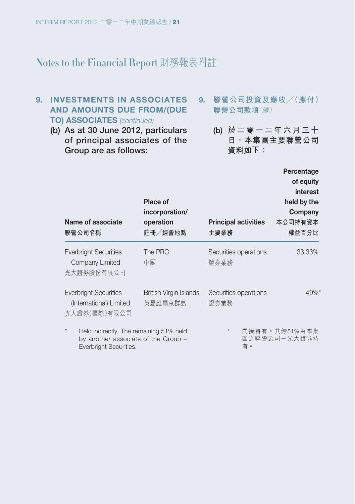#### **9. INVESTMENTS IN ASSOCIATES AND AMOUNTS DUE FROM/(DUE TO) ASSOCIATES** (continued)

- **(b) As at 30 June 2012, particulars of principal associates of the Group are as follows:**
- **9. 聯營公司投資及應收╱(應付) 聯營公司款項**(續)
	- **(b) 於二零一二年六月三十 日,本集團主要聯營公司 資料如下:**

| Name of associate<br>聯營公司名稱                                                                                         | Place of<br>incorporation/<br>operation<br>註冊/經營地點 | <b>Principal activities</b><br>主要業務 | Percentage<br>of equity<br>interest<br>held by the<br>Company<br>本公司持有資本<br>權益百分比 |
|---------------------------------------------------------------------------------------------------------------------|----------------------------------------------------|-------------------------------------|-----------------------------------------------------------------------------------|
| <b>Everbright Securities</b><br>Company Limited<br>光大證券股份有限公司                                                       | The PRC<br>中國                                      | Securities operations<br>證券業務       | 33.33%                                                                            |
| <b>Everbright Securities</b><br>(International) Limited<br>光大證券(國際)有限公司                                             | British Virgin Islands<br>英屬維爾京群島                  | Securities operations<br>證券業務       | $49\%$ <sup>*</sup>                                                               |
| $\star$<br>Held indirectly. The remaining 51% held<br>by another associate of the Group -<br>Everbriaht Securities. |                                                    | $\star$<br>有。                       | 間接持有。其餘51%由本集<br>團之聯營公司一光大證券持                                                     |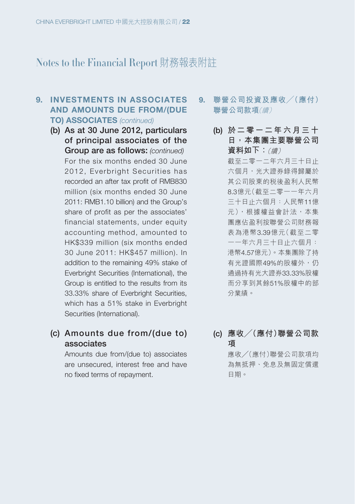#### **9. INVESTMENTS IN ASSOCIATES AND AMOUNTS DUE FROM/(DUE TO) ASSOCIATES** (continued)

**(b) As at 30 June 2012, particulars of principal associates of the Group are as follows:** (continued) For the six months ended 30 June 2012, Everbright Securities has recorded an after tax profit of RMB830 million (six months ended 30 June 2011: RMB1.10 billion) and the Group's share of profit as per the associates' financial statements, under equity accounting method, amounted to HK\$339 million (six months ended 30 June 2011: HK\$457 million). In addition to the remaining 49% stake of Everbright Securities (International), the Group is entitled to the results from its 33.33% share of Everbright Securities, which has a 51% stake in Everbright Securities (International).

### **(c) Amounts due from/(due to) associates**

Amounts due from/(due to) associates are unsecured, interest free and have no fixed terms of repayment.

- **9. 聯營公司投資及應收╱(應付) 聯營公司款項**(續)
	- **(b) 於二零一二年六月三十 日,本集團主要聯營公司 資料如下:**(續)
		- 截至二零一二年六月三十日止 六個月,光大證券錄得歸屬於 其公司股東的稅後盈利人民幣 8.3億元(截至二零一一年六月 三十日止六個月:人民幣11億 元),根據權益會計法,本集 團應佔盈利按聯營公司財務報 表為港幣3.39億元(截至二零 一一年六月三十日止六個月: 港幣4.57億元)。本集團除了持 有光證國際49%的股權外,仍 通過持有光大證券33.33%股權 而分享到其餘51%股權中的部 分業績。
	- **(c) 應收╱(應付)聯營公司款 項** 應收╱(應付)聯營公司款項均

為無抵押、免息及無固定償還 日期。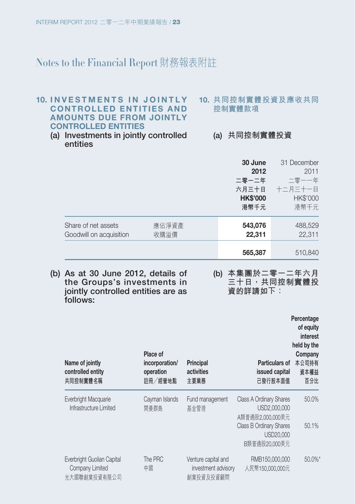#### **10. INVESTMENTS IN JOINTLY CONTROLLED ENTITIES AND AMOUNTS DUE FROM JOINTLY CONTROLLED ENTITIES**

- **10. 共同控制實體投資及應收共同 控制實體款項**
- **(a) Investments in jointly controlled entities**
- **(a) 共同控制實體投資**

|                                                |               | 30 June<br>2012<br>二零一二年<br>六月三十日<br><b>HK\$'000</b><br>港幣千元 | 31 December<br>2011<br>二零一一年<br>十二月三十一日<br>HK\$'000<br>港幣千元 |
|------------------------------------------------|---------------|--------------------------------------------------------------|-------------------------------------------------------------|
| Share of net assets<br>Goodwill on acquisition | 應佔淨資產<br>收購溢價 | 543,076<br>22,311                                            | 488,529<br>22,311                                           |
|                                                |               | 565,387                                                      | 510,840                                                     |

- **(b) As at 30 June 2012, details of the Groups's investments in jointly controlled entities are as follows:**
- **(b) 本集團於二零一二年六月 三十日,共同控制實體投 資的詳請如下:**

| Name of jointly<br>controlled entity<br>共同控制實體名稱              | Place of<br>incorporation/<br>operation<br>註冊/經營地點 | Principal<br>activities<br>主要業務                         | Particulars of<br>issued capital<br>已發行股本面值                  | Percentage<br>of equity<br>interest<br>held by the<br>Company<br>本公司持有<br>資本權益<br>百分比 |
|---------------------------------------------------------------|----------------------------------------------------|---------------------------------------------------------|--------------------------------------------------------------|---------------------------------------------------------------------------------------|
| Everbright Macquarie<br>Infrastructure Limited                | Cayman Islands<br>開曼群島                             | Fund management<br>基金管理                                 | Class A Ordinary Shares<br>USD2,000,000<br>A類普通股2.000.000美元  | 50.0%                                                                                 |
|                                                               |                                                    |                                                         | <b>Class B Ordinary Shares</b><br>USD20,000<br>B類普通股20.000美元 | 50.1%                                                                                 |
| Everbright Guolian Capital<br>Company Limited<br>光大國聯創業投資有限公司 | The PRC<br>中國                                      | Venture capital and<br>investment advisory<br>創業投資及投資顧問 | RMB150,000,000<br>人民幣150,000,000元                            | 50.0%*                                                                                |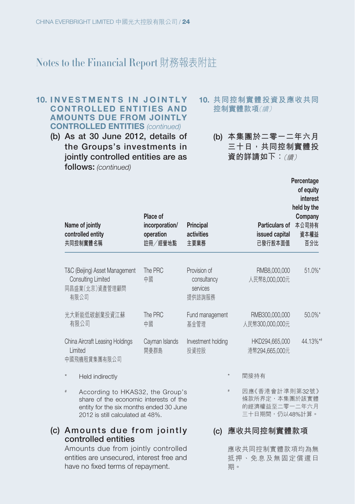#### **10. INVESTMENTS IN JOINTLY CONTROLLED ENTITIES AND AMOUNTS DUE FROM JOINTLY CONTROLLED ENTITIES** (continued)

- **(b) As at 30 June 2012, details of the Groups's investments in jointly controlled entities are as follows:** (continued)
- **10. 共同控制實體投資及應收共同 控制實體款項**(續)
	- **(b) 本集團於二零一二年六月 三十日,共同控制實體投 資的詳請如下:**(續)

**Percentage of equity** 

| Name of jointly<br>controlled entity<br>共同控制實體名稱                                                                                                                  | Place of<br>incorporation/<br>operation<br>註冊/經營地點 | Principal<br>activities<br>主要業務                   |      | <b>Particulars of</b><br>issued capital<br>已發行股本面值                 | vi vquity<br>interest<br>held by the<br>Company<br>本公司持有<br>資本權益<br>百分比 |
|-------------------------------------------------------------------------------------------------------------------------------------------------------------------|----------------------------------------------------|---------------------------------------------------|------|--------------------------------------------------------------------|-------------------------------------------------------------------------|
| T&C (Beijing) Asset Management<br>Consulting Limited<br>同昌盛業(北京)資產管理顧問<br>有限公司                                                                                    | The PRC<br>中國                                      | Provision of<br>consultancy<br>services<br>提供諮詢服務 |      | RMB8,000,000<br>人民幣8.000.000元                                      | $51.0\%$ *                                                              |
| 光大新能低碳創業投資江蘇<br>有限公司                                                                                                                                              | The PRC<br>中國                                      | Fund management<br>基金管理                           |      | RMB300,000,000<br>人民幣300,000,000元                                  | 50.0%*                                                                  |
| China Aircraft Leasing Holdings<br>Limited<br>中國飛機租賃集團有限公司                                                                                                        | Cayman Islands<br>開曼群島                             | Investment holding<br>投資控股                        |      | HKD294,665,000<br>港幣294,665,000元                                   | 44.13%*                                                                 |
| Held indirectly                                                                                                                                                   |                                                    |                                                   |      | 間接持有                                                               |                                                                         |
| According to HKAS32, the Group's<br>$\#$<br>share of the economic interests of the<br>entity for the six months ended 30 June<br>2012 is still calculated at 48%. |                                                    |                                                   | $\#$ | 因應《香港會計準則第32號》<br>條款所界定,本集團於該實體<br>的經濟權益至二零一二年六月<br>三十日期間,仍以48%計算。 |                                                                         |
| Amounts due from jointly<br>controlled entities                                                                                                                   |                                                    | (c)                                               |      | 應收共同控制實體款項                                                         |                                                                         |

Amounts due from jointly controlled entities are unsecured, interest free and have no fixed terms of repayment.

應收共同控制實體款項均為無 抵押、免息及無固定償還日 期。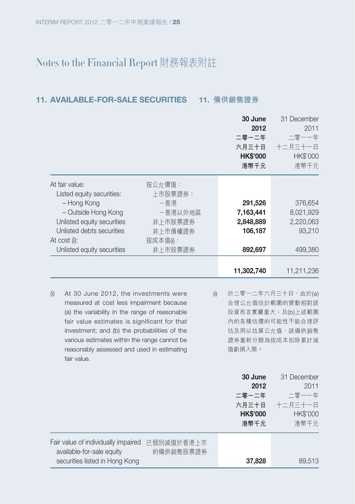#### **11. AVAILABLE-FOR-SALE SECURITIES 11. 備供銷售證券**

|                                                                                                                                                                                                                                                                                                                                                                | 30 June<br>2012<br>二零一二年<br>六月三十日<br><b>HK\$'000</b><br>港幣千元 | 31 December<br>2011<br>二零一一年<br>十二月三十一日<br>HK\$'000<br>港幣千元                                                         |
|----------------------------------------------------------------------------------------------------------------------------------------------------------------------------------------------------------------------------------------------------------------------------------------------------------------------------------------------------------------|--------------------------------------------------------------|---------------------------------------------------------------------------------------------------------------------|
| At fair value:<br>按公允價值:<br>Listed equity securities:<br>上市股票證券:<br>- Hong Kong<br>-香港<br>- Outside Hong Kong<br>一香港以外地區<br>Unlisted equity securities<br>非上市股票證券<br>Unlisted debts securities<br>非上市債權證券<br>At cost (i):<br>按成本值(i):                                                                                                                          | 291,526<br>7,163,441<br>2,848,889<br>106,187                 | 376,654<br>8,021,929<br>2,220,063<br>93,210                                                                         |
| Unlisted equity securities<br>非上市股票證券                                                                                                                                                                                                                                                                                                                          | 892,697<br>11,302,740                                        | 499,380<br>11,211,236                                                                                               |
| At 30 June 2012, the investments were<br>(i)<br>(i)<br>measured at cost less impairment because<br>(a) the variability in the range of reasonable<br>fair value estimates is significant for that<br>investment; and (b) the probabilities of the<br>various estimates within the range cannot be<br>reasonably assessed and used in estimating<br>fair value. | 值虧損入賬。                                                       | 於二零一二年六月三十日,由於(a)<br>合理公允值估計範圍的變動相對該<br>投資而言實屬重大;及(b)上述範圍<br>內的各種估價的可能性不能合理評<br>估及用以估算公允值, 該備供銷售<br>證券重新分類為按成本扣除累計減 |
|                                                                                                                                                                                                                                                                                                                                                                | 30 June<br>2012<br>二零一二年<br>六月三十日<br><b>HK\$'000</b><br>港幣千元 | 31 December<br>2011<br>二零一一年<br>十二月三十一日<br>HK\$'000<br>港幣千元                                                         |

Fair value of individually impaired 已個別減值於香港上市 available-for-sale equity securities listed in Hong Kong 的備供銷售股票證券 **37,828** 89,513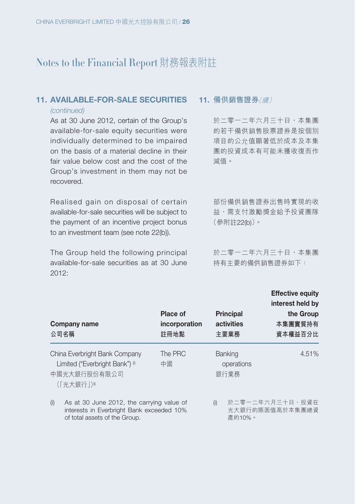#### **11. AVAILABLE-FOR-SALE SECURITIES**

#### (continued)

As at 30 June 2012, certain of the Group's available-for-sale equity securities were individually determined to be impaired on the basis of a material decline in their fair value below cost and the cost of the Group's investment in them may not be recovered.

Realised gain on disposal of certain available-for-sale securities will be subject to the payment of an incentive project bonus to an investment team (see note 22(b)).

The Group held the following principal available-for-sale securities as at 30 June  $2012.$ 

#### **11. 備供銷售證券**(續)

於二零一二年六月三十日,本集團 的若干備供銷售股票證券是按個別 項目的公允值顯著低於成本及本集 團的投資成本有可能未獲收復而作 減值。

部份備供銷售證券出售時實現的收 益,需支付激勵獎金給予投資團隊 (參附註22(b))。

於二零一二年六月三十日,本集團 持有主要的備供銷售證券如下:

**Effective equity**

| Company name<br>公司名稱                                                                        | Place of<br>incorporation<br>註冊地點 | <b>Principal</b><br>activities<br>主要業務 | interest held by<br>the Group<br>本集團實質持有<br>資本權益百分比 |
|---------------------------------------------------------------------------------------------|-----------------------------------|----------------------------------------|-----------------------------------------------------|
| China Everbright Bank Company<br>Limited ("Everbright Bank") ®<br>中國光大銀行股份有限公司<br>(「光大銀行」)® | The PRC<br>中國                     | <b>Banking</b><br>operations<br>銀行業務   | 4.51%                                               |
| As at 30 June 2012, the carrying value of<br>(i)                                            |                                   | (i)                                    | 於二零一二年六月三十日,投資在                                     |

interests in Everbright Bank exceeded 10% of total assets of the Group.

光大銀行的賬面值高於本集團總資 產的10%。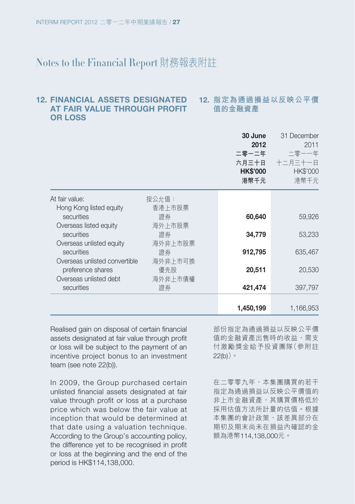#### **12. 指定為通過損益以反映公平價 值的金融資產 12. FINANCIAL ASSETS DESIGNATED AT FAIR VALUE THROUGH PROFIT OR LOSS**

|                                                    |                | 30 June<br>2012<br>二零一二年<br>六月三十日<br><b>HK\$'000</b><br>港幣千元 | 31 December<br>2011<br>二零一一年<br>十二月三十一日<br>HK\$'000<br>港幣千元 |
|----------------------------------------------------|----------------|--------------------------------------------------------------|-------------------------------------------------------------|
| At fair value:                                     | 按公允值:          |                                                              |                                                             |
| Hong Kong listed equity<br>securities              | 香港 上市股票        | 60,640                                                       | 59,926                                                      |
| Overseas listed equity                             | 海外上市股票         |                                                              |                                                             |
| securities<br>Overseas unlisted equity             | 諮券<br>海外非上市股票  | 34,779                                                       | 53,233                                                      |
| securities                                         | 諮券             | 912,795                                                      | 635,467                                                     |
| Overseas unlisted convertible<br>preference shares | 海外非上市可換<br>優先股 | 20,511                                                       | 20,530                                                      |
| Overseas unlisted debt                             | 海外非上市債權        |                                                              |                                                             |
| securities                                         | 證券             | 421,474                                                      | 397,797                                                     |
|                                                    |                | 1,450,199                                                    | 1,166,953                                                   |

Realised gain on disposal of certain financial assets designated at fair value through profit or loss will be subject to the payment of an incentive project bonus to an investment team (see note 22(b)).

In 2009, the Group purchased certain unlisted financial assets designated at fair value through profit or loss at a purchase price which was below the fair value at inception that would be determined at that date using a valuation technique. According to the Group's accounting policy, the difference yet to be recognised in profit or loss at the beginning and the end of the period is HK\$114,138,000.

部份指定為通過損益以反映公平價 值的金融資產出售時的收益,需支 付激勵獎金給予投資團隊(參附註 22(b))。

在二零零九年,本集團購買的若干 指定為通過損益以反映公平價值的 非上市金融資產,其購買價格低於 採用估值方法所計量的估值。根據 本集團的會計政策,該差異部分在 期初及期末尚未在損益內確認的金 額為港幣114,138,000元。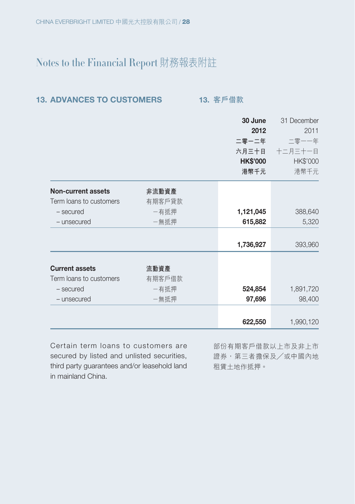| <b>13. ADVANCES TO CUSTOMERS</b> |  |
|----------------------------------|--|
|----------------------------------|--|

**13. 客戶借款** 

|                           |        | 30 June         | 31 December |
|---------------------------|--------|-----------------|-------------|
|                           |        | 2012            | 2011        |
|                           |        | 二零一二年           | 二零一一年       |
|                           |        | 六月三十日           | 十二月三十一日     |
|                           |        | <b>HK\$'000</b> | HK\$'000    |
|                           |        | 港幣千元            | 港幣千元        |
| <b>Non-current assets</b> | 非流動資產  |                 |             |
| Term loans to customers   | 有期客戶貸款 |                 |             |
| - secured                 | -有抵押   | 1,121,045       | 388,640     |
| - unsecured               | 一無抵押   | 615,882         | 5,320       |
|                           |        | 1,736,927       | 393,960     |
|                           |        |                 |             |
| <b>Current assets</b>     | 流動資產   |                 |             |
| Term loans to customers   | 有期客戶借款 |                 |             |
| - secured                 | 一有抵押   | 524,854         | 1,891,720   |
| - unsecured               | 一無抵押   | 97,696          | 98,400      |
|                           |        |                 |             |
|                           |        | 622,550         | 1,990,120   |

Certain term loans to customers are secured by listed and unlisted securities, third party guarantees and/or leasehold land in mainland China.

部份有期客戶借款以上市及非上市 證券,第三者擔保及/或中國內地 租賃土地作抵押。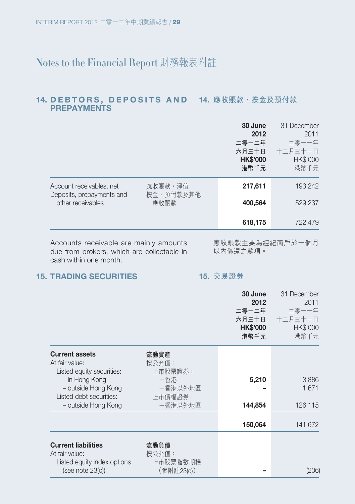#### 14. DEBTORS, DEPOSITS AND 14. 應收賬款、按金及預付款 **PREPAYMENTS**

|                                                       |                      | 30 June<br>2012<br>二零一二年<br>六月三十日<br><b>HK\$'000</b><br>港幣千元 | 31 December<br>2011<br>二零一一年<br>十二月三十一日<br><b>HK\$'000</b><br>港幣千元 |
|-------------------------------------------------------|----------------------|--------------------------------------------------------------|--------------------------------------------------------------------|
| Account receivables, net<br>Deposits, prepayments and | 應收賬款,淨值<br>按金、預付款及其他 | 217,611                                                      | 193,242                                                            |
| other receivables                                     | 應收賬款                 | 400,564                                                      | 529.237                                                            |
|                                                       |                      | 618,175                                                      | 722,479                                                            |

Accounts receivable are mainly amounts due from brokers, which are collectable in cash within one month.

應收賬款主要為經紀商戶於一個月 以內償還之款項。

#### **15. TRADING SECURITIES**

#### **15. 交易證券**

|                                       |                | 30 June<br>2012<br>二零一二年<br>六月三十日<br><b>HK\$'000</b><br>港幣千元 | 31 December<br>2011<br>二零一一年<br>十二月三十一日<br><b>HK\$'000</b><br>港幣千元 |
|---------------------------------------|----------------|--------------------------------------------------------------|--------------------------------------------------------------------|
| <b>Current assets</b>                 | 流動資產           |                                                              |                                                                    |
| At fair value:                        | 按公允值:          |                                                              |                                                                    |
| Listed equity securities:             | 上市股票證券:        |                                                              |                                                                    |
| - in Hong Kong<br>- outside Hong Kong | -香港<br>-香港以外地區 | 5,210                                                        | 13,886<br>1,671                                                    |
| Listed debt securities:               | 上市債權證券:        |                                                              |                                                                    |
| - outside Hong Kong                   | -香港以外地區        | 144,854                                                      | 126,115                                                            |
|                                       |                |                                                              |                                                                    |
|                                       |                | 150,064                                                      | 141,672                                                            |
| <b>Current liabilities</b>            | 流動負債           |                                                              |                                                                    |
| At fair value:                        | 按公允值:          |                                                              |                                                                    |
| Listed equity index options           | 上市股票指數期權       |                                                              |                                                                    |
| (see note 23(c))                      | (參附註23(c))     |                                                              | (206)                                                              |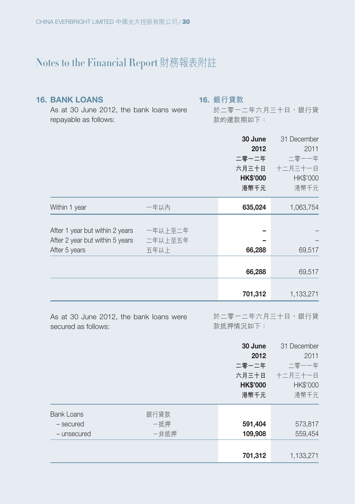#### **16. BANK LOANS**

**16. 銀行貸款**

As at 30 June 2012, the bank loans were repayable as follows:

#### 於二零一二年六月三十日,銀行貸 款的還款期如下:

|                                 |         | 30 June<br>2012<br>二零一二年<br>六月三十日<br><b>HK\$'000</b><br>港幣千元 | 31 December<br>2011<br>二零一一年<br>十二月三十一日<br><b>HK\$'000</b><br>港幣千元 |
|---------------------------------|---------|--------------------------------------------------------------|--------------------------------------------------------------------|
| Within 1 year                   | 一年以內    | 635,024                                                      | 1,063,754                                                          |
|                                 |         |                                                              |                                                                    |
| After 1 year but within 2 years | 一年以上至二年 |                                                              |                                                                    |
| After 2 year but within 5 years | 二年以上至五年 |                                                              |                                                                    |
| After 5 years                   | 五年以上    | 66,288                                                       | 69,517                                                             |
|                                 |         |                                                              |                                                                    |
|                                 |         | 66,288                                                       | 69,517                                                             |
|                                 |         |                                                              |                                                                    |
|                                 |         | 701,312                                                      | 1,133,271                                                          |

As at 30 June 2012, the bank loans were secured as follows: 於二零一二年六月三十日,銀行貸 款抵押情況如下:

|                                               |                     | 30 June<br>2012<br>二零一二年<br>六月三十日<br><b>HK\$'000</b><br>港幣千元 | 31 December<br>2011<br>二零一一年<br>十二月三十一日<br>HK\$'000<br>港幣千元 |
|-----------------------------------------------|---------------------|--------------------------------------------------------------|-------------------------------------------------------------|
| <b>Bank Loans</b><br>- secured<br>- unsecured | 銀行貸款<br>一抵押<br>一非抵押 | 591,404<br>109,908                                           | 573,817<br>559,454                                          |
|                                               |                     | 701,312                                                      | 1,133,271                                                   |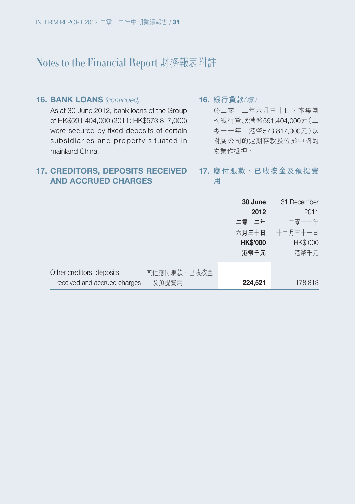#### **16. BANK LOANS (continued)** As at 30 June 2012, bank loans of the Group of HK\$591,404,000 (2011: HK\$573,817,000) were secured by fixed deposits of certain subsidiaries and property situated in mainland China.

**16. 銀行貸款**(續)

於二零一二年六月三十日,本集團 的銀行貸款港幣591,404,000元(二 零一一年:港幣573,817,000元)以 附屬公司的定期存款及位於中國的 物業作抵押。

#### **17. CREDITORS, DEPOSITS RECEIVED AND ACCRUED CHARGES**

#### **17. 應付賬款、已收按金及預提費 用**

|                                          | 30 June         | 31 December |
|------------------------------------------|-----------------|-------------|
|                                          | 2012            | 2011        |
|                                          | 二零一二年           | 二零一一年       |
|                                          | 六月三十日           | 十二月三十一日     |
|                                          | <b>HK\$'000</b> | HK\$'000    |
|                                          | 港幣千元            | 港幣千元        |
| Other creditors, deposits<br>其他應付賬款、已收按金 |                 |             |
| received and accrued charges<br>及預提費用    | 224,521         | 178,813     |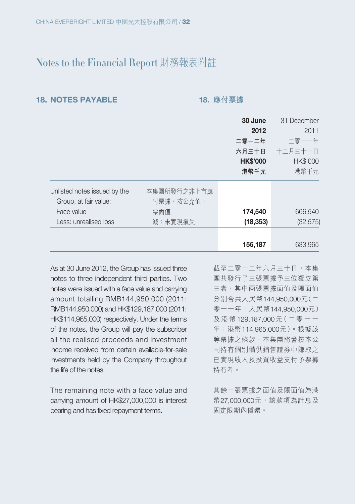#### **18. NOTES PAYABLE 18. 應付票據**

|                              |             | 30 June         | 31 December     |
|------------------------------|-------------|-----------------|-----------------|
|                              |             | 2012            | 2011            |
|                              |             | 二零一二年           | 二零一一年           |
|                              |             | 六月三十日           | 十二月三十一日         |
|                              |             | <b>HK\$'000</b> | <b>HK\$'000</b> |
|                              |             | 港幣千元            | 港幣千元            |
| Unlisted notes issued by the | 本集團所發行之非上市應 |                 |                 |
| Group, at fair value:        | 付票據,按公允值:   |                 |                 |
| Face value                   | 票面值         | 174,540         | 666,540         |
| Less: unrealised loss        | 減:未實現損失     | (18, 353)       | (32, 575)       |
|                              |             | 156,187         | 633,965         |

As at 30 June 2012, the Group has issued three notes to three independent third parties. Two notes were issued with a face value and carrying amount totalling RMB144,950,000 (2011: RMB144,950,000) and HK\$129,187,000 (2011: HK\$114,965,000) respectively. Under the terms of the notes, the Group will pay the subscriber all the realised proceeds and investment income received from certain available-for-sale investments held by the Company throughout the life of the notes.

The remaining note with a face value and carrying amount of HK\$27,000,000 is interest bearing and has fixed repayment terms.

截至二零一二年六月三十日,本集 團共發行了三張票據予三位獨立第 三者,其中兩張票據面值及賬面值 分別合共人民幣144,950,000元(二 零一一年:人民幣144,950,000元) 及港幣 129,187,000 元(二零一一 年:港幣114,965,000元)。根據該 等票據之條款,本集團將會按本公 司持有個別備供銷售證券中賺取之 已實現收入及投資收益支付予票據 持有者。

其餘一張票據之面值及賬面值為港 幣27,000,000元,該款項為計息及 固定限期內償還。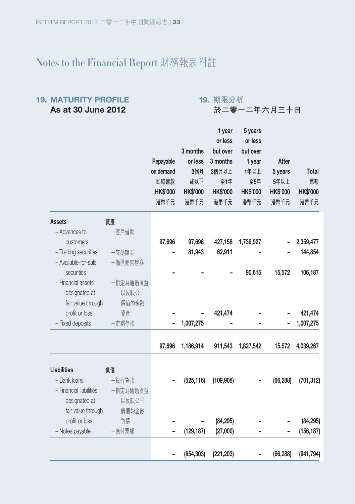#### **19. MATURITY PROFILE As at 30 June 2012**

**19. 期限分析**

**於二零一二年六月三十日**

|                         |          |                 |                 | ı year          | o years         |                 |                 |
|-------------------------|----------|-----------------|-----------------|-----------------|-----------------|-----------------|-----------------|
|                         |          |                 |                 | or less         | or less         |                 |                 |
|                         |          |                 | 3 months        | but over        | but over        |                 |                 |
|                         |          | Repayable       | or less         | 3 months        | 1 year          | After           |                 |
|                         |          | on demand       | 3個月             | 3個月以上           | 1年以上            | 5 years         | <b>Total</b>    |
|                         |          | 即時還款            | 或以下             | 至1年             | 至5年             | 5年以上            | 總額              |
|                         |          | <b>HK\$'000</b> | <b>HK\$'000</b> | <b>HK\$'000</b> | <b>HK\$'000</b> | <b>HK\$'000</b> | <b>HK\$'000</b> |
|                         |          | 港幣千元            | 港幣千元            | 港幣千元            | 港幣千元            | 港幣千元            | 港幣千元            |
| <b>Assets</b>           | 資產       |                 |                 |                 |                 |                 |                 |
| - Advances to           | 一客戶借款    |                 |                 |                 |                 |                 |                 |
| customers               |          | 97,696          | 97,696          | 427,158         | 1,736,927       |                 | 2,359,477       |
| - Trading securities    | 一交易證券    |                 | 81,943          | 62,911          |                 |                 | 144,854         |
| - Available-for-sale    | -備供銷售證券  |                 |                 |                 |                 |                 |                 |
| securities              |          |                 |                 |                 | 90,615          | 15,572          | 106,187         |
| - Financial assets      | 一指定為通過損益 |                 |                 |                 |                 |                 |                 |
| designated at           | 以反映公平    |                 |                 |                 |                 |                 |                 |
| fair value through      | 價值的金融    |                 |                 |                 |                 |                 |                 |
| profit or loss          | 資產       |                 |                 | 421,474         |                 |                 | 421,474         |
| - Fixed deposits        | -定期存款    |                 | 1,007,275       |                 |                 |                 | 1,007,275       |
|                         |          | 97,696          | 1,186,914       | 911,543         | 1,827,542       | 15,572          | 4,039,267       |
|                         |          |                 |                 |                 |                 |                 |                 |
| Liabilities             | 負債       |                 |                 |                 |                 |                 |                 |
| - Bank loans            | 一銀行貸款    |                 | (525, 116)      | (109, 908)      |                 | (66, 288)       | (701, 312)      |
| - Financial liabilities | 一指定為通過損益 |                 |                 |                 |                 |                 |                 |
| designated at           | 以反映公平    |                 |                 |                 |                 |                 |                 |
| fair value through      | 價值的金融    |                 |                 |                 |                 |                 |                 |
| profit or loss          | 負債       |                 |                 | (84, 295)       |                 |                 | (84, 295)       |
| - Notes payable         | 一應付票據    |                 | (129, 187)      | (27,000)        |                 |                 | (156, 187)      |
|                         |          |                 |                 |                 |                 |                 |                 |
|                         |          |                 | (654, 303)      | (221, 203)      |                 | (66, 288)       | (941, 794)      |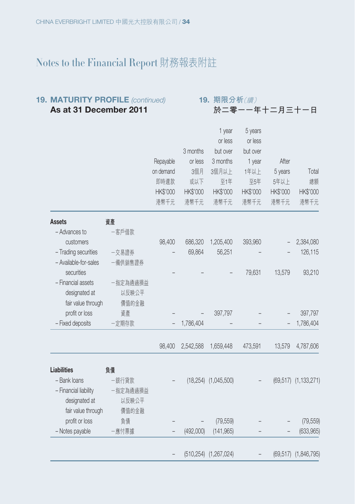#### **19. MATURITY PROFILE** (continued) **As at 31 December 2011**

| 19. 期限分析(續)   |
|---------------|
| 於二零一一年十二月三十一日 |

|                       |          |           |           | <sub>1</sub> year            | b years  |           |                      |
|-----------------------|----------|-----------|-----------|------------------------------|----------|-----------|----------------------|
|                       |          |           |           | or less                      | or less  |           |                      |
|                       |          |           | 3 months  | but over                     | but over |           |                      |
|                       |          | Repayable | or less   | 3 months                     | 1 year   | After     |                      |
|                       |          | on demand | 3個月       | 3個月以上                        | 1年以上     | 5 years   | Total                |
|                       |          | 即時還款      | 或以下       | 至1年                          | 至5年      | 5年以上      | 總額                   |
|                       |          | HK\$'000  | HK\$'000  | HK\$'000                     | HK\$'000 | HK\$'000  | HK\$'000             |
|                       |          | 港幣千元      | 港幣千元      | 港幣千元                         | 港幣千元     | 港幣千元      | 港幣千元                 |
| <b>Assets</b>         | 資產       |           |           |                              |          |           |                      |
| - Advances to         | 一客戶借款    |           |           |                              |          |           |                      |
| customers             |          | 98,400    | 686,320   | 1,205,400                    | 393,960  |           | 2,384,080            |
| - Trading securities  | 一交易證券    |           | 69,864    | 56,251                       |          |           | 126,115              |
| - Available-for-sales | 一備供銷售證券  |           |           |                              |          |           |                      |
| securities            |          |           |           |                              | 79,631   | 13,579    | 93,210               |
| - Financial assets    | 一指定為通過損益 |           |           |                              |          |           |                      |
| designated at         | 以反映公平    |           |           |                              |          |           |                      |
| fair value through    | 價值的金融    |           |           |                              |          |           |                      |
| profit or loss        | 資產       |           |           | 397,797                      |          |           | 397,797              |
| - Fixed deposits      | 一定期存款    |           | 1,786,404 |                              |          |           | 1,786,404            |
|                       |          | 98,400    | 2,542,588 | 1,659,448                    | 473,591  | 13,579    | 4,787,606            |
| <b>Liabilities</b>    | 負債       |           |           |                              |          |           |                      |
| - Bank loans          | 一銀行貸款    |           |           | $(18,254)$ $(1,045,500)$     |          | (69, 517) | (1, 133, 271)        |
| - Financial liability | 一指定為通過損益 |           |           |                              |          |           |                      |
| designated at         | 以反映公平    |           |           |                              |          |           |                      |
| fair value through    | 價值的金融    |           |           |                              |          |           |                      |
| profit or loss        | 負債       |           |           | (79, 559)                    |          |           | (79, 559)            |
| - Notes payable       | -應付票據    |           | (492,000) | (141, 965)                   |          |           | (633,965)            |
|                       |          |           |           | $(510, 254)$ $(1, 267, 024)$ |          |           | (69,517) (1,846,795) |
|                       |          |           |           |                              |          |           |                      |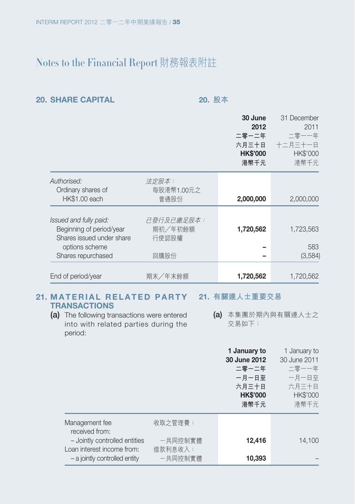#### **20. SHARE CAPITAL 20. 股本**

|                                                       |                     | 30 June<br>2012<br>二零一二年<br>六月三十日<br><b>HK\$'000</b><br>港幣千元 | 31 December<br>2011<br>二零一一年<br>十二月三十一日<br>HK\$'000<br>港幣千元 |
|-------------------------------------------------------|---------------------|--------------------------------------------------------------|-------------------------------------------------------------|
| Authorised:<br>Ordinary shares of                     | 法定股本:<br>每股港幣1.00元之 |                                                              |                                                             |
| <b>HK\$1.00 each</b>                                  | 普通股份                | 2,000,000                                                    | 2,000,000                                                   |
| Issued and fully paid:                                | 已發行及已繳足股本:          |                                                              |                                                             |
| Beginning of period/year<br>Shares issued under share | 期初/年初餘額<br>行使認股權    | 1,720,562                                                    | 1,723,563                                                   |
| options scheme<br>Shares repurchased                  | 回購股份                |                                                              | 583<br>(3,584)                                              |
|                                                       |                     |                                                              |                                                             |
| End of period/year                                    | 期末/年末餘額             | 1,720,562                                                    | 1,720,562                                                   |

#### **21. M A T E R I A L R E L A T E D P A R T Y 21. 有關連人士重要交易 TRANSACTIONS**

- **(a)** The following transactions were entered into with related parties during the period:
- **(a)** 本集團於期內與有關連人士之 交易如下:

|                                                             |                    | 1 January to<br>30 June 2012<br>二零一二年<br>一月一日至<br>六月三十日<br><b>HK\$'000</b><br>港幣千元 | 1 January to<br>30 June 2011<br>二零一一年<br>一月一日至<br>六月三十日<br><b>HK\$'000</b><br>港幣千元 |
|-------------------------------------------------------------|--------------------|------------------------------------------------------------------------------------|------------------------------------------------------------------------------------|
| Management fee<br>received from:                            | 收取之管理費:            |                                                                                    |                                                                                    |
| - Jointly controlled entities<br>Loan interest income from: | 一共同控制實體<br>借款利息收入: | 12,416                                                                             | 14.100                                                                             |
| - a jointly controlled entity                               | 一共同控制實體            | 10,393                                                                             |                                                                                    |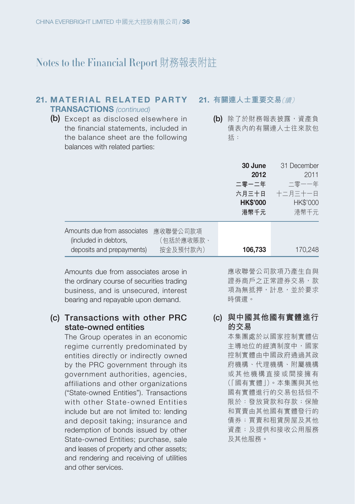#### **21. MATERIAL RELATED PARTY TRANSACTIONS** (continued)

**(b)** Except as disclosed elsewhere in the financial statements, included in the balance sheet are the following balances with related parties:

#### **21. 有關連人士重要交易**(續)

**(b)** 除了於財務報表披露,資產負 債表內的有關連人士往來款包 括:

|                                                                                   |                                   | 30 June<br>2012<br>二零一二年<br>六月三十日<br><b>HK\$'000</b><br>港幣千元 | 31 December<br>2011<br>二零一一年<br>十二月三十一日<br>HK\$'000<br>港幣千元 |
|-----------------------------------------------------------------------------------|-----------------------------------|--------------------------------------------------------------|-------------------------------------------------------------|
| Amounts due from associates<br>(included in debtors,<br>deposits and prepayments) | 應收聯營公司款項<br>(包括於應收賬款、<br>按金及預付款內) | 106,733                                                      | 170.248                                                     |

Amounts due from associates arose in the ordinary course of securities trading business, and is unsecured, interest bearing and repayable upon demand.

## **(c) Transactions with other PRC state-owned entities**

The Group operates in an economic regime currently predominated by entities directly or indirectly owned by the PRC government through its government authorities, agencies, affiliations and other organizations ("State-owned Entities"). Transactions with other State-owned Entities include but are not limited to: lending and deposit taking; insurance and redemption of bonds issued by other State-owned Entities; purchase, sale and leases of property and other assets; and rendering and receiving of utilities and other services.

應收聯營公司款項乃產生自與 證券商戶之正常證券交易,款 項為無抵押,計息,並於要求 時償還。

### **(c) 與中國其他國有實體進行 的交易**

本集團處於以國家控制實體佔 主導地位的經濟制度中,國家 控制實體由中國政府通過其政 府機構、代理機構、附屬機構 或其他機構直接或間接擁有 (「國有實體」)。本集團與其他 國有實體進行的交易包括但不 限於:發放貸款和存款;保險 和買賣由其他國有實體發行的 債券;買賣和租賃房屋及其他 資產;及提供和接收公用服務 及其他服務。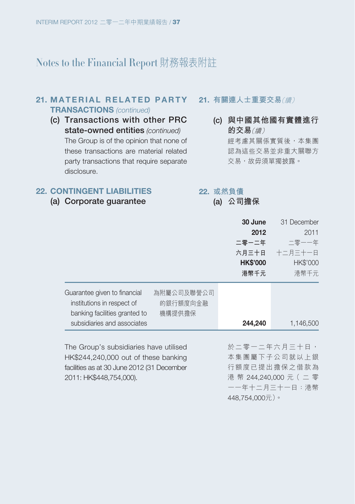#### **21. MATERIAL RELATED PARTY TRANSACTIONS** (continued)

**(c) Transactions with other PRC**  state-owned entities (continued) The Group is of the opinion that none of these transactions are material related party transactions that require separate disclosure.

#### **21. 有關連人士重要交易**(續)

**(c) 與中國其他國有實體進行 的交易**(續) 經考慮其關係實質後,本集團 認為這些交易並非重大關聯方 **交易,故毋須單獨披露**。

#### **22. CONTINGENT LIABILITIES**

**(a) Corporate guarantee**

#### **22. 或然負債**

**(a) 公司擔保**

|                                                                                                                                                                | 30 June<br>2012<br>二零一二年<br>六月三十日<br><b>HK\$'000</b><br>港幣千元 | 31 December<br>2011<br>二零一一年<br>十二月三十一日<br><b>HK\$'000</b><br>港幣千元 |
|----------------------------------------------------------------------------------------------------------------------------------------------------------------|--------------------------------------------------------------|--------------------------------------------------------------------|
| Guarantee given to financial<br>為附屬公司及聯營公司<br>institutions in respect of<br>的銀行額度向金融<br>banking facilities granted to<br>機構提供擔保<br>subsidiaries and associates | 244,240                                                      | 1,146,500                                                          |
| The Group's subsidiaries have utilised<br>HK\$244,240,000 out of these banking                                                                                 |                                                              | 於二零一二年六月三十日,<br>本集團屬下子公司就以上銀                                       |

HK\$244,240,000 out of these banking facilities as at 30 June 2012 (31 December 2011: HK\$448,754,000).

本集團屬下子公司就以上銀 行額度已提出擔保之借款為 港 幣 244,240,000 元( 二 零 一一年十二月三十一日:港幣 448,754,000元)。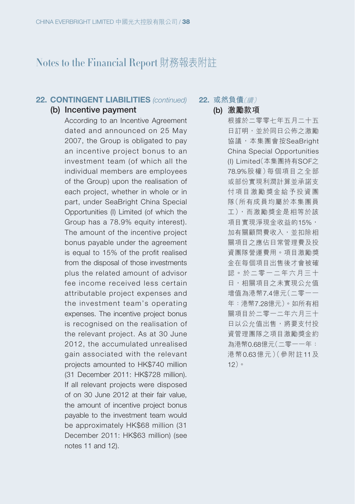#### **22. CONTINGENT LIABILITIES** (continued)

#### **(b) Incentive payment**

According to an Incentive Agreement dated and announced on 25 May 2007, the Group is obligated to pay an incentive project bonus to an investment team (of which all the individual members are employees of the Group) upon the realisation of each project, whether in whole or in part, under SeaBright China Special Opportunities (I) Limited (of which the Group has a 78.9% equity interest). The amount of the incentive project bonus payable under the agreement is equal to 15% of the profit realised from the disposal of those investments plus the related amount of advisor fee income received less certain attributable project expenses and the investment team's operating expenses. The incentive project bonus is recognised on the realisation of the relevant project. As at 30 June 2012, the accumulated unrealised gain associated with the relevant projects amounted to HK\$740 million (31 December 2011: HK\$728 million). If all relevant projects were disposed of on 30 June 2012 at their fair value, the amount of incentive project bonus payable to the investment team would be approximately HK\$68 million (31 December 2011: HK\$63 million) (see notes 11 and 12).

**22. 或然負債**(續)

**(b) 激勵款項** 根據於二零零七年五月二十五

日訂明,並於同日公佈之激勵 協議,本集團會按SeaBright China Special Opportunities (I) Limited(本集團持有SOF之 78.9%股權)每個項目之全部 或部份實現利潤計算並承諾支 付項目激勵獎金給予投資團 隊(所有成員均屬於本集團員 工),而激勵獎金是相等於該 項目實現淨現金收益的15%, 加有關顧問費收入,並扣除相 關項目之應佔日常管理費及投 資團隊營運費用。項目激勵獎 金在每個項目出售後才會被確 認。於二零一二年六月三十 日,相關項目之未實現公允值 增值為港幣7.4億元(二零一一 年:港幣7.28億元)。如所有相 關項目於二零一二年六月三十 日以公允值出售,將要支付投 資管理團隊之項目激勵獎金約 為港幣0.68億元(二零一一年: 港幣0.63億元)(參附註11及 12)。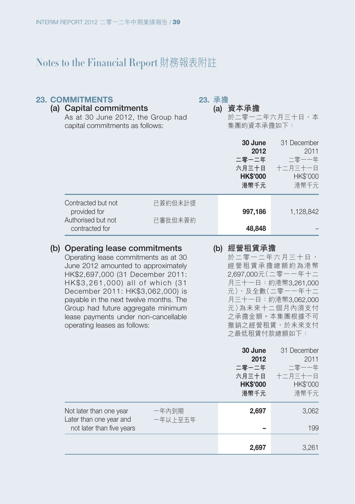#### **23. COMMITMENTS**

**23. 承擔**

**(a) 資本承擔** 於二零一二年六月三十日,本 集團的資本承擔如下: **(a) Capital commitments** As at 30 June 2012, the Group had capital commitments as follows:

|                                    |         | 30 June<br>2012<br>二零一二年<br>六月三十日<br><b>HK\$'000</b><br>港幣千元 | 31 December<br>2011<br>二零一一年<br>十二月三十一日<br><b>HK\$'000</b><br>港幣千元 |
|------------------------------------|---------|--------------------------------------------------------------|--------------------------------------------------------------------|
| Contracted but not<br>provided for | 已簽約但未計提 | 997,186                                                      | 1,128,842                                                          |
| Authorised but not                 | 已審批但未簽約 |                                                              |                                                                    |
| contracted for                     |         | 48,848                                                       |                                                                    |

#### **(b) Operating lease commitments**

Operating lease commitments as at 30 June 2012 amounted to approximately HK\$2,697,000 (31 December 2011: HK\$3,261,000) all of which (31 December 2011: HK\$3,062,000) is payable in the next twelve months. The Group had future aggregate minimum lease payments under non-cancellable operating leases as follows:

#### **(b) 經營租賃承擔**

於二零一二年六月三十日, 經營租賃承擔總額約為港幣 2,697,000元(二零一一年十二 月三十一日:約港幣3,261,000 元),及全數(二零一一年十二 月三十一日:約港幣3,062,000 元)為未來十二個月內須支付 之承擔金額。本集團根據不可 撤銷之經營租賃,於未來支付 之最低租賃付款總額如下:

|                                                    |                  | 30 June<br>2012<br>二零一二年<br>六月三十日<br><b>HK\$'000</b><br>港幣千元 | 31 December<br>2011<br>二零一一年<br>十二月三十一日<br><b>HK\$'000</b><br>港幣千元 |
|----------------------------------------------------|------------------|--------------------------------------------------------------|--------------------------------------------------------------------|
| Not later than one year<br>Later than one year and | 一年內到期<br>一年以上至五年 | 2,697                                                        | 3,062                                                              |
| not later than five years                          |                  |                                                              | 199                                                                |
|                                                    |                  | 2,697                                                        | 3,261                                                              |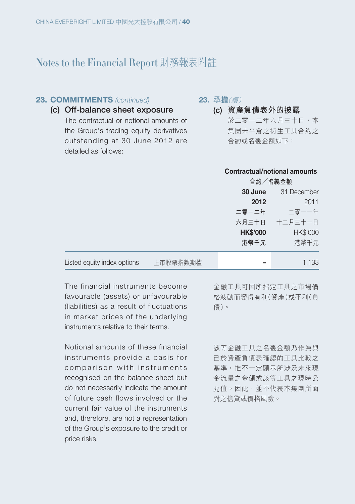## **23. COMMITMENTS** (continued)

### **23. 承擔**(續)

**(c) Off-balance sheet exposure**

The contractual or notional amounts of the Group's trading equity derivatives outstanding at 30 June 2012 are detailed as follows:

**(c) 資產負債表外的披露** 於二零一二年六月三十日,本 集團未平倉之衍生工具合約之 合約或名義金額如下:

#### **Contractual/notional amounts**

|                             |          | 合約/名義金額         |                 |  |  |
|-----------------------------|----------|-----------------|-----------------|--|--|
|                             |          | 30 June         | 31 December     |  |  |
|                             |          | 2012            | 2011            |  |  |
|                             |          | 二零一二年           | 二零一一年           |  |  |
|                             |          |                 | 六月三十日 十二月三十一日   |  |  |
|                             |          | <b>HK\$'000</b> | <b>HK\$'000</b> |  |  |
|                             |          | 港幣千元            | 港幣千元            |  |  |
|                             |          |                 |                 |  |  |
| Listed equity index options | 上市股票指數期權 |                 | 1,133           |  |  |

The financial instruments become favourable (assets) or unfavourable (liabilities) as a result of fluctuations in market prices of the underlying instruments relative to their terms.

Notional amounts of these financial instruments provide a basis for comparison with instruments recognised on the balance sheet but do not necessarily indicate the amount of future cash flows involved or the current fair value of the instruments and, therefore, are not a representation of the Group's exposure to the credit or price risks.

金融工具可因所指定工具之市場價 格波動而變得有利(資產)或不利(負 債)。

該等金融工具之名義金額乃作為與 已於資產負債表確認的工具比較之 基準,惟不一定顯示所涉及未來現 金流量之金額或該等工具之現時公 允值。因此,並不代表本集團所面 對之信貸或價格風險。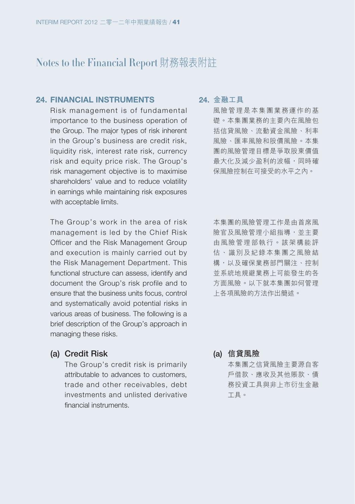#### **24. FINANCIAL INSTRUMENTS**

Risk management is of fundamental importance to the business operation of the Group. The major types of risk inherent in the Group's business are credit risk, liquidity risk, interest rate risk, currency risk and equity price risk. The Group's risk management objective is to maximise shareholders' value and to reduce volatility in earnings while maintaining risk exposures with acceptable limits.

The Group's work in the area of risk management is led by the Chief Risk Officer and the Risk Management Group and execution is mainly carried out by the Risk Management Department. This functional structure can assess, identify and document the Group's risk profile and to ensure that the business units focus, control and systematically avoid potential risks in various areas of business. The following is a brief description of the Group's approach in managing these risks.

#### **24. 金融工具**

風險管理是本集團業務運作的基 礎。本集團業務的主要內在風險包 括信貸風險、流動資金風險、利率 風險、匯率風險和股價風險。本集 團的風險管理目標是爭取股東價值 最大化及減少盈利的波幅,同時確 保風險控制在可接受的水平之內。

本集團的風險管理工作是由首席風 險官及風險管理小組指導,並主要 由風險管理部執行。該架構能評 估、識別及紀錄本集團之風險結 構,以及確保業務部門關注、控制 並系統地規避業務上可能發生的各 方面風險。以下就本集團如何管理 上各項風險的方法作出簡述。

**(a) Credit Risk**

The Group's credit risk is primarily attributable to advances to customers, trade and other receivables, debt investments and unlisted derivative financial instruments.

**(a) 信貸風險** 本集團之信貸風險主要源自客 戶借款、應收及其他賬款、債 務投資工具與非上市衍生金融 工具。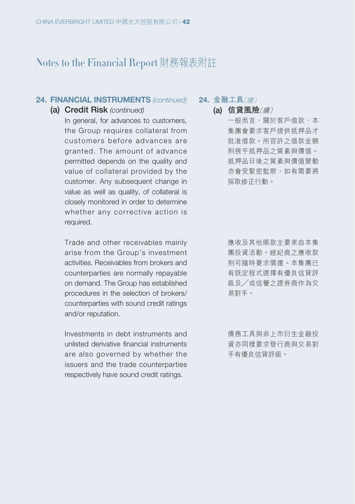### **24. FINANCIAL INSTRUMENTS (continued)**

#### **(a) Credit Risk** (continued)

In general, for advances to customers, the Group requires collateral from customers before advances are granted. The amount of advance permitted depends on the quality and value of collateral provided by the customer. Any subsequent change in value as well as quality, of collateral is closely monitored in order to determine whether any corrective action is required.

Trade and other receivables mainly arise from the Group's investment activities. Receivables from brokers and counterparties are normally repayable on demand. The Group has established procedures in the selection of brokers/ counterparties with sound credit ratings and/or reputation.

Investments in debt instruments and unlisted derivative financial instruments are also governed by whether the issuers and the trade counterparties respectively have sound credit ratings.

**24. 金融工具**(續)

- **(a) 信貸風險**(續) 一般而言,關於客戶借款,本 集團會要求客戶提供抵押品才 批准借款。所容許之借款金額
	- 則視乎抵押品之質素與價值。 抵押品日後之質素與價值變動 亦會受緊密監察,如有需要將 採取修正行動。

應收及其他賬款主要來自本集 團投資活動。經紀商之應收款 則可隨時要求償還。本集團已 有既定程式選擇有優良信貸評 級及╱或信譽之證券商作為交 易對手。

債務工具與非上市衍生金融投 資亦同樣要求發行商與交易對 手有優良信貸評級。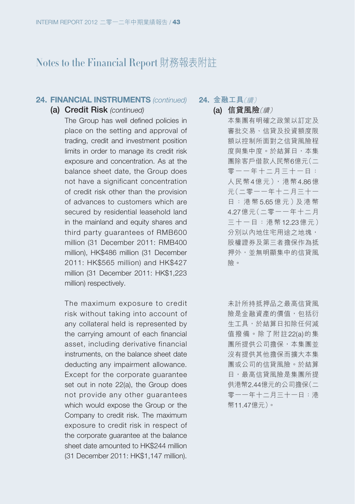#### **24. FINANCIAL INSTRUMENTS (continued)**

#### **(a) Credit Risk** (continued)

The Group has well defined policies in place on the setting and approval of trading, credit and investment position limits in order to manage its credit risk exposure and concentration. As at the balance sheet date, the Group does not have a significant concentration of credit risk other than the provision of advances to customers which are secured by residential leasehold land in the mainland and equity shares and third party guarantees of RMB600 million (31 December 2011: RMB400 million), HK\$486 million (31 December 2011: HK\$565 million) and HK\$427 million (31 December 2011: HK\$1,223 million) respectively.

The maximum exposure to credit risk without taking into account of any collateral held is represented by the carrying amount of each financial asset, including derivative financial instruments, on the balance sheet date deducting any impairment allowance. Except for the corporate guarantee set out in note 22(a), the Group does not provide any other guarantees which would expose the Group or the Company to credit risk. The maximum exposure to credit risk in respect of the corporate guarantee at the balance sheet date amounted to HK\$244 million (31 December 2011: HK\$1,147 million). **24. 金融工具**(續)

**(a) 信貸風險**(續) 本集團有明確之政策以訂定及 審批交易、信貸及投資額度限 額以控制所面對之信貸風險程 度與集中度。於結算日,本集 團除客戶借款人民幣6億元(二 零一一年十二月三十一日: 人民幣4億元),港幣4.86億 元(二零一一年十二月三十一 日:港幣 5.65 億 元 )及 港 幣 4.27億元(二零一一年十二月 三十一日:港幣12.23億元) 分別以內地住宅用途之地塊, 股權證券及第三者擔保作為抵 押外,並無明顯集中的信貸風 險。

> 未計所持抵押品之最高信貸風 險是金融資產的價值,包括衍 生工具,於結算日扣除任何減 值撥備。除了附註22(a)的集 團所提供公司擔保,本集團並 沒有提供其他擔保而擴大本集 團或公司的信貸風險。於結算 日,最高信貸風險是集團所提 供港幣2.44億元的公司擔保(二 零一一年十二月三十一日:港 幣11.47億元)。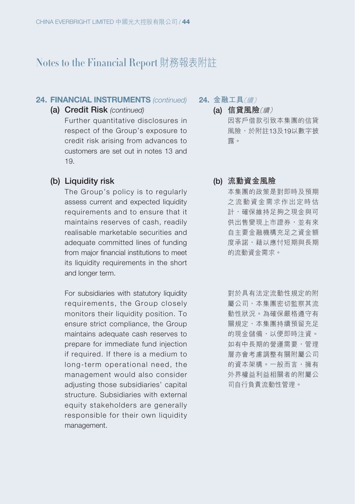#### **24. FINANCIAL INSTRUMENTS (continued)**

### **(a) Credit Risk** (continued)

Further quantitative disclosures in respect of the Group's exposure to credit risk arising from advances to customers are set out in notes 13 and 19.

## **(b) Liquidity risk**

The Group's policy is to regularly assess current and expected liquidity requirements and to ensure that it maintains reserves of cash, readily realisable marketable securities and adequate committed lines of funding from major financial institutions to meet its liquidity requirements in the short and longer term.

For subsidiaries with statutory liquidity requirements, the Group closely monitors their liquidity position. To ensure strict compliance, the Group maintains adequate cash reserves to prepare for immediate fund injection if required. If there is a medium to long-term operational need, the management would also consider adiusting those subsidiaries' capital structure. Subsidiaries with external equity stakeholders are generally responsible for their own liquidity management.

**24. 金融工具**(續)

- **(a) 信貸風險**(續) 因客戶借款引致本集團的信貸 風險,於附註13及19以數字披 露。
- **(b) 流動資金風險**

本集團的政策是對即時及預期 之流動資金需求作出定時估 計,確保維持足夠之現金與可 供出售變現上市證券,並有來 自主要金融機構充足之資金額 度承諾,藉以應付短期與長期 的流動資金需求。

對於具有法定流動性規定的附 屬公司,本集團密切監察其流 動性狀況。為確保嚴格遵守有 關規定,本集團持續預留充足 的現金儲備,以便即時注資。 如有中長期的營運需要,管理 層亦會考慮調整有關附屬公司 的資本架構。一般而言,擁有 外界權益利益相關者的附屬公 司自行負責流動性管理。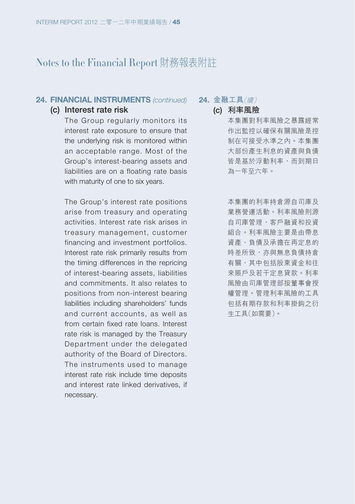#### **24. FINANCIAL INSTRUMENTS (continued)**

#### **(c) Interest rate risk**

The Group regularly monitors its interest rate exposure to ensure that the underlying risk is monitored within an acceptable range. Most of the Group's interest-bearing assets and liabilities are on a floating rate basis with maturity of one to six years.

The Group's interest rate positions arise from treasury and operating activities. Interest rate risk arises in treasury management, customer financing and investment portfolios. Interest rate risk primarily results from the timing differences in the repricing of interest-bearing assets, liabilities and commitments. It also relates to positions from non-interest bearing liabilities including shareholders' funds and current accounts, as well as from certain fixed rate loans. Interest rate risk is managed by the Treasury Department under the delegated authority of the Board of Directors. The instruments used to manage interest rate risk include time deposits and interest rate linked derivatives, if necessary.

**24. 金融工具**(續)

**(c) 利率風險** 本集團對利率風險之暴露經常 作出監控以確保有關風險是控 制在可接受水準之內。本集團 大部份產生利息的資產與負債 皆是基於浮動利率,而到期日 為一年至六年。

> 本集團的利率持倉源自司庫及 業務營運活動。利率風險則源 自司庫管理,客戶融資和投資 組合。利率風險主要是由帶息 資產、負債及承擔在再定息的 時差所致,亦與無息負債持倉 有關,其中包括股東資金和往 來賬戶及若干定息貸款。利率 風險由司庫管理部按董事會授 權管理。管理利率風險的工具 包括有期存款和利率掛鈎之衍 生工具(如需要)。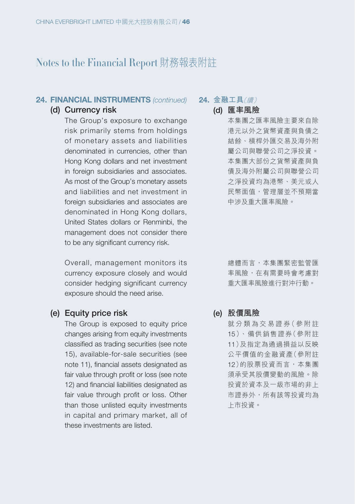#### **24. FINANCIAL INSTRUMENTS (continued)**

## **(d) Currency risk**

The Group's exposure to exchange risk primarily stems from holdings of monetary assets and liabilities denominated in currencies, other than Hong Kong dollars and net investment in foreign subsidiaries and associates. As most of the Group's monetary assets and liabilities and net investment in foreign subsidiaries and associates are denominated in Hong Kong dollars, United States dollars or Renminbi, the management does not consider there to be any significant currency risk.

Overall, management monitors its currency exposure closely and would consider hedging significant currency exposure should the need arise.

## **(e) Equity price risk**

The Group is exposed to equity price changes arising from equity investments classified as trading securities (see note 15), available-for-sale securities (see note 11), financial assets designated as fair value through profit or loss (see note 12) and financial liabilities designated as fair value through profit or loss. Other than those unlisted equity investments in capital and primary market, all of these investments are listed.

**24. 金融工具**(續)

**(d) 匯率風險**

本集團之匯率風險主要來自除 港元以外之貨幣資產與負債之 結餘、槓桿外匯交易及海外附 屬公司與聯營公司之淨投資。 本集團大部份之貨幣資產與負 債及海外附屬公司與聯營公司 之淨投資均為港幣、美元或人 民幣面值,管理層並不預期當 中涉及重大匯率風險。

總體而言,本集團緊密監管匯 率風險,在有需要時會考慮對 重大匯率風險進行對沖行動。

**(e) 股價風險**

就分類為交易證券(參附註 15)、備供銷售證券(參附註 11)及指定為通過損益以反映 公平價值的金融資產(參附註 12)的股票投資而言,本集團 須承受其股價變動的風險。除 投資於資本及一級市場的非上 市證券外,所有該等投資均為 上市投資。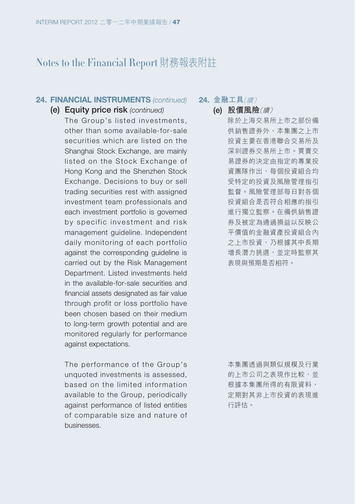#### **24. FINANCIAL INSTRUMENTS (continued)**

#### **(e) Equity price risk** (continued)

The Group's listed investments, other than some available-for-sale securities which are listed on the Shanghai Stock Exchange, are mainly listed on the Stock Exchange of Hong Kong and the Shenzhen Stock Exchange. Decisions to buy or sell trading securities rest with assigned investment team professionals and each investment portfolio is governed by specific investment and risk management guideline. Independent daily monitoring of each portfolio against the corresponding guideline is carried out by the Risk Management Department. Listed investments held in the available-for-sale securities and financial assets designated as fair value through profit or loss portfolio have been chosen based on their medium to long-term growth potential and are monitored regularly for performance against expectations.

The performance of the Group's unquoted investments is assessed, based on the limited information available to the Group, periodically against performance of listed entities of comparable size and nature of businesses.

**24. 金融工具**(續)

**(e) 股價風險**(續) 除於上海交易所上市之部份備 供銷售證券外,本集團之上市 投資主要在香港聯合交易所及 深圳證券交易所上市。買賣交 易證券的決定由指定的專業投 資團隊作出,每個投資組合均 受特定的投資及風險管理指引 監督。風險管理部每日對各個 投資組合是否符合相應的指引 進行獨立監察。在備供銷售證 券及被定為通過損益以反映公 平價值的金融資產投資組合內 之上市投資,乃根據其中長期 增長潛力挑選,並定時監察其 表現與預期是否相符。

> 本集團透過與類似規模及行業 的上市公司之表現作比較,並 根據本集團所得的有限資料, 定期對其非上市投資的表現進 行評估。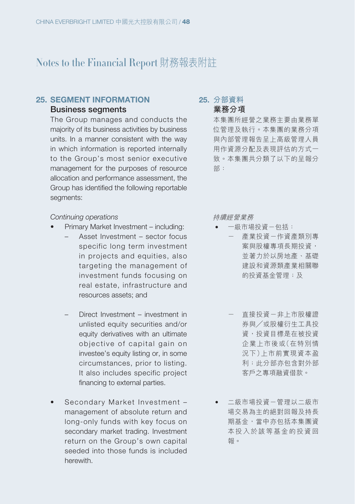#### **25. SEGMENT INFORMATION Business segments**

The Group manages and conducts the majority of its business activities by business units. In a manner consistent with the way in which information is reported internally to the Group's most senior executive management for the purposes of resource allocation and performance assessment, the Group has identified the following reportable seaments:

#### Continuing operations

- Primary Market Investment including:
	- Asset Investment sector focus specific long term investment in projects and equities, also targeting the management of investment funds focusing on real estate, infrastructure and resources assets; and
	- Direct Investment investment in unlisted equity securities and/or equity derivatives with an ultimate objective of capital gain on investee's equity listing or, in some circumstances, prior to listing. It also includes specific project financing to external parties.
- Secondary Market Investment management of absolute return and long-only funds with key focus on secondary market trading. Investment return on the Group's own capital seeded into those funds is included herewith.

**25. 分部資料 業務分項**

本集團所經營之業務主要由業務單 位管理及執行。本集團的業務分項 與內部管理報告呈上高級管理人員 用作資源分配及表現評估的方式一 致。本集團共分類了以下的呈報分 部:

持續經營業務

- 一級市場投資-包括:
	- 產業投資一作資產類別專 案與股權專項長期投資, 並著力於以房地產、基礎 建設和資源類產業相關聯 的投資基金管理;及
	- 直接投資-非上市股權證 券與╱或股權衍生工具投 資,投資目標是在被投資 企業上市後或(在特別情 況下)上市前實現資本盈 利;此分部亦包含對外部 客戶之專項融資借款。
- 二級市場投資-管理以二級市 場交易為主的絕對回報及持長 期基金,當中亦包括本集團資 本投入於該等基金的投資回 報。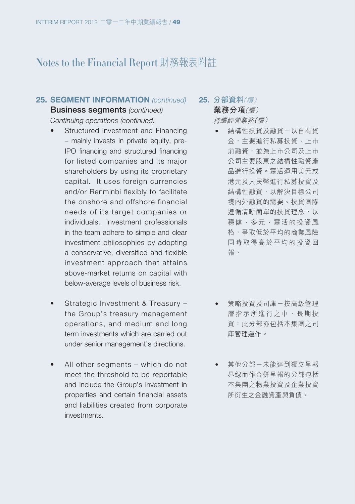#### **25. SEGMENT INFORMATION** (continued)

**Business segments** (continued) Continuing operations (continued)

- Structured Investment and Financing – mainly invests in private equity, pre-IPO financing and structured financing for listed companies and its major shareholders by using its proprietary capital. It uses foreign currencies and/or Renminbi flexibly to facilitate the onshore and offshore financial needs of its target companies or individuals. Investment professionals in the team adhere to simple and clear investment philosophies by adopting a conservative, diversified and flexible investment approach that attains above-market returns on capital with below-average levels of business risk.
- Strategic Investment & Treasury the Group's treasury management operations, and medium and long term investments which are carried out under senior management's directions.
- All other segments which do not meet the threshold to be reportable and include the Group's investment in properties and certain financial assets and liabilities created from corporate investments.

**25. 分部資料**(續) **業務分項**(續) 持續經營業務(續)

- 結構性投資及融資-以自有資 金,主要進行私募投資、上市 前融資,並為上市公司及上市 公司主要股東之結構性融資產 品進行投資。靈活運用美元或 港元及人民幣進行私募投資及 結構性融資,以解決目標公司 境內外融資的需要。投資團隊 遵循清晰簡單的投資理念,以 穩健、多元、靈活的投資風 格,爭取低於平均的商業風險 同時取得高於平均的投資回 報。
- 策略投資及司庫-按高級管理 層指示所進行之中、長期投 資;此分部亦包括本集團之司 庫管理運作。
- 其他分部-未能達到獨立呈報 界線而作合併呈報的分部包括 本集團之物業投資及企業投資 所衍生之金融資產與負債。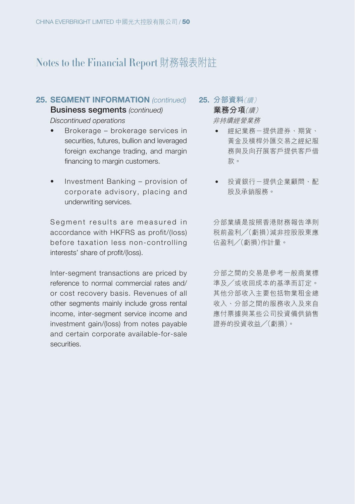#### **25. SEGMENT INFORMATION** (continued)

**Business segments** (continued) Discontinued operations

- Brokerage brokerage services in securities, futures, bullion and leveraged foreign exchange trading, and margin financing to margin customers.
- Investment Banking provision of corporate advisory, placing and underwriting services.

Segment results are measured in accordance with HKFRS as profit/(loss) before taxation less non-controlling interests' share of profit/(loss).

Inter-segment transactions are priced by reference to normal commercial rates and/ or cost recovery basis. Revenues of all other segments mainly include gross rental income, inter-segment service income and investment gain/(loss) from notes payable and certain corporate available-for-sale securities.

**25. 分部資料**(續) **業務分項**(續) 非持續經營業務

- 經紀業務-提供證券、期貨、 黃金及槓桿外匯交易之經紀服 務與及向孖展客戶提供客戶借 款。
- 投資銀行-提供企業顧問、配 股及承銷服務。

分部業績是按照香港財務報告準則 稅前盈利╱(虧損)減非控股股東應 佔盈利╱(虧損)作計量。

分部之間的交易是參考一般商業標 準及╱或收回成本的基準而訂定。 其他分部收入主要包括物業租金總 收入、分部之間的服務收入及來自 應付票據與某些公司投資備供銷售 證券的投資收益╱(虧損)。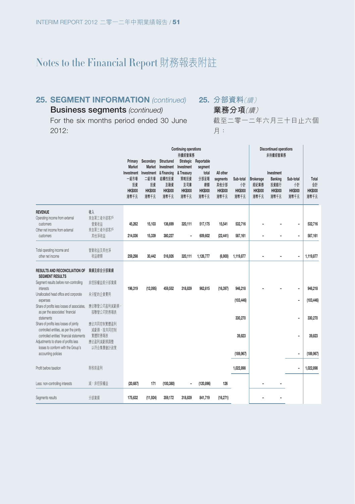## **25. SEGMENT INFORMATION** (continued)

**25. 分部資料**(續)

月:

**業務分項**(續)

截至二零一二年六月三十日止六個

**Business segments** (continued) For the six months period ended 30 June

2012:

**Continuing operations Discontinued operations 持續經營業務 非持續經營業務 Primary Secondary Structured Market Investment Investment & Financing & Treasury 一級市場 投資 Market Investment Investment 二級市場 結構性投資 投資 及融資 Strategic Reportable 策略投資 及司庫 segment total 分部呈報 總額 All other segments 其他分部 Sub-total 小計 Brokerage 經紀業務 Investment Banking 投資銀行 Sub-total 小計 Total** 台計<br>n**кs**nn **HK\$000 HK\$000 HK\$000 HK\$000 HK\$000 HK\$000 HK\$000 HK\$000 HK\$000 HK\$000 HK\$000 港幣千元 港幣千元 港幣千元 港幣千元 港幣千元 港幣千元 港幣千元 港幣千元 港幣千元 港幣千元 港幣千元 REVENUE** 收入 Operating income from external customers 来自第三者外部客戶<br>登業收益 營業收益 **45,262 15,103 136,699 320,111 517,175 15,541 532,716 – – – 532,716** Other net income from external customers 來自第三者外部客戶 共化沖收金 ZI<del>4</del>,U30 I3,339 300,ZZ/ = 0U9,OUZ <mark>(ZZ,441) 307,TDT = = = |</mark> 307,TDT Total operating income and other net income 營業收益及其他淨 权<u>益總</u>額 259,290 30,442 510,920 320,111 1,126,*111* (0,9000) 1,119*,011* |1,119,077 **RESULTS AND RECONCILIATION OF 業績及綜合分部業績 SEGMENT RESULTS** Segment results before non-controlling 非控股權益前分部業績 interests **196,319 (12,095) 459,552 318,839 962,615 (16,397) 946,218 – – – 946,218** Unallocated head office and corporate 未分配的企業費用 expenses **(103,446) – (103,446)** Share of profits less losses of associates, 一路旧驶當公司盈州減虧損 " as per the associates' financial statements 按聯營公司財務報表 **330,270 – 330,270** Share of profits less losses of jointly controlled entities, as per the jointly controlled entities' financial statements 實體財務報表 應佔共同控制實體盈利 減虧損,按共同控制 實體財務報表 **39,823 – 39,823** Adjustments to share of profits less 應佔盈利減虧損調整 losses to conform with the Group's accounting policies 以符合集團會計政策 **(189,967) – (189,967)** Profit before taxation 除稅前盈利 **1,022,898 – 1,022,898** Less: non-controlling interests 減:非控股權益 **(20,687) 171 (100,380) – (120,896) 126 – – Segments results 175,632 17.3924) 359,172 318,839 841,719 |10,271) −**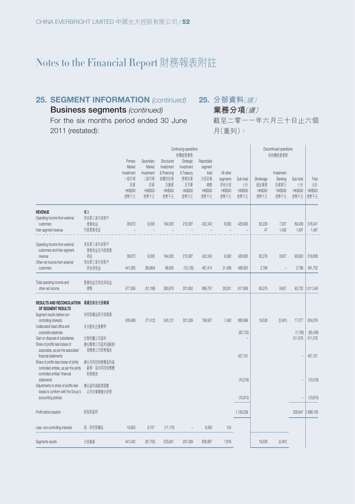## **25. SEGMENT INFORMATION** (continued)

**25. 分部資料**(續) **業務分項**(續)

**Business segments** (continued) For the six months period ended 30 June 2011 (restated):

截至二零一一年六月三十日止六個 月(重列):

|                                                                                                                                                                                                                                                                                                                                                                                                                                                                                                                                                      |                                                                                                                                             |                                                                         |                                                                           |                                                                                   | Continuing operations<br>持續經營業務                                                |                                                                        |                                                         |                                                           |                                             | Discontinued operations<br>非持續經營業務                      |                                          |                                                                      |
|------------------------------------------------------------------------------------------------------------------------------------------------------------------------------------------------------------------------------------------------------------------------------------------------------------------------------------------------------------------------------------------------------------------------------------------------------------------------------------------------------------------------------------------------------|---------------------------------------------------------------------------------------------------------------------------------------------|-------------------------------------------------------------------------|---------------------------------------------------------------------------|-----------------------------------------------------------------------------------|--------------------------------------------------------------------------------|------------------------------------------------------------------------|---------------------------------------------------------|-----------------------------------------------------------|---------------------------------------------|---------------------------------------------------------|------------------------------------------|----------------------------------------------------------------------|
|                                                                                                                                                                                                                                                                                                                                                                                                                                                                                                                                                      |                                                                                                                                             | Primary<br>Market<br>Investment<br>一级市場<br>投資<br><b>HK\$000</b><br>港幣千元 | Secondary<br>Market<br>Investment<br>二級市場<br>投資<br><b>HK\$000</b><br>港幣千元 | Structured<br>Investment<br>& Financing<br>結構性投資<br>及融資<br><b>HK\$000</b><br>港幣千元 | Strategic<br>Investment<br>& Treasury<br>策略投資<br>及司庫<br><b>HK\$000</b><br>港幣千元 | Reportable<br>segment<br>total<br>分部呈報<br>總額<br><b>HK\$000</b><br>港幣千元 | All other<br>segments<br>其他分部<br><b>HK\$000</b><br>港幣千元 | Sub-total<br>小計<br><b>HK\$000</b><br>港幣千元                 | Brokerage<br>經紀業務<br><b>HK\$000</b><br>港幣千元 | Investment<br>Banking<br>投資銀行<br><b>HK\$000</b><br>港幣千元 | Sub-total<br>惜<br><b>HK\$000</b><br>港幣千元 | Total<br>샮<br><b>HK\$000</b><br>港幣千元                                 |
| <b>REVENUE</b><br>Operating income from external<br>customers<br>Inter-segment revenue                                                                                                                                                                                                                                                                                                                                                                                                                                                               | 收入<br>來自第三者外部客戶<br>營業收益<br>内部營業收益                                                                                                           | 36,673<br>÷,                                                            | 9,558                                                                     | 164,025                                                                           | 212,087                                                                        | 422.343                                                                | 6,562                                                   | 428,905                                                   | 82.229<br>47                                | 7,207<br>1,450                                          | 89,436<br>1,497                          | 518,341<br>1,497                                                     |
| Operating income from external<br>customers and inter-segment<br>revenue<br>Other net income from external<br>customers                                                                                                                                                                                                                                                                                                                                                                                                                              | 來自第三者外部客戶<br>營業收益及內部營業<br>收益<br>來自第三者外部客戶<br>其他淨收益                                                                                          | 36,673<br>441,263                                                       | 9,558<br>(60, 664)                                                        | 164,025<br>96,950                                                                 | 212,087<br>(10, 135)                                                           | 422,343<br>467,414                                                     | 6,562<br>21,489                                         | 428,905<br>488,903                                        | 82,276<br>2.799                             | 8,657                                                   | 90,933<br>2,799                          | 519,838<br>491,702                                                   |
| Total operating income and<br>other net income                                                                                                                                                                                                                                                                                                                                                                                                                                                                                                       | 營業收益及其他淨收益<br>總額                                                                                                                            | 477,936                                                                 | (51, 106)                                                                 | 260,975                                                                           | 201,952                                                                        | 889,757                                                                | 28,051                                                  | 917,808                                                   | 85,075                                      | 8,657                                                   | 93,732                                   | 1,011,540                                                            |
| <b>RESULTS AND RECONCILIATION</b><br>OF SEGMENT RESULTS<br>Segment results before non-<br>controlling interests<br>Unallocated head office and<br>corporate expenses<br>Gain on disposal of subsidiaries<br>Share of profits less losses of<br>associates, as per the associates'<br>financial statements<br>Share of profits less losses of jointly<br>controlled entities, as per the jointly<br>controlled entities' financial<br>statements<br>Adjustments to share of profits less<br>losses to conform with the Group's<br>accounting policies | 業績及綜合分部業績<br>非控股權益前分部業績<br>未分配的企業費用<br>出售附屬公司盈利<br>應佔聯營公司盈利減虧損,<br>按聯營公司財務報表<br>應佔共同控制實體盈利減<br>虧損,按共同控制實體<br>財務報表<br>應佔盈利減虧損調整<br>以符合集團會計政策 | 430,489                                                                 | (77, 412)                                                                 | 245,121                                                                           | 201,309                                                                        | 799,507                                                                | 7,492                                                   | 806,999<br>(83, 732)<br>457,101<br>(10, 219)<br>(10, 913) | 19,538                                      | (2,461)                                                 | 17,077<br>(1,706)<br>511,576             | 824,076<br>(85, 438)<br>511,576<br>457,101<br>(10, 219)<br>(10, 913) |
| Profit before taxation                                                                                                                                                                                                                                                                                                                                                                                                                                                                                                                               | 除税前盈利                                                                                                                                       |                                                                         |                                                                           |                                                                                   |                                                                                |                                                                        |                                                         | 1,159,236                                                 |                                             |                                                         | 526,947                                  | .686.183                                                             |
| Less: non-controlling interests                                                                                                                                                                                                                                                                                                                                                                                                                                                                                                                      | 減:非控股權益                                                                                                                                     | 10,853                                                                  | 9,707                                                                     | (11, 170)                                                                         |                                                                                | 9,390                                                                  | 124                                                     |                                                           |                                             |                                                         |                                          |                                                                      |
| Segments results                                                                                                                                                                                                                                                                                                                                                                                                                                                                                                                                     | 分部業績                                                                                                                                        | 441.342                                                                 | (67, 705)                                                                 | 233,951                                                                           | 201,309                                                                        | 808.897                                                                | 7.616                                                   |                                                           | 19.538                                      | (2,461)                                                 |                                          |                                                                      |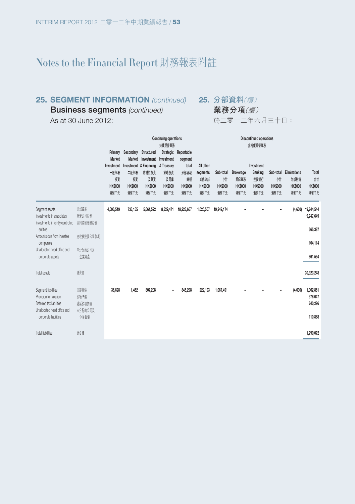#### **25. SEGMENT INFORMATION** (continued) 25. 分部資料(*續*)

**Business segments** (continued)

As at 30 June 2012:

**業務分項**(續)

於二零一二年六月三十日:

|                                                                                                          |                                   |                                                    | <b>Continuing operations</b>         |                                                                             |                                              |                                               |                                                         |                                          | <b>Discontinued operations</b>              |                                                         |                             |                                                          |                                      |
|----------------------------------------------------------------------------------------------------------|-----------------------------------|----------------------------------------------------|--------------------------------------|-----------------------------------------------------------------------------|----------------------------------------------|-----------------------------------------------|---------------------------------------------------------|------------------------------------------|---------------------------------------------|---------------------------------------------------------|-----------------------------|----------------------------------------------------------|--------------------------------------|
|                                                                                                          |                                   | Market                                             | Primary Secondary<br>Market          | Structured                                                                  | 持續經營業務<br>Strategic<br>Investment Investment | Reportable<br>segment                         |                                                         |                                          |                                             | 非持續經營業務                                                 |                             |                                                          |                                      |
|                                                                                                          |                                   | Investment<br>一級市場<br>投資<br><b>HK\$000</b><br>港幣千元 | 二級市場<br>投資<br><b>HK\$000</b><br>港幣千元 | Investment & Financing & Treasury<br>结構性投資<br>及融資<br><b>HK\$000</b><br>港幣千元 | 策略投資<br>及司庫<br><b>HK\$000</b><br>港幣千元        | total<br>分部呈報<br>總額<br><b>HK\$000</b><br>港幣千元 | All other<br>segments<br>其他分部<br><b>HK\$000</b><br>港幣千元 | Sub-total<br>州<br><b>HK\$000</b><br>港幣千元 | Brokerage<br>經紀業務<br><b>HK\$000</b><br>港幣千元 | Investment<br>Banking<br>投資銀行<br><b>HK\$000</b><br>港幣千元 | 惜<br><b>HK\$000</b><br>港幣千元 | Sub-total Eliminations<br>内部對銷<br><b>HK\$000</b><br>港幣千元 | Total<br>솲<br><b>HK\$000</b><br>港幣千元 |
| Segment assets<br>Investments in associates                                                              | 分部資産<br>聯營公司投資                    | 4,096,519                                          | 736.155                              | 5,061,522                                                                   | 8,329,471                                    | 18,223,667                                    | 1,025,507                                               | 19,249,174                               |                                             |                                                         | ۰                           | (4,630)                                                  | 19,244,544<br>9,747,649              |
| Investments in jointly controlled<br>entities                                                            | 共同控制實體投資                          |                                                    |                                      |                                                                             |                                              |                                               |                                                         |                                          |                                             |                                                         |                             |                                                          | 565,387                              |
| Amounts due from investee<br>companies                                                                   | 鹿收被投資公司款項                         |                                                    |                                      |                                                                             |                                              |                                               |                                                         |                                          |                                             |                                                         |                             |                                                          | 104.114                              |
| Unallocated head office and<br>corporate assets                                                          | 未分配的公司及<br>企業資産                   |                                                    |                                      |                                                                             |                                              |                                               |                                                         |                                          |                                             |                                                         |                             |                                                          | 661,554                              |
| Total assets                                                                                             | 總資產                               |                                                    |                                      |                                                                             |                                              |                                               |                                                         |                                          |                                             |                                                         |                             |                                                          | 30,323,248                           |
| Segment liabilities<br>Provision for taxation<br>Deferred tax liabilities<br>Unallocated head office and | 分部自信<br>税項準備<br>派延税項自信<br>未分配的公司及 | 36,628                                             | 1.462                                | 807.208                                                                     |                                              | 845,298                                       | 222.193                                                 | 1,067,491                                |                                             |                                                         | $\blacksquare$              | (4,630)                                                  | 1,062,861<br>376,047<br>240,296      |
| corporate liabilities<br><b>Total liabilities</b>                                                        | 企業自信<br>總負債                       |                                                    |                                      |                                                                             |                                              |                                               |                                                         |                                          |                                             |                                                         |                             |                                                          | 110,868<br>1.790.072                 |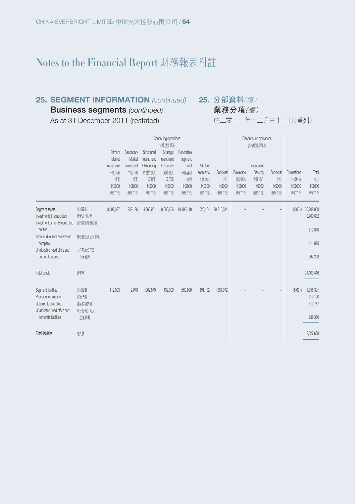#### **25. SEGMENT INFORMATION** (continued) 25. 分部資料(*續*)

**業務分項**(續)

**Business segments** (continued)

As at 31 December 2011 (restated):

於二零一一年十二月三十一日(重列):

|                                                                                                          |                                   | Primary<br>Market<br>Investment<br>一級市場<br>投資 | Secondary<br>Market<br>Investment<br>二級市場<br>投資 | Structured<br>Investment<br>& Financing<br>結構性投資<br>及融資 | Continuing operations<br>持續經營業務<br>Strategic<br>Investment<br>& Treasury<br>策略投資<br>及司庫 | Reportable<br>segment<br>total<br>分部呈報<br>總題 | All other<br>segments<br>其他分部 | Sub-total<br>惜         | Brokerage<br>經紀業務      | Discontinued operations<br>非持續經營業務<br>Investment<br>Banking<br>投資銀行 | Sub-total<br>惜               | Eliminations<br>内部對銷   | Total<br>儲                      |
|----------------------------------------------------------------------------------------------------------|-----------------------------------|-----------------------------------------------|-------------------------------------------------|---------------------------------------------------------|-----------------------------------------------------------------------------------------|----------------------------------------------|-------------------------------|------------------------|------------------------|---------------------------------------------------------------------|------------------------------|------------------------|---------------------------------|
|                                                                                                          |                                   | <b>HK\$000</b><br>港幣千元                        | <b>HK\$000</b><br>港幣千元                          | <b>HK\$000</b><br>港幣千元                                  | <b>HK\$000</b><br>港幣千元                                                                  | <b>HK\$000</b><br>港幣千元                       | <b>HK\$000</b><br>港幣千元        | <b>HK\$000</b><br>港幣千元 | <b>HK\$000</b><br>港幣千元 | <b>HK\$000</b><br>港幣千元                                              | <b>HK\$000</b><br>港幣千元       | <b>HK\$000</b><br>港幣千元 | <b>HK\$000</b><br>港幣千元          |
| Segment assets<br>Investments in associates<br>Investments in jointly controlled 共同控制實體投資                | 分部資産<br>聯營公司投資                    | 3,492,397                                     | 939,126                                         | 4,863,901                                               | 9,896,686                                                                               | 19,192,110                                   | 1,023,434                     | 20,215,544             |                        |                                                                     | $\overline{\phantom{m}}$     | (5,681)                | 20,209,863<br>9,700,682         |
| entities<br>Amount due from an investee                                                                  | 應收被投資公司款項                         |                                               |                                                 |                                                         |                                                                                         |                                              |                               |                        |                        |                                                                     |                              |                        | 510,840                         |
| company<br>Unallocated head office and                                                                   | 未分配的公司及                           |                                               |                                                 |                                                         |                                                                                         |                                              |                               |                        |                        |                                                                     |                              |                        | 111.823                         |
| corporate assets                                                                                         | 企業資産                              |                                               |                                                 |                                                         |                                                                                         |                                              |                               |                        |                        |                                                                     |                              |                        | 567.208                         |
| Total assets                                                                                             | 總資產                               |                                               |                                                 |                                                         |                                                                                         |                                              |                               |                        |                        |                                                                     |                              |                        | 31,100,416                      |
| Segment liabilities<br>Provision for taxation<br>Deferred tax liabilities<br>Unallocated head office and | 分部負債<br>税項準備<br>遮延税項負債<br>未分配的公司及 | 112.933                                       | 2.078                                           | 1.062.879                                               | 492,000                                                                                 | 1,669,890                                    | 191,182                       | 1,861,072              |                        |                                                                     | $\qquad \qquad \blacksquare$ | (5,681)                | 1,855,391<br>413,150<br>319,787 |
| corporate liabilities                                                                                    | 企業負債                              |                                               |                                                 |                                                         |                                                                                         |                                              |                               |                        |                        |                                                                     |                              |                        | 239,360                         |
| <b>Total liabilities</b>                                                                                 | 總負債                               |                                               |                                                 |                                                         |                                                                                         |                                              |                               |                        |                        |                                                                     |                              |                        | 2,827,688                       |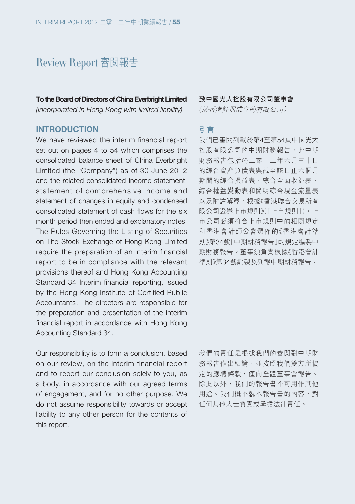# Review Report 審閱報告

**To the Board of Directors of China Everbright Limited** (Incorporated in Hong Kong with limited liability)

**INTRODUCTION**

We have reviewed the interim financial report set out on pages 4 to 54 which comprises the consolidated balance sheet of China Everbright Limited (the "Company") as of 30 June 2012 and the related consolidated income statement, statement of comprehensive income and statement of changes in equity and condensed consolidated statement of cash flows for the six month period then ended and explanatory notes. The Rules Governing the Listing of Securities on The Stock Exchange of Hong Kong Limited require the preparation of an interim financial report to be in compliance with the relevant provisions thereof and Hong Kong Accounting Standard 34 Interim financial reporting, issued by the Hong Kong Institute of Certified Public Accountants. The directors are responsible for the preparation and presentation of the interim financial report in accordance with Hong Kong Accounting Standard 34.

Our responsibility is to form a conclusion, based on our review, on the interim financial report and to report our conclusion solely to you, as a body, in accordance with our agreed terms of engagement, and for no other purpose. We do not assume responsibility towards or accept liability to any other person for the contents of this report.

**致中國光大控股有限公司董事會**

(於香港註冊成立的有限公司)

#### **引言**

我們已審閱列載於第4至第54頁中國光大 控股有限公司的中期財務報告,此中期 財務報告包括於二零一二年六月三十日 的綜合資產負債表與截至該日止六個月 期間的綜合損益表、綜合全面收益表、 綜合權益變動表和簡明綜合現金流量表 以及附註解釋。根據《香港聯合交易所有 限公司證券上市規則》(「上市規則」),上 市公司必須符合上市規則中的相關規定 和香港會計師公會頒佈的《香港會計準 則》第34號「中期財務報告」的規定編製中 期財務報告。董事須負責根據《香港會計 準則》第34號編製及列報中期財務報告。

我們的責任是根據我們的審閱對中期財 務報告作出結論,並按照我們雙方所協 定的應聘條款,僅向全體董事會報告。 除此以外,我們的報告書不可用作其他 用途。我們概不就本報告書的內容,對 任何其他人士負責或承擔法律責任。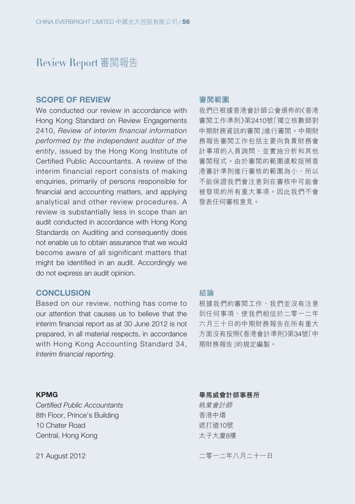# Review Report 審閱報告

#### **SCOPE OF REVIEW**

We conducted our review in accordance with Hong Kong Standard on Review Engagements 2410, Review of interim financial information performed by the independent auditor of the entity, issued by the Hong Kong Institute of Certified Public Accountants. A review of the interim financial report consists of making enquiries, primarily of persons responsible for financial and accounting matters, and applying analytical and other review procedures. A review is substantially less in scope than an audit conducted in accordance with Hong Kong Standards on Auditing and consequently does not enable us to obtain assurance that we would become aware of all significant matters that might be identified in an audit. Accordingly we do not express an audit opinion.

#### **CONCLUSION**

Based on our review, nothing has come to our attention that causes us to believe that the interim financial report as at 30 June 2012 is not prepared, in all material respects, in accordance with Hong Kong Accounting Standard 34, Interim financial reporting.

#### **KPMG**

Certified Public Accountants 8th Floor, Prince's Building 10 Chater Road Central, Hong Kong

21 August 2012

#### **審閱範圍**

我們已根據香港會計師公會頒佈的《香港 審閱工作準則》第2410號「獨立核數師對 中期財務資訊的審閱」進行審閱。中期財 務報告審閱工作包括主要向負責財務會 計事項的人員詢問,並實施分析和其他 審閱程式。由於審閱的範圍遠較按照香 港審計準則進行審核的範圍為小,所以 不能保證我們會注意到在審核中可能會 被發現的所有重大事項。因此我們不會 發表任何審核意見。

#### **結論**

根據我們的審閲工作,我們並沒有注意 到任何事項,使我們相信於二零一二年 六月三十日的中期財務報告在所有重大 方面沒有按照《香港會計準則》第34號「中 期財務報告」的規定編製。

**畢馬威會計師事務所** 執業會計師 香港中環 遮打道10號 太子大廈8樓

二零一二年八月二十一日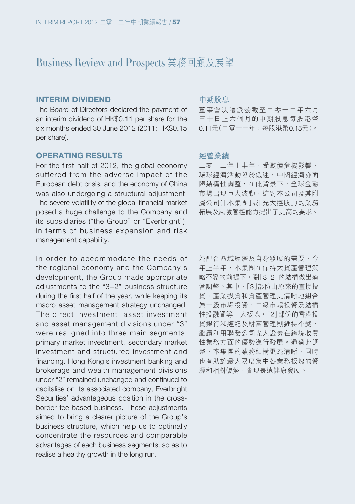#### **INTERIM DIVIDEND**

The Board of Directors declared the payment of an interim dividend of HK\$0.11 per share for the six months ended 30 June 2012 (2011: HK\$0.15 per share).

## **OPERATING RESULTS**

For the first half of 2012, the global economy suffered from the adverse impact of the European debt crisis, and the economy of China was also undergoing a structural adjustment. The severe volatility of the global financial market posed a huge challenge to the Company and its subsidiaries ("the Group" or "Everbright"), in terms of business expansion and risk management capability.

In order to accommodate the needs of the regional economy and the Company's development, the Group made appropriate adjustments to the "3+2" business structure during the first half of the year, while keeping its macro asset management strategy unchanged. The direct investment, asset investment and asset management divisions under "3" were realigned into three main segments: primary market investment, secondary market investment and structured investment and financing. Hong Kong's investment banking and brokerage and wealth management divisions under "2" remained unchanged and continued to capitalise on its associated company, Everbright Securities' advantageous position in the crossborder fee-based business. These adjustments aimed to bring a clearer picture of the Group's business structure, which help us to optimally concentrate the resources and comparable advantages of each business segments, so as to realise a healthy growth in the long run.

#### **中期股息**

董事會決議派發截至二零一二年六月 三十日止六個月的中期股息每股港幣 0.11元(二零一一年:每股港幣0.15元)。

#### **經營業績**

二零一二年上半年,受歐債危機影響, 環球經濟活動陷於低迷,中國經濟亦面 臨結構性調整,在此背景下,全球金融 市場出現巨大波動,這對本公司及其附 屬公司(「本集團」或「光大控股」)的業務 拓展及風險管控能力提出了更高的要求。

為配合區域經濟及自身發展的需要,今 年上半年,本集團在保持大資產管理策 略不變的前提下,對「3+2」的結構做出適 當調整。其中,「3」部份由原來的直接投 資、產業投資和資產管理更清晰地組合 為一級市場投資、二級市場投資及結構 性投融資等三大板塊,「2」部份的香港投 資銀行和經紀及財富管理則維持不變, 繼續利用聯營公司光大證券在跨境收費 性業務方面的優勢進行發展。通過此調 整,本集團的業務結構更為清晰,同時 也有助於最大限度集中各業務板塊的資 源和相對優勢,實現長遠健康發展。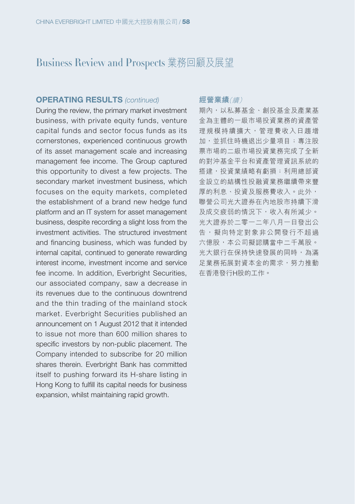#### **OPERATING RESULTS (continued)**

During the review, the primary market investment business, with private equity funds, venture capital funds and sector focus funds as its cornerstones, experienced continuous growth of its asset management scale and increasing management fee income. The Group captured this opportunity to divest a few projects. The secondary market investment business, which focuses on the equity markets, completed the establishment of a brand new hedge fund platform and an IT system for asset management business, despite recording a slight loss from the investment activities. The structured investment and financing business, which was funded by internal capital, continued to generate rewarding interest income, investment income and service fee income. In addition, Everbright Securities, our associated company, saw a decrease in its revenues due to the continuous downtrend and the thin trading of the mainland stock market. Everbright Securities published an announcement on 1 August 2012 that it intended to issue not more than 600 million shares to specific investors by non-public placement. The Company intended to subscribe for 20 million shares therein. Everbright Bank has committed itself to pushing forward its H-share listing in Hong Kong to fulfill its capital needs for business expansion, whilst maintaining rapid growth.

#### **經營業績**(續)

期內,以私募基金、創投基金及產業基 金為主體的一級市場投資業務的資產管 理規模持續擴大,管理費收入日趨增 加,並抓住時機退出少量項目;專注股 票市場的二級市場投資業務完成了全新 的對沖基金平台和資產管理資訊系統的 搭建,投資業績略有虧損;利用總部資 金設立的結構性投融資業務繼續帶來豐 厚的利息、投資及服務費收入。此外, 聯營公司光大證券在內地股市持續下滑 及成交疲弱的情況下,收入有所減少。 光大證券於二零一二年八月一日發出公 告,擬向特定對象非公開發行不超過 六億股,本公司擬認購當中二千萬股。 光大銀行在保持快速發展的同時,為滿 足業務拓展對資本金的需求,努力推動 在香港發行H股的工作。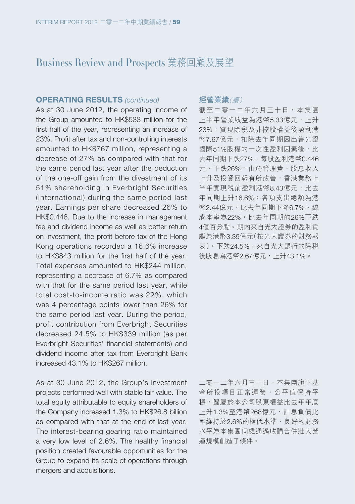#### **OPERATING RESULTS (continued)**

As at 30 June 2012, the operating income of the Group amounted to HK\$533 million for the first half of the year, representing an increase of 23%. Profit after tax and non-controlling interests amounted to HK\$767 million, representing a decrease of 27% as compared with that for the same period last year after the deduction of the one-off gain from the divestment of its 51% shareholding in Everbright Securities (International) during the same period last year. Earnings per share decreased 26% to HK\$0.446. Due to the increase in management fee and dividend income as well as better return on investment, the profit before tax of the Hong Kong operations recorded a 16.6% increase to HK\$843 million for the first half of the year. Total expenses amounted to HK\$244 million, representing a decrease of 6.7% as compared with that for the same period last year, while total cost-to-income ratio was 22%, which was 4 percentage points lower than 26% for the same period last year. During the period, profit contribution from Everbright Securities decreased 24.5% to HK\$339 million (as per Everbright Securities' financial statements) and dividend income after tax from Everbright Bank increased 43.1% to HK\$267 million.

As at 30 June 2012, the Group's investment projects performed well with stable fair value. The total equity attributable to equity shareholders of the Company increased 1.3% to HK\$26.8 billion as compared with that at the end of last year. The interest-bearing gearing ratio maintained a very low level of 2.6%. The healthy financial position created favourable opportunities for the Group to expand its scale of operations through mergers and acquisitions.

#### **經營業績**(續)

截至二零一二年六月三十日,本集團 上半年營業收益為港幣5.33億元,上升 23%;實現除稅及非控股權益後盈利港 幣7.67億元,扣除去年同期因出售光證 國際51%股權的一次性盈利因素後,比 去年同期下跌27%;每股盈利港幣0.446 元,下跌26%。由於管理費、股息收入 上升及投資回報有所改善,香港業務上 半年實現税前盈利港幣8.43億元,比去 年同期上升16.6%;各項支出總額為港 幣2.44億元,比去年同期下降6.7%,總 成本率為22%,比去年同期的26%下跌 4個百分點。期內來自光大證券的盈利貢 獻為港幣3.39億元(按光大證券的財務報 表),下跌24.5%;來自光大銀行的除稅 後股息為港幣2.67億元,上升43.1%。

二零一二年六月三十日,本集團旗下基 金所投項目正常運營,公平值保持平 穩,歸屬於本公司股東權益比去年年底 上升1.3%至港幣268億元,計息負債比 率維持於2.6%的極低水準,良好的財務 水平為本集團伺機通過收購合併壯大營 運規模創造了條件。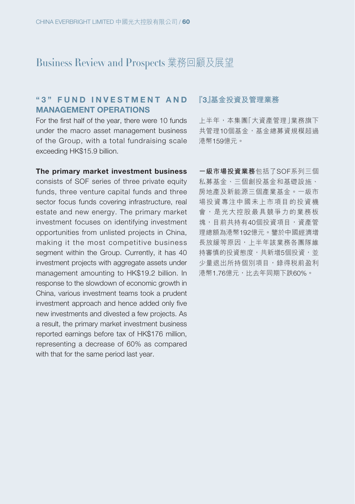## **" 3 " F U N D I N V E S T M E N T A N D MANAGEMENT OPERATIONS**

For the first half of the year, there were 10 funds under the macro asset management business of the Group, with a total fundraising scale exceeding HK\$15.9 billion.

#### **『3』基金投資及管理業務**

上半年,本集團「大資產管理」業務旗下 共管理10個基金,基金總募資規模超過 港幣159億元。

#### **The primary market investment business**

consists of SOF series of three private equity funds, three venture capital funds and three sector focus funds covering infrastructure, real estate and new energy. The primary market investment focuses on identifying investment opportunities from unlisted projects in China, making it the most competitive business segment within the Group. Currently, it has 40 investment projects with aggregate assets under management amounting to HK\$19.2 billion. In response to the slowdown of economic growth in China, various investment teams took a prudent investment approach and hence added only five new investments and divested a few projects. As a result, the primary market investment business reported earnings before tax of HK\$176 million, representing a decrease of 60% as compared with that for the same period last year.

**一級市場投資業務**包括了SOF系列三個 私募基金、三個創投基金和基礎設施、 房地產及新能源三個產業基金。一級市 場投資專注中國未上市項目的投資機 會,是光大控股最具競爭力的業務板 塊,目前共持有40個投資項目,資產管 理總額為港幣192億元。鑒於中國經濟增 長放緩等原因,上半年該業務各團隊維 持審慎的投資態度,共新增5個投資,並 少量退出所持個別項目,錄得税前盈利 港幣1.76億元,比去年同期下跌60%。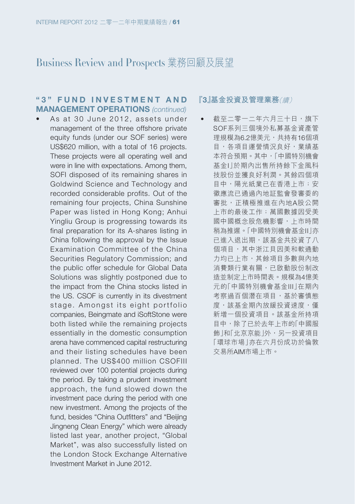### **" 3 " F U N D I N V E S T M E N T A N D MANAGEMENT OPERATIONS (continued)**

 $\bullet$  As at 30 June 2012, assets under management of the three offshore private equity funds (under our SOF series) were US\$620 million, with a total of 16 projects. These projects were all operating well and were in line with expectations. Among them, SOFI disposed of its remaining shares in Goldwind Science and Technology and recorded considerable profits. Out of the remaining four projects, China Sunshine Paper was listed in Hong Kong; Anhui Yingliu Group is progressing towards its final preparation for its A-shares listing in China following the approval by the Issue Examination Committee of the China Securities Regulatory Commission; and the public offer schedule for Global Data Solutions was slightly postponed due to the impact from the China stocks listed in the US. CSOF is currently in its divestment stage. Amongst its eight portfolio companies, Beingmate and iSoftStone were both listed while the remaining projects essentially in the domestic consumption arena have commenced capital restructuring and their listing schedules have been planned. The US\$400 million CSOFIII reviewed over 100 potential projects during the period. By taking a prudent investment approach, the fund slowed down the investment pace during the period with one new investment. Among the projects of the fund, besides "China Outfitters" and "Beijing Jingneng Clean Energy" which were already listed last year, another project, "Global Market", was also successfully listed on the London Stock Exchange Alternative Investment Market in June 2012.

#### **『3』基金投資及管理業務**(續)

• 截至二零一二年六月三十日,旗下 SOF系列三個境外私募基金資產管 理規模為6.2億美元,共持有16個項 目,各項目運營情況良好,業績基 本符合預期。其中,「中國特別機會 基金I」於期內出售所持餘下金風科 技股份並獲良好利潤。其餘四個項 目中,陽光紙業已在香港上市;安 徽應流已通過內地証監會發審委的 審批,正積極推進在內地A股公開 上市的最後工作;萬國數據因受美 國中國概念股危機影響,上市時間 稍為推遲。「中國特別機會基金II」亦 已進入退出期,該基金共投資了八 個項目,其中浙江貝因美和軟通動 力均已上市,其餘項目多數與內地 消費類行業有關,已啟動股份制改 造並制定上市時間表。規模為4億美 元的「中國特別機會基金III」在期內 考察過百個潛在項目,基於審慎態 度,該基金期內放緩投資速度,僅 新增一個投資項目。該基金所持項 目中,除了已於去年上市的「中國服 飾 |和「北京京能 |外,另一投資項目 「環球市場」亦在六月份成功於倫敦 交易所AIM市場上市。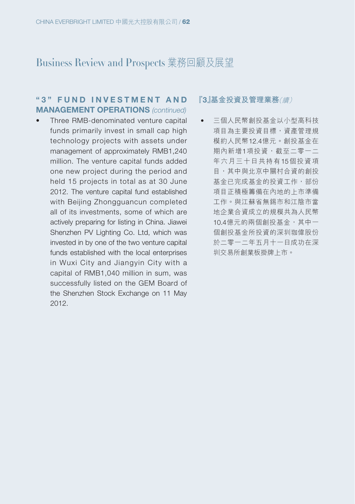## **" 3 " F U N D I N V E S T M E N T A N D MANAGEMENT OPERATIONS** (continued)

• Three RMB-denominated venture capital funds primarily invest in small cap high technology projects with assets under management of approximately RMB1,240 million. The venture capital funds added one new project during the period and held 15 projects in total as at 30 June 2012. The venture capital fund established with Beijing Zhongguancun completed all of its investments, some of which are actively preparing for listing in China. Jiawei Shenzhen PV Lighting Co. Ltd, which was invested in by one of the two venture capital funds established with the local enterprises in Wuxi City and Jiangyin City with a capital of RMB1,040 million in sum, was successfully listed on the GEM Board of the Shenzhen Stock Exchange on 11 May 2012.

#### **『3』基金投資及管理業務**(續)

• 三個人民幣創投基金以小型高科技 項目為主要投資目標,資產管理規 模約人民幣12.4億元。創投基金在 期內新增1項投資,截至二零一二 年六月三十日共持有15個投資項 目,其中與北京中關村合資的創投 基金已完成基金的投資工作,部份 項目正積極籌備在內地的上市準備 工作。與江蘇省無錫市和江陰市當 地企業合資成立的規模共為人民幣 10.4億元的兩個創投基金,其中一 個創投基金所投資的深圳珈偉股份 於二零一二年五月十一日成功在深 圳交易所創業板掛牌上市。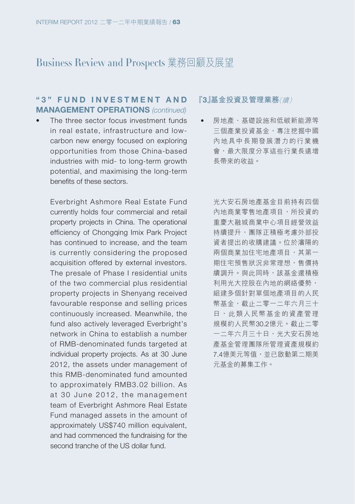## **" 3 " F U N D I N V E S T M E N T A N D MANAGEMENT OPERATIONS (continued)**

• The three sector focus investment funds in real estate, infrastructure and lowcarbon new energy focused on exploring opportunities from those China-based industries with mid- to long-term growth potential, and maximising the long-term benefits of these sectors.

Everbright Ashmore Real Estate Fund currently holds four commercial and retail property projects in China. The operational efficiency of Chongqing Imix Park Project has continued to increase, and the team is currently considering the proposed acquisition offered by external investors. The presale of Phase I residential units of the two commercial plus residential property projects in Shenyang received favourable response and selling prices continuously increased. Meanwhile, the fund also actively leveraged Everbright's network in China to establish a number of RMB-denominated funds targeted at individual property projects. As at 30 June 2012, the assets under management of this RMB-denominated fund amounted to approximately RMB3.02 billion. As at 30 June 2012, the management team of Everbright Ashmore Real Estate Fund managed assets in the amount of approximately US\$740 million equivalent, and had commenced the fundraising for the second tranche of the US dollar fund.

#### **『3』基金投資及管理業務**(續)

• 房地產、基礎設施和低碳新能源等 三個產業投資基金,專注挖掘中國 內地具中長期發展潛力的行業機 會,最大限度分享這些行業長遠增 長帶來的收益。

> 光大安石房地產基金目前持有四個 內地商業零售地產項目,所投資的 重慶大融城商業中心項目經營效益 持續提升,團隊正積極考慮外部投 資者提出的收購建議。位於瀋陽的 兩個商業加住宅地產項目,其第一 期住宅預售狀況非常理想,售價持 續調升。與此同時,該基金還積極 利用光大控股在內地的網絡優勢, 組建多個針對單個地產項目的人民 幣基金,截止二零一二年六月三十 日,此類人民幣基金的資產管理 規模約人民幣30.2億元。截止二零 一二年六月三十日,光大安石房地 產基金管理團隊所管理資產規模約 7.4億美元等值,並已啟動第二期美 元基金的募集工作。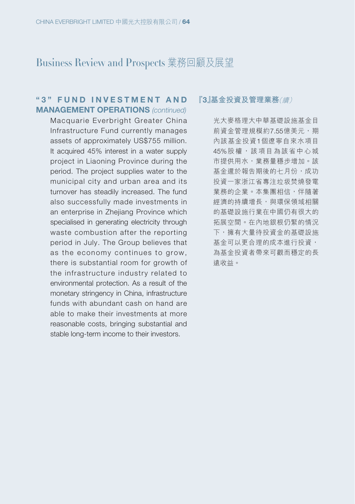## **" 3 " F U N D I N V E S T M E N T A N D MANAGEMENT OPERATIONS** (continued)

Macquarie Everbright Greater China Infrastructure Fund currently manages assets of approximately US\$755 million. It acquired 45% interest in a water supply project in Liaoning Province during the period. The project supplies water to the municipal city and urban area and its turnover has steadily increased. The fund also successfully made investments in an enterprise in Zhejiang Province which specialised in generating electricity through waste combustion after the reporting period in July. The Group believes that as the economy continues to grow, there is substantial room for growth of the infrastructure industry related to environmental protection. As a result of the monetary stringency in China, infrastructure funds with abundant cash on hand are able to make their investments at more reasonable costs, bringing substantial and stable long-term income to their investors.

#### **『3』基金投資及管理業務**(續)

光大麥格理大中華基礎設施基金目 前資金管理規模約7.55億美元,期 內該基金投資1個遼寧自來水項目 45%股權,該項目為該省中心城 市提供用水,業務量穩步增加。該 基金還於報告期後的七月份,成功 投資一家浙江省專注垃圾焚燒發電 業務的企業。本集團相信,伴隨著 經濟的持續增長,與環保領域相關 的基礎設施行業在中國仍有很大的 拓展空間。在內地銀根仍緊的情況 下,擁有大量待投資金的基礎設施 基金可以更合理的成本進行投資, 為基金投資者帶來可觀而穩定的長 遠收益。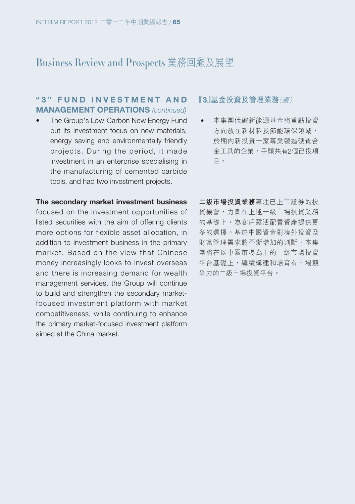## **" 3 " F U N D I N V E S T M E N T A N D MANAGEMENT OPERATIONS** (continued)

• The Group's Low-Carbon New Energy Fund put its investment focus on new materials, energy saving and environmentally friendly projects. During the period, it made investment in an enterprise specialising in the manufacturing of cemented carbide tools, and had two investment projects.

#### **The secondary market investment business**

focused on the investment opportunities of listed securities with the aim of offering clients more options for flexible asset allocation, in addition to investment business in the primary market. Based on the view that Chinese money increasingly looks to invest overseas and there is increasing demand for wealth management services, the Group will continue to build and strengthen the secondary marketfocused investment platform with market competitiveness, while continuing to enhance the primary market-focused investment platform aimed at the China market.

#### **『3』基金投資及管理業務**(續)

• 本集團低碳新能源基金將重點投資 方向放在新材料及節能環保領域, 於期內新投資一家專業製造硬質合 金工具的企業,手頭共有2個已投項 目。

**二級市場投資業務**專注已上市證券的投 資機會,力圖在上述一級市場投資業務 的基礎上,為客戶靈活配置資產提供更 多的選擇。基於中國資金對境外投資及 財富管理需求將不斷增加的判斷,本集 團將在以中國市場為主的一級市場投資 平台基礎上,繼續構建和培育有市場競 爭力的二級市場投資平台。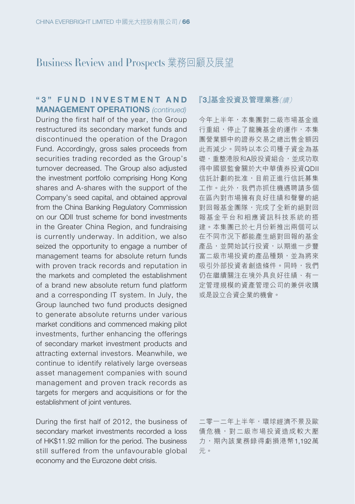### **" 3 " F U N D I N V E S T M E N T A N D MANAGEMENT OPERATIONS (continued)**

During the first half of the year, the Group restructured its secondary market funds and discontinued the operation of the Dragon Fund. Accordingly, gross sales proceeds from securities trading recorded as the Group's turnover decreased. The Group also adjusted the investment portfolio comprising Hong Kong shares and A-shares with the support of the Company's seed capital, and obtained approval from the China Banking Regulatory Commission on our QDII trust scheme for bond investments in the Greater China Region, and fundraising is currently underway. In addition, we also seized the opportunity to engage a number of management teams for absolute return funds with proven track records and reputation in the markets and completed the establishment of a brand new absolute return fund platform and a corresponding IT system. In July, the Group launched two fund products designed to generate absolute returns under various market conditions and commenced making pilot investments, further enhancing the offerings of secondary market investment products and attracting external investors. Meanwhile, we continue to identify relatively large overseas asset management companies with sound management and proven track records as targets for mergers and acquisitions or for the establishment of joint ventures.

During the first half of 2012, the business of secondary market investments recorded a loss of HK\$11.92 million for the period. The business still suffered from the unfavourable global economy and the Eurozone debt crisis.

#### **『3』基金投資及管理業務**(續)

今年上半年,本集團對二級市場基金進 行重組,停止了龍騰基金的運作,本集 團營業額中的證券交易之總出售金額因 此而減少。同時以本公司種子資金為基 礎,重整港股和A股投資組合,並成功取 得中國銀監會關於大中華債券投資QDII 信託計劃的批准,目前正進行信託募集 工作。此外,我們亦抓住機遇聘請多個 在區內對市場擁有良好往績和聲譽的絕 對回報基金團隊,完成了全新的絕對回 報基金平台和相應資訊科技系統的搭 建。本集團已於七月份新推出兩個可以 在不同市況下都能產生絕對回報的基金 產品,並開始試行投資,以期進一步豐 富二級市場投資的產品種類,並為將來 吸引外部投資者創造條件。同時,我們 仍在繼續關注在境外具良好往績、有一 定管理規模的資產管理公司的兼併收購 或是設立合資企業的機會。

二零一二年上半年,環球經濟不景及歐 債危機,對二級市場投資造成較大壓 力,期內該業務錄得虧損港幣1,192萬 元。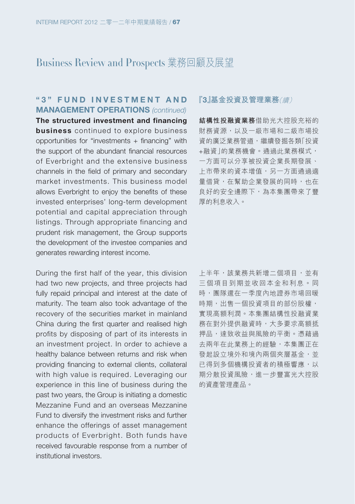## **" 3 " F U N D I N V E S T M E N T A N D MANAGEMENT OPERATIONS (continued)**

**The structured investment and financing business** continued to explore business opportunities for "investments + financing" with the support of the abundant financial resources of Everbright and the extensive business channels in the field of primary and secondary market investments. This business model allows Everbright to enjoy the benefits of these invested enterprises' long-term development potential and capital appreciation through listings. Through appropriate financing and prudent risk management, the Group supports the development of the investee companies and generates rewarding interest income.

During the first half of the year, this division had two new projects, and three projects had fully repaid principal and interest at the date of maturity. The team also took advantage of the recovery of the securities market in mainland China during the first quarter and realised high profits by disposing of part of its interests in an investment project. In order to achieve a healthy balance between returns and risk when providing financing to external clients, collateral with high value is required. Leveraging our experience in this line of business during the past two years, the Group is initiating a domestic Mezzanine Fund and an overseas Mezzanine Fund to diversify the investment risks and further enhance the offerings of asset management products of Everbright. Both funds have received favourable response from a number of institutional investors.

#### **『3』基金投資及管理業務**(續)

**結構性投融資業務**借助光大控股充裕的 財務資源,以及一級市場和二級市場投 資的廣泛業務管道,繼續發掘各類「投資 +融資」的業務機會。通過此業務模式, 一方面可以分享被投資企業長期發展、 上市帶來的資本增值,另一方面通過適 量借貸,在幫助企業發展的同時,也在 良好的安全邊際下,為本集團帶來了豐 厚的利息收入。

上半年,該業務共新增二個項目,並有 三個項目到期並收回本金和利息。同 時,團隊還在一季度內地證券市場回暖 時期,出售一個投資項目的部份股權, 實現高額利潤。本集團結構性投融資業 務在對外提供融資時,大多要求高額抵 押品,達致收益與風險的平衡。憑藉過 去兩年在此業務上的經驗,本集團正在 發起設立境外和境內兩個夾層基金,並 已得到多個機構投資者的積極響應,以 期分散投資風險,進一步豐富光大控股 的資產管理產品。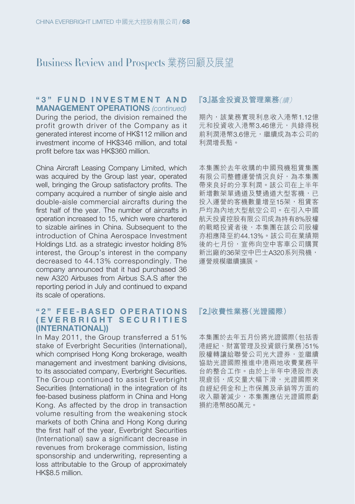#### **" 3 " F U N D I N V E S T M E N T A N D MANAGEMENT OPERATIONS (continued)**

During the period, the division remained the profit growth driver of the Company as it generated interest income of HK\$112 million and investment income of HK\$346 million, and total profit before tax was HK\$360 million.

China Aircraft Leasing Company Limited, which was acquired by the Group last year, operated well, bringing the Group satisfactory profits. The company acquired a number of single aisle and double-aisle commercial aircrafts during the first half of the year. The number of aircrafts in operation increased to 15, which were chartered to sizable airlines in China. Subsequent to the introduction of China Aerospace Investment Holdings Ltd. as a strategic investor holding 8% interest, the Group's interest in the company decreased to 44.13% correspondingly. The company announced that it had purchased 36 new A320 Airbuses from Airbus S.A.S after the reporting period in July and continued to expand its scale of operations.

### **" 2 " F E E - B A S E D O P E R A T I O N S ( E V E R B R I G H T S E C U R I T I E S (INTERNATIONAL))**

In May 2011, the Group transferred a 51% stake of Everbright Securities (International), which comprised Hong Kong brokerage, wealth management and investment banking divisions, to its associated company, Everbright Securities. The Group continued to assist Everbright Securities (International) in the integration of its fee-based business platform in China and Hong Kong. As affected by the drop in transaction volume resulting from the weakening stock markets of both China and Hong Kong during the first half of the year, Everbright Securities (International) saw a significant decrease in revenues from brokerage commission, listing sponsorship and underwriting, representing a loss attributable to the Group of approximately HK\$8.5 million.

#### **『3』基金投資及管理業務**(續)

期內,該業務實現利息收入港幣1.12億 元和投資收入港幣3.46億元,共錄得稅 前利潤港幣3.6億元,繼續成為本公司的 利潤增長點。

本集團於去年收購的中國飛機租賃集團 有限公司整體運營情況良好,為本集團 帶來良好的分享利潤。該公司在上半年 新增數架單通道及雙通道大型客機,已 投入運營的客機數量增至15架,和賃客 戶均為內地大型航空公司。在引入中國 航天投資控股有限公司成為持有8%股權 的戰略投資者後,本集團在該公司股權 亦相應降至約44.13%。該公司在業績期 後的七月份,宣佈向空中客車公司購買 新出廠的36架空中巴士A320系列飛機, 運營規模繼續擴展。

#### **『2』收費性業務(光證國際)**

本集團於去年五月份將光證國際(包括香 港經紀、財富管理及投資銀行業務)51% 股權轉讓給聯營公司光大證券,並繼續 協助光證國際推進中港兩地收費業務平 台的整合工作。由於上半年中港股市表 現疲弱,成交量大幅下滑,光證國際來 自經紀佣金和上市保薦及承銷等方面的 收入顯著減少,本集團應佔光證國際虧 損約港幣850萬元。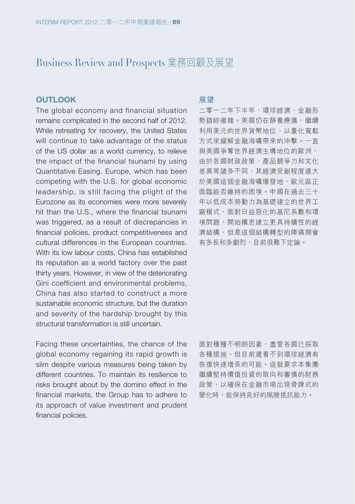### **OUTLOOK**

The global economy and financial situation remains complicated in the second half of 2012. While retreating for recovery, the United States will continue to take advantage of the status of the US dollar as a world currency, to relieve the impact of the financial tsunami by using Quantitative Easing. Europe, which has been competing with the U.S. for global economic leadership, is still facing the plight of the Eurozone as its economies were more severely hit than the U.S., where the financial tsunami was triggered, as a result of discrepancies in financial policies, product competitiveness and cultural differences in the European countries. With its low labour costs, China has established its reputation as a world factory over the past thirty years. However, in view of the deteriorating Gini coefficient and environmental problems, China has also started to construct a more sustainable economic structure, but the duration and severity of the hardship brought by this structural transformation is still uncertain.

Facing these uncertainties, the chance of the global economy regaining its rapid growth is slim despite various measures being taken by different countries. To maintain its resilience to risks brought about by the domino effect in the financial markets, the Group has to adhere to its approach of value investment and prudent financial policies.

#### **展望**

二零一二年下半年,環球經濟、金融形 勢錯綜複雜。美國仍在靜養療傷,繼續 利用美元的世界貨幣地位,以量化寬鬆 方式來緩解金融海嘯帶來的沖擊。一直 與美國爭奪世界經濟主導地位的歐洲, 由於各國財政政策、產品競爭力和文化 差異等諸多不同,其經濟受創程度遠大 於美國這個金融海嘯爆發地,歐元區正 面臨能否維持的困境。中國在過去三十 年以低成本勞動力為基礎建立的世界工 廠模式,面對日益惡化的基尼系數和環 境問題,開始構思建立更具持續性的經 濟結構,但是這個結構轉型的陣痛期會 有多長和多劇烈,目前很難下定論。

面對種種不明朗因素,盡管各國已採取 各種措施,但目前還看不到環球經濟有 恢復快速增長的可能。這就要求本集團 繼續堅持價值投資的取向和審慎的財務 政策,以確保在金融市場出現骨牌式的 變化時,能保持良好的風險抵抗能力。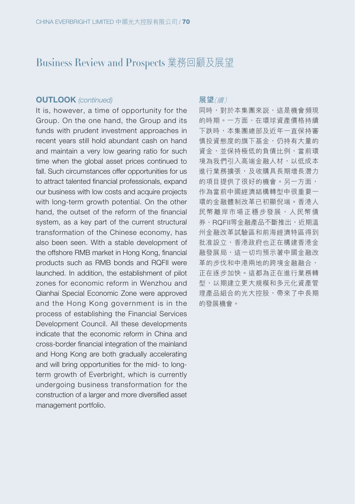#### **OUTLOOK** (continued)

It is, however, a time of opportunity for the Group. On the one hand, the Group and its funds with prudent investment approaches in recent years still hold abundant cash on hand and maintain a very low gearing ratio for such time when the global asset prices continued to fall. Such circumstances offer opportunities for us to attract talented financial professionals, expand our business with low costs and acquire projects with long-term growth potential. On the other hand, the outset of the reform of the financial system, as a key part of the current structural transformation of the Chinese economy, has also been seen. With a stable development of the offshore RMB market in Hong Kong, financial products such as RMB bonds and RQFII were launched. In addition, the establishment of pilot zones for economic reform in Wenzhou and Qianhai Special Economic Zone were approved and the Hong Kong government is in the process of establishing the Financial Services Development Council. All these developments indicate that the economic reform in China and cross-border financial integration of the mainland and Hong Kong are both gradually accelerating and will bring opportunities for the mid- to longterm growth of Everbright, which is currently undergoing business transformation for the construction of a larger and more diversified asset management portfolio.

#### **展望**(續)

同時,對於本集團來說,這是機會頻現 的時期。一方面,在環球資產價格持續 下跌時,本集團總部及近年一直保持審 慎投資態度的旗下基金,仍持有大量的 資金,並保持極低的負債比例,當前環 境為我們引入高端金融人材,以低成本 進行業務擴張,及收購具長期增長潛力 的項目提供了很好的機會。另一方面, 作為當前中國經濟結構轉型中很重要一 環的金融體制改革已初顯倪端。香港人 民幣離岸市場正穩步發展,人民幣債 券、RQFII等金融產品不斷推出,近期溫 州金融改革試驗區和前海經濟特區得到 批准設立,香港政府也正在構建香港金 融發展局,這一切均預示著中國金融改 革的步伐和中港兩地的跨境金融融合, 正在逐步加快。這都為正在進行業務轉 型,以期建立更大規模和多元化資產管 理產品組合的光大控股,帶來了中長期 的發展機會。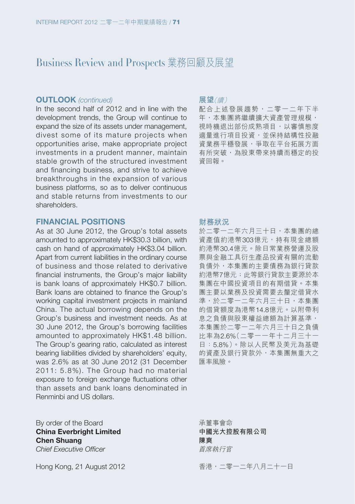# Business Review and Prospects 業務回顧及展望

#### **OUTLOOK** (continued)

In the second half of 2012 and in line with the development trends, the Group will continue to expand the size of its assets under management, divest some of its mature projects when opportunities arise, make appropriate project investments in a prudent manner, maintain stable growth of the structured investment and financing business, and strive to achieve breakthroughs in the expansion of various business platforms, so as to deliver continuous and stable returns from investments to our shareholders.

#### **FINANCIAL POSITIONS**

As at 30 June 2012, the Group's total assets amounted to approximately HK\$30.3 billion, with cash on hand of approximately HK\$3.04 billion. Apart from current liabilities in the ordinary course of business and those related to derivative financial instruments, the Group's major liability is bank loans of approximately HK\$0.7 billion. Bank loans are obtained to finance the Group's working capital investment projects in mainland China. The actual borrowing depends on the Group's business and investment needs. As at 30 June 2012, the Group's borrowing facilities amounted to approximately HK\$1.48 billion. The Group's gearing ratio, calculated as interest bearing liabilities divided by shareholders' equity, was 2.6% as at 30 June 2012 (31 December 2011: 5.8%). The Group had no material exposure to foreign exchange fluctuations other than assets and bank loans denominated in Renminbi and US dollars.

By order of the Board **China Everbright Limited Chen Shuang** Chief Executive Officer

Hong Kong, 21 August 2012

#### **展望**(續)

配合上述發展趨勢,二零一二年下半 年,本集團將繼續擴大資產管理規模, 視時機退出部份成熟項目,以審慎態度 適量進行項目投資,並保持結構性投融 資業務平穩發展,爭取在平台拓展方面 有所突破,為股東帶來持續而穩定的投 資回報。

#### **財務狀況**

於二零一二年六月三十日,本集團的總 資產值約港幣303億元,持有現金總額 約港幣30.4億元。除日常業務營運及股 票與金融工具衍生產品投資有關的流動 負債外,本集團的主要債務為銀行貸款 約港幣7億元;此等銀行貸款主要源於本 集團在中國投資項目的有期借貸。本集 團主要以業務及投資需要去釐定借貸水 準,於二零一二年六月三十日,本集團 的借貸額度為港幣14.8億元。以附帶利 息之負債與股東權益總額為計算基準, 本集團於二零一二年六月三十日之負債 比率為2.6%(二零一一年十二月三十一 日:5.8%)。除以人民幣及美元為基礎 的資產及銀行貸款外,本集團無重大之 匯率風險。

承董事會命 **中國光大控股有限公司 陳爽** 首席執行官

香港,二零一二年八月二十一日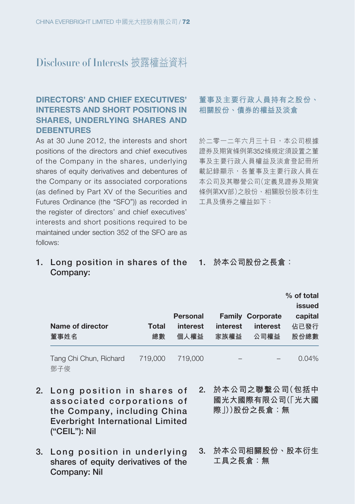# **DIRECTORS' AND CHIEF EXECUTIVES' INTERESTS AND SHORT POSITIONS IN SHARES, UNDERLYING SHARES AND DEBENTURES**

As at 30 June 2012, the interests and short positions of the directors and chief executives of the Company in the shares, underlying shares of equity derivatives and debentures of the Company or its associated corporations (as defined by Part XV of the Securities and Futures Ordinance (the "SFO")) as recorded in the register of directors' and chief executives' interests and short positions required to be maintained under section 352 of the SFO are as follows:

# **董事及主要行政人員持有之股份、 相關股份、債券的權益及淡倉**

於二零一二年六月三十日,本公司根據 證券及期貨條例第352條規定須設置之董 事及主要行政人員權益及淡倉登記冊所 載記錄顯示,各董事及主要行政人員在 本公司及其聯營公司(定義見證券及期貨 條例第XV部)之股份、相關股份股本衍生 工具及債券之權益如下:

**1. Long position in shares of the 1. 於本公司股份之長倉: Company:**

| Name of director<br>董事姓名      | Total<br>總數 | <b>Personal</b><br>interest<br>個人權益 | interest<br>家族權益 | <b>Family Corporate</b><br>interest<br>公司權益 | % of total<br>issued<br>capital<br>佔已發行<br>股份總數 |
|-------------------------------|-------------|-------------------------------------|------------------|---------------------------------------------|-------------------------------------------------|
| Tang Chi Chun, Richard<br>鄧子俊 | 719,000     | 719,000                             |                  |                                             | $0.04\%$                                        |

- 2. Long position in shares of **a s s o c i a t e d c o r p o r a t i o n s o f the Company, including China Everbright International Limited ("CEIL"): Nil**
- 3. Long position in underlying **shares of equity derivatives of the Company: Nil**
- **2. 於本公司之聯繫公司(包括中 國光大國際有限公司(「光大國 際」))股份之長倉:無**
- **3. 於本公司相關股份、股本衍生 工具之長倉:無**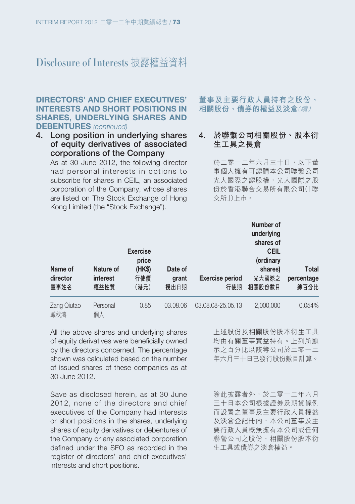## **DIRECTORS' AND CHIEF EXECUTIVES' INTERESTS AND SHORT POSITIONS IN SHARES, UNDERLYING SHARES AND DEBENTURES** (continued)

**4. Long position in underlying shares of equity derivatives of associated corporations of the Company**

As at 30 June 2012, the following director had personal interests in options to subscribe for shares in CEIL, an associated corporation of the Company, whose shares are listed on The Stock Exchange of Hong Kong Limited (the "Stock Exchange").

# **董事及主要行政人員持有之股份、 相關股份、債券的權益及淡倉**(續)

## **4. 於聯繫公司相關股份、股本衍 生工具之長倉**

於二零一二年六月三十日,以下董 事個人擁有可認購本公司聯繫公司 光大國際之認股權,光大國際之股 份於香港聯合交易所有限公司(「聯 交所」)上市。

| Name of<br>director<br>董事姓名 | Nature of<br><i>interest</i><br>權益性質 | <b>Exercise</b><br>price<br>(HK\$)<br>行使價<br>(港元) | Date of<br>grant<br>授出日期 | <b>Exercise period</b><br>行使期 | Number of<br>underlying<br>shares of<br><b>CEIL</b><br>(ordinary<br>shares)<br>光大國際之<br>相關股份數目 | <b>Total</b><br>percentage<br>總百分比 |
|-----------------------------|--------------------------------------|---------------------------------------------------|--------------------------|-------------------------------|------------------------------------------------------------------------------------------------|------------------------------------|
| Zang Qiutao<br>臧秋濤          | Personal<br>個人                       | 0.85                                              | 03.08.06                 | 03.08.08-25.05.13             | 2,000,000                                                                                      | 0.054%                             |

All the above shares and underlying shares of equity derivatives were beneficially owned by the directors concerned. The percentage shown was calculated based on the number of issued shares of these companies as at 30 June 2012.

Save as disclosed herein, as at 30 June 2012, none of the directors and chief executives of the Company had interests or short positions in the shares, underlying shares of equity derivatives or debentures of the Company or any associated corporation defined under the SFO as recorded in the register of directors' and chief executives' interests and short positions.

上述股份及相關股份股本衍生工具 均由有關董事實益持有。上列所顯 示之百分比以該等公司於二零一二 年六月三十日已發行股份數目計算。

除此披露者外,於二零一二年六月 三十日本公司根據證券及期貨條例 而設置之董事及主要行政人員權益 及淡倉登記冊內,本公司董事及主 要行政人員概無擁有本公司或任何 聯營公司之股份、相關股份股本衍 生工具或債券之淡倉權益。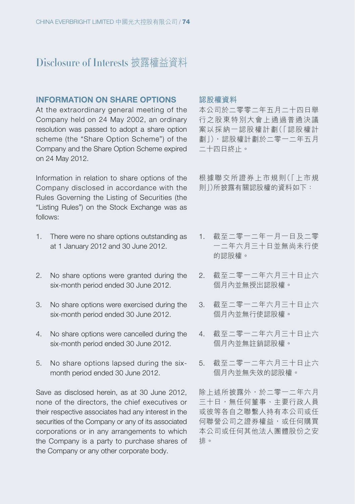#### **INFORMATION ON SHARE OPTIONS**

At the extraordinary general meeting of the Company held on 24 May 2002, an ordinary resolution was passed to adopt a share option scheme (the "Share Option Scheme") of the Company and the Share Option Scheme expired on 24 May 2012.

Information in relation to share options of the Company disclosed in accordance with the Rules Governing the Listing of Securities (the "Listing Rules") on the Stock Exchange was as follows:

- 1. There were no share options outstanding as at 1 January 2012 and 30 June 2012.
- 2. No share options were granted during the six-month period ended 30 June 2012.
- 3. No share options were exercised during the six-month period ended 30 June 2012.
- 4. No share options were cancelled during the six-month period ended 30 June 2012.
- 5. No share options lapsed during the sixmonth period ended 30 June 2012.

Save as disclosed herein, as at 30 June 2012, none of the directors, the chief executives or their respective associates had any interest in the securities of the Company or any of its associated corporations or in any arrangements to which the Company is a party to purchase shares of the Company or any other corporate body.

#### **認股權資料**

本公司於二零零二年五月二十四日舉 行之股東特別大會上通過普通決議 案以採納一認股權計劃(「認股權計 劃」),認股權計劃於二零一二年五月 二十四日終止。

根據聯交所證券上市規則(「上市規 則」)所披露有關認股權的資料如下:

- 1. 截至二零一二年一月一日及二零 一二年六月三十日並無尚未行使 的認股權。
- 2. 截至二零一二年六月三十日止六 個月內並無授出認股權。
- 3. 截至二零一二年六月三十日止六 個月內並無行使認股權。
- 4. 截至二零一二年六月三十日止六 個月內並無註銷認股權。
- 5. 截至二零一二年六月三十日止六 個月內並無失效的認股權。

除上述所披露外,於二零一二年六月 三十日,無任何董事、主要行政人員 或彼等各自之聯繫人持有本公司或任 何聯營公司之證券權益,或任何購買 本公司或任何其他法人團體股份之安 排。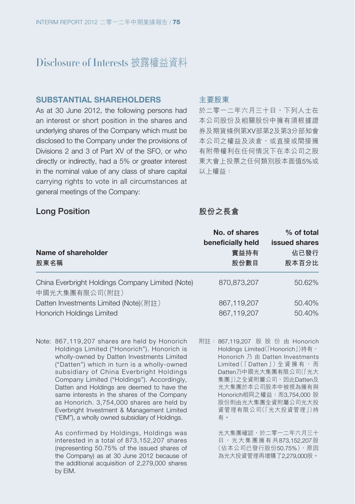#### **SUBSTANTIAL SHAREHOLDERS**

As at 30 June 2012, the following persons had an interest or short position in the shares and underlying shares of the Company which must be disclosed to the Company under the provisions of Divisions 2 and 3 of Part XV of the SFO, or who directly or indirectly, had a 5% or greater interest in the nominal value of any class of share capital carrying rights to vote in all circumstances at general meetings of the Company:

#### **主要股東**

於二零一二年六月三十日,下列人士在 本公司股份及相關股份中擁有須根據證 券及期貨條例第XV部第2及第3分部知會 本公司之權益及淡倉,或直接或間接擁 有附帶權利在任何情況下在本公司之股 東大會上投票之任何類別股本面值5%或 以上權益:

#### **Long Position**

# **股份之長倉**

| Name of shareholder                                                | No. of shares<br>beneficially held<br>實益持有 | % of total<br>issued shares<br>佔已發行 |
|--------------------------------------------------------------------|--------------------------------------------|-------------------------------------|
| 股東名稱                                                               | 股份數目                                       | 股本百分比                               |
| China Everbright Holdings Company Limited (Note)<br>中國光大集團有限公司(附註) | 870,873,207                                | 50.62%                              |
| Datten Investments Limited (Note)(附註)                              | 867,119,207                                | 50.40%                              |
| <b>Honorich Holdings Limited</b>                                   | 867.119.207                                | 50.40%                              |

Note: 867,119,207 shares are held by Honorich Holdings Limited ("Honorich"). Honorich is wholly-owned by Datten Investments Limited ("Datten") which in turn is a wholly-owned subsidiary of China Everbright Holdings Company Limited ("Holdings"). Accordingly, Datten and Holdings are deemed to have the same interests in the shares of the Company as Honorich. 3,754,000 shares are held by Everbright Investment & Management Limited ("EIM"), a wholly owned subsidiary of Holdings.

> As confirmed by Holdings, Holdings was interested in a total of 873,152,207 shares (representing 50.75% of the issued shares of the Company) as at 30 June 2012 because of the additional acquisition of 2,279,000 shares by EIM.

附註: 867,119,207 股 股 份 由 Honorich Holdings Limited([Honorich])持有, Honorich 乃 由 Datten Investments Limited (「Datten」)全資擁有,而 Datten乃中國光大集團有限公司(「光大 集團」)之全資附屬公司,因此Datten及 光大集團於本公司股本中被視為擁有與 Honorich相同之權益;而3,754,000 股 股份則由光大集團全資附屬公司光大投 資管理有限公司(「光大投資管理」)持 有。

> 光大集團確認,於二零一二年六月三十 日,光大集團擁有共873,152,207股 (佔本公司已發行股份50.75%),原因 為光大投資管理再增購了2,279,000股。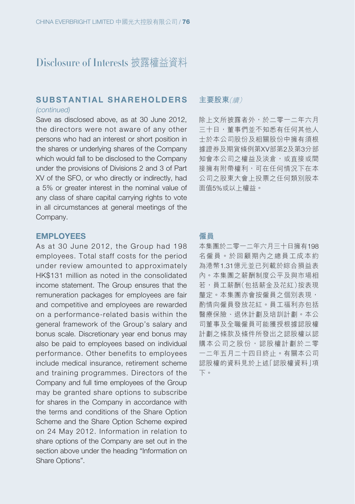# SUBSTANTIAL SHAREHOLDERS

(continued)

Save as disclosed above, as at 30 June 2012, the directors were not aware of any other persons who had an interest or short position in the shares or underlying shares of the Company which would fall to be disclosed to the Company under the provisions of Divisions 2 and 3 of Part XV of the SFO, or who directly or indirectly, had a 5% or greater interest in the nominal value of any class of share capital carrying rights to vote in all circumstances at general meetings of the Company.

# **EMPLOYEES**

# As at 30 June 2012, the Group had 198 employees. Total staff costs for the period under review amounted to approximately HK\$131 million as noted in the consolidated income statement. The Group ensures that the remuneration packages for employees are fair and competitive and employees are rewarded on a performance-related basis within the general framework of the Group's salary and bonus scale. Discretionary year end bonus may also be paid to employees based on individual performance. Other benefits to employees include medical insurance, retirement scheme and training programmes. Directors of the Company and full time employees of the Group may be granted share options to subscribe for shares in the Company in accordance with the terms and conditions of the Share Option Scheme and the Share Option Scheme expired on 24 May 2012. Information in relation to share options of the Company are set out in the section above under the heading "Information on Share Options".

#### **主要股東**(續)

除上文所披露者外,於二零一二年六月 三十日,董事們並不知悉有任何其他人 士於本公司股份及相關股份中擁有須根 據證券及期貨條例第XV部第2及第3分部 知會本公司之權益及淡倉,或直接或間 接擁有附帶權利,可在任何情況下在本 公司之股東大會上投票之任何類別股本 面值5%或以上權益。

#### **僱員**

本集團於二零一二年六月三十日擁有198 名僱員。於回顧期內之總員工成本約 為港幣1.31億元並已列載於綜合損益表 內。本集團之薪酬制度公平及與市場相 若,員工薪酬(包括薪金及花紅)按表現 釐定。本集團亦會按僱員之個別表現, 酌情向僱員發放花紅。員工福利亦包括 醫療保險、退休計劃及培訓計劃。本公 司董事及全職僱員可能獲授根據認股權 計劃之條款及條件所發出之認股權以認 購本公司之股份,認股權計劃於二零 一二年五月二十四日終止。有關本公司 認股權的資料見於上述「認股權資料」項 下。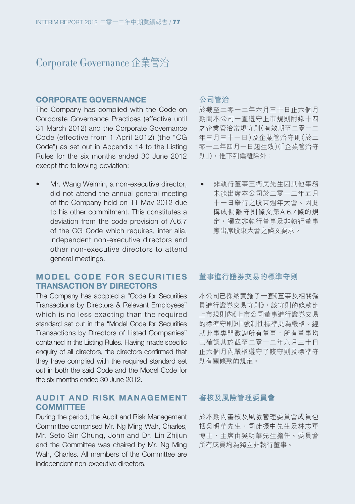# Corporate Governance 企業管治

#### **CORPORATE GOVERNANCE**

The Company has complied with the Code on Corporate Governance Practices (effective until 31 March 2012) and the Corporate Governance Code (effective from 1 April 2012) (the "CG Code") as set out in Appendix 14 to the Listing Rules for the six months ended 30 June 2012 except the following deviation:

Mr. Wang Weimin, a non-executive director, did not attend the annual general meeting of the Company held on 11 May 2012 due to his other commitment. This constitutes a deviation from the code provision of A.6.7 of the CG Code which requires, inter alia, independent non-executive directors and other non-executive directors to attend general meetings.

## **MODEL CODE FOR SECURITIES TRANSACTION BY DIRECTORS**

The Company has adopted a "Code for Securities Transactions by Directors & Relevant Employees" which is no less exacting than the required standard set out in the "Model Code for Securities Transactions by Directors of Listed Companies" contained in the Listing Rules. Having made specific enquiry of all directors, the directors confirmed that they have complied with the required standard set out in both the said Code and the Model Code for the six months ended 30 June 2012.

## **AUDIT AND RISK MANAGEMENT COMMITTEE**

During the period, the Audit and Risk Management Committee comprised Mr. Ng Ming Wah, Charles, Mr. Seto Gin Chung, John and Dr. Lin Zhijun and the Committee was chaired by Mr. Ng Ming Wah, Charles. All members of the Committee are independent non-executive directors.

## **公司管治**

於截至二零一二年六月三十日止六個月 期間本公司一直遵守上市規則附錄十四 之企業管治常規守則(有效期至二零一二 年三月三十一日)及企業管治守則(於二 零一二年四月一日起生效)(「企業管治守 則」),惟下列偏離除外:

• 非執行董事王衛民先生因其他事務 未能出席本公司於二零一二年五月 十一日舉行之股東週年大會。因此 構成偏離守則條文第A.6.7條的規 定,獨立非執行董事及非執行董事 應出席股東大會之條文要求。

#### **董事進行證券交易的標準守則**

本公司已採納實施了一套《董事及相關僱 員進行證券交易守則》,該守則的條款比 上市規則內《上市公司董事進行證券交易 的標準守則》中強制性標準更為嚴格。經 就此事專門徵詢所有董事,所有董事均 已確認其於截至二零一二年六月三十日 止六個月內嚴格遵守了該守則及標準守 則有關條款的規定。

#### **審核及風險管理委員會**

於本期內審核及風險管理委員會成員包 括吳明華先生、司徒振中先生及林志軍 博士,主席由吳明華先生擔任。委員會 所有成員均為獨立非執行董事。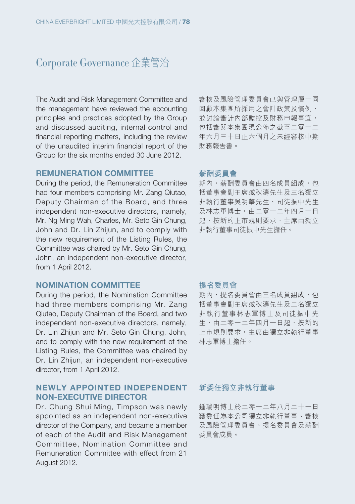# Corporate Governance 企業管治

The Audit and Risk Management Committee and the management have reviewed the accounting principles and practices adopted by the Group and discussed auditing, internal control and financial reporting matters, including the review of the unaudited interim financial report of the Group for the six months ended 30 June 2012.

## **REMUNERATION COMMITTEE**

During the period, the Remuneration Committee had four members comprising Mr. Zang Qiutao, Deputy Chairman of the Board, and three independent non-executive directors, namely, Mr. Ng Ming Wah, Charles, Mr. Seto Gin Chung, John and Dr. Lin Zhijun, and to comply with the new requirement of the Listing Rules, the Committee was chaired by Mr. Seto Gin Chung, John, an independent non-executive director, from 1 April 2012.

#### **NOMINATION COMMITTEE**

During the period, the Nomination Committee had three members comprising Mr. Zang Qiutao, Deputy Chairman of the Board, and two independent non-executive directors, namely, Dr. Lin Zhijun and Mr. Seto Gin Chung, John, and to comply with the new requirement of the Listing Rules, the Committee was chaired by Dr. Lin Zhijun, an independent non-executive director, from 1 April 2012.

## **NEWLY APPOINTED INDEPENDENT NON-EXECUTIVE DIRECTOR**

Dr. Chung Shui Ming, Timpson was newly appointed as an independent non-executive director of the Company, and became a member of each of the Audit and Risk Management Committee, Nomination Committee and Remuneration Committee with effect from 21 August 2012.

審核及風險管理委員會已與管理層一同 回顧本集團所採用之會計政策及慣例, 並討論審計內部監控及財務申報事宜, 包括審閱本集團現公佈之截至二零一二 年六月三十日止六個月之未經審核中期 財務報告書。

#### **薪酬委員會**

期內,薪酬委員會由四名成員組成,句 括董事會副主席臧秋濤先生及三名獨立 非執行董事吳明華先生、司徒振中先生 及林志軍博士,由二零一二年四月一日 起,按新的上市規則要求,主席由獨立 非執行董事司徒振中先生擔任。

## **提名委員會**

期內,提名委員會由三名成員組成,包 括董事會副主席臧秋濤先生及二名獨立 非執行董事林志軍博士及司徒振中先 生,由二零一二年四月一日起,按新的 上市規則要求,主席由獨立非執行董事 林志軍博士擔任。

#### **新委任獨立非執行董事**

鍾瑞明博士於二零一二年八月二十一日 獲委任為本公司獨立非執行董事、審核 及風險管理委員會、提名委員會及薪酬 委員會成員。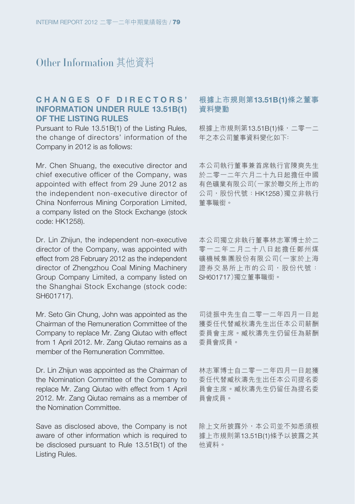# Other Information 其他資料

# **C H A N G E S O F D I R E C T O R S ' INFORMATION UNDER RULE 13.51B(1) OF THE LISTING RULES**

Pursuant to Rule 13.51B(1) of the Listing Rules, the change of directors' information of the Company in 2012 is as follows:

Mr. Chen Shuang, the executive director and chief executive officer of the Company, was appointed with effect from 29 June 2012 as the independent non-executive director of China Nonferrous Mining Corporation Limited, a company listed on the Stock Exchange (stock code: HK1258).

Dr. Lin Zhijun, the independent non-executive director of the Company, was appointed with effect from 28 February 2012 as the independent director of Zhengzhou Coal Mining Machinery Group Company Limited, a company listed on the Shanghai Stock Exchange (stock code: SH601717).

Mr. Seto Gin Chung, John was appointed as the Chairman of the Remuneration Committee of the Company to replace Mr. Zang Qiutao with effect from 1 April 2012. Mr. Zang Qiutao remains as a member of the Remuneration Committee.

Dr. Lin Zhijun was appointed as the Chairman of the Nomination Committee of the Company to replace Mr. Zang Qiutao with effect from 1 April 2012. Mr. Zang Qiutao remains as a member of the Nomination Committee.

Save as disclosed above, the Company is not aware of other information which is required to be disclosed pursuant to Rule 13.51B(1) of the Listing Rules.

### **根據上市規則第13.51B(1)條之董事 資料變動**

根據上市規則第13.51B(1)條,二零一二 年之本公司董事資料變化如下﹕

本公司執行董事兼首席執行官陳爽先生 於二零一二年六月二十九日起擔任中國 有色礦業有限公司(一家於聯交所上市的 公司, 股份代號: HK1258)獨立非執行 董事職銜。

本公司獨立非執行董事林志軍博士於二 零一二年二月二十八日起擔任鄭州煤 礦機械集團股份有限公司(一家於上海 證券交易所上市的公司,股份代號: SH601717)獨立董事職銜。

司徒振中先生自二零一二年四月一日起 獲委任代替臧秋濤先生出任本公司薪酬 委員會主席。臧秋濤先生仍留任為薪酬 委員會成員。

林志軍博士自二零一二年四月一日起獲 委任代替臧秋濤先生出任本公司提名委 員會主席。臧秋濤先生仍留任為提名委 員會成員。

除上文所披露外,本公司並不知悉須根 據上市規則第13.51B(1)條予以披露之其 他資料。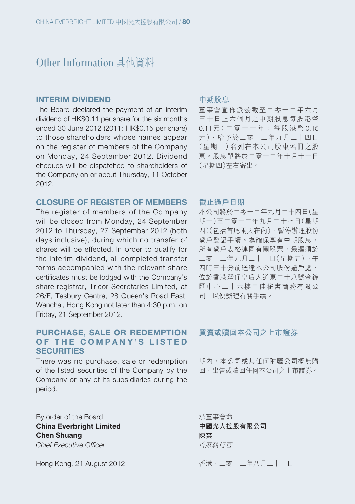# Other Information 其他資料

#### **INTERIM DIVIDEND**

The Board declared the payment of an interim dividend of HK\$0.11 per share for the six months ended 30 June 2012 (2011: HK\$0.15 per share) to those shareholders whose names appear on the register of members of the Company on Monday, 24 September 2012. Dividend cheques will be dispatched to shareholders of the Company on or about Thursday, 11 October 2012.

#### **CLOSURE OF REGISTER OF MEMBERS**

The register of members of the Company will be closed from Monday, 24 September 2012 to Thursday, 27 September 2012 (both days inclusive), during which no transfer of shares will be effected. In order to qualify for the interim dividend, all completed transfer forms accompanied with the relevant share certificates must be lodged with the Company's share registrar, Tricor Secretaries Limited, at 26/F, Tesbury Centre, 28 Queen's Road East, Wanchai, Hong Kong not later than 4:30 p.m. on Friday, 21 September 2012.

## **PURCHASE, SALE OR REDEMPTION OF THE COMPANY'S LISTED SECURITIES**

There was no purchase, sale or redemption of the listed securities of the Company by the Company or any of its subsidiaries during the period.

By order of the Board **China Everbright Limited Chen Shuang** Chief Executive Officer

Hong Kong, 21 August 2012

#### **中期股息**

董事會宣佈派發截至二零一二年六月 三十日止六個月之中期股息每股港幣 0.11 元(二零一一年:每股港幣 0.15 元),給予於二零一二年九月二十四日 (星期一)名列在本公司股東名冊之股 東。股息單將於二零一二年十月十一日 (星期四)左右寄出。

#### **截止過戶日期**

本公司將於二零一二年九月二十四日(星 期一)至二零一二年九月二十七日(星期 四)(包括首尾兩天在內),暫停辦理股份 過戶登記手續。為確保享有中期股息, 所有過戶表格連同有關股票,最遲須於 二零一二年九月二十一日(星期五)下午 四時三十分前送達本公司股份過戶處, 位於香港灣仔皇后大道東二十八號金鐘 匯中心二十六樓卓佳秘書商務有限公 司,以便辦理有關手續。

## **買賣或贖回本公司之上市證券**

期內,本公司或其任何附屬公司概無購 回、出售或贖回任何本公司之上市證券。

承董事會命 **中國光大控股有限公司 陳爽** 首席執行官

香港,二零一二年八月二十一日